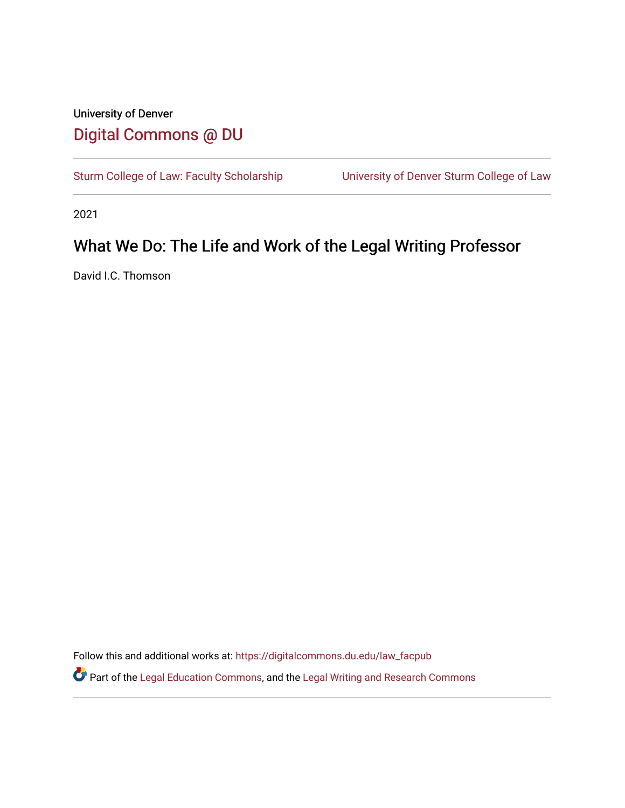# University of Denver [Digital Commons @ DU](https://digitalcommons.du.edu/)

[Sturm College of Law: Faculty Scholarship](https://digitalcommons.du.edu/law_facpub) University of Denver Sturm College of Law

2021

# What We Do: The Life and Work of the Legal Writing Professor

David I.C. Thomson

Follow this and additional works at: [https://digitalcommons.du.edu/law\\_facpub](https://digitalcommons.du.edu/law_facpub?utm_source=digitalcommons.du.edu%2Flaw_facpub%2F119&utm_medium=PDF&utm_campaign=PDFCoverPages) 

Part of the [Legal Education Commons,](http://network.bepress.com/hgg/discipline/857?utm_source=digitalcommons.du.edu%2Flaw_facpub%2F119&utm_medium=PDF&utm_campaign=PDFCoverPages) and the [Legal Writing and Research Commons](http://network.bepress.com/hgg/discipline/614?utm_source=digitalcommons.du.edu%2Flaw_facpub%2F119&utm_medium=PDF&utm_campaign=PDFCoverPages)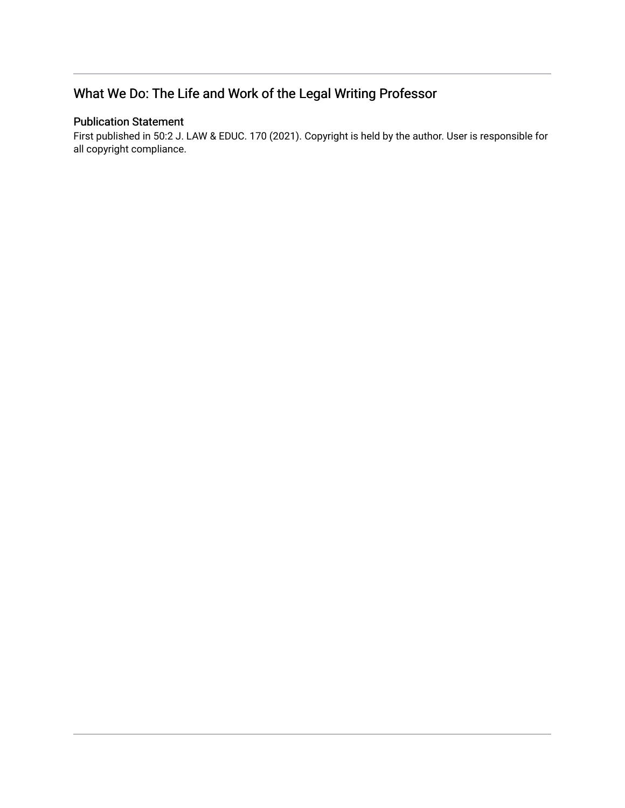# What We Do: The Life and Work of the Legal Writing Professor

# Publication Statement

First published in 50:2 J. LAW & EDUC. 170 (2021). Copyright is held by the author. User is responsible for all copyright compliance.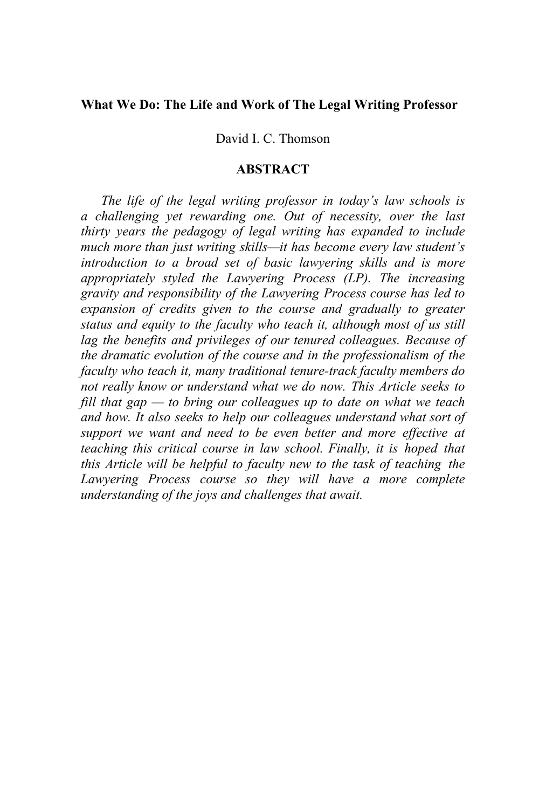# **What We Do: The Life and Work of The Legal Writing Professor**

David I. C. Thomson

# **ABSTRACT**

*The life of the legal writing professor in today's law schools is a challenging yet rewarding one. Out of necessity, over the last thirty years the pedagogy of legal writing has expanded to include much more than just writing skills—it has become every law student's introduction to a broad set of basic lawyering skills and is more appropriately styled the Lawyering Process (LP). The increasing gravity and responsibility of the Lawyering Process course has led to expansion of credits given to the course and gradually to greater status and equity to the faculty who teach it, although most of us still lag the benefits and privileges of our tenured colleagues. Because of the dramatic evolution of the course and in the professionalism of the faculty who teach it, many traditional tenure-track faculty members do not really know or understand what we do now. This Article seeks to fill that gap — to bring our colleagues up to date on what we teach and how. It also seeks to help our colleagues understand what sort of support we want and need to be even better and more effective at teaching this critical course in law school. Finally, it is hoped that this Article will be helpful to faculty new to the task of teaching the Lawyering Process course so they will have a more complete understanding of the joys and challenges that await.*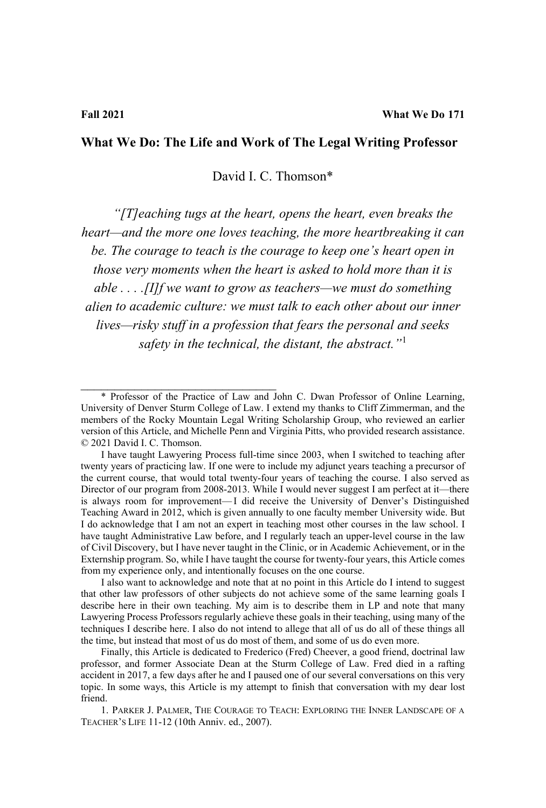## **What We Do: The Life and Work of The Legal Writing Professor**

David I. C. Thomson\*

*"[T]eaching tugs at the heart, opens the heart, even breaks the heart—and the more one loves teaching, the more heartbreaking it can be. The courage to teach is the courage to keep one's heart open in those very moments when the heart is asked to hold more than it is able . . . .[I]f we want to grow as teachers—we must do something alien to academic culture: we must talk to each other about our inner lives—risky stuff in a profession that fears the personal and seeks safety in the technical, the distant, the abstract."*[1](#page-3-0)

\_\_\_\_\_\_\_\_\_\_\_\_\_\_\_\_\_\_\_\_\_\_\_\_\_\_\_\_\_

I also want to acknowledge and note that at no point in this Article do I intend to suggest that other law professors of other subjects do not achieve some of the same learning goals I describe here in their own teaching. My aim is to describe them in LP and note that many Lawyering Process Professors regularly achieve these goals in their teaching, using many of the techniques I describe here. I also do not intend to allege that all of us do all of these things all the time, but instead that most of us do most of them, and some of us do even more.

Finally, this Article is dedicated to Frederico (Fred) Cheever, a good friend, doctrinal law professor, and former Associate Dean at the Sturm College of Law. Fred died in a rafting accident in 2017, a few days after he and I paused one of our several conversations on this very topic. In some ways, this Article is my attempt to finish that conversation with my dear lost friend.

1. PARKER J. PALMER, THE COURAGE TO TEACH: EXPLORING THE INNER LANDSCAPE OF A TEACHER'S LIFE 11-12 (10th Anniv. ed., 2007).

<span id="page-3-0"></span><sup>\*</sup> Professor of the Practice of Law and John C. Dwan Professor of Online Learning, University of Denver Sturm College of Law. I extend my thanks to Cliff Zimmerman, and the members of the Rocky Mountain Legal Writing Scholarship Group, who reviewed an earlier version of this Article, and Michelle Penn and Virginia Pitts, who provided research assistance. © 2021 David I. C. Thomson.

I have taught Lawyering Process full-time since 2003, when I switched to teaching after twenty years of practicing law. If one were to include my adjunct years teaching a precursor of the current course, that would total twenty-four years of teaching the course. I also served as Director of our program from 2008-2013. While I would never suggest I am perfect at it—there is always room for improvement—I did receive the University of Denver's Distinguished Teaching Award in 2012, which is given annually to one faculty member University wide. But I do acknowledge that I am not an expert in teaching most other courses in the law school. I have taught Administrative Law before, and I regularly teach an upper-level course in the law of Civil Discovery, but I have never taught in the Clinic, or in Academic Achievement, or in the Externship program. So, while I have taught the course for twenty-four years, this Article comes from my experience only, and intentionally focuses on the one course.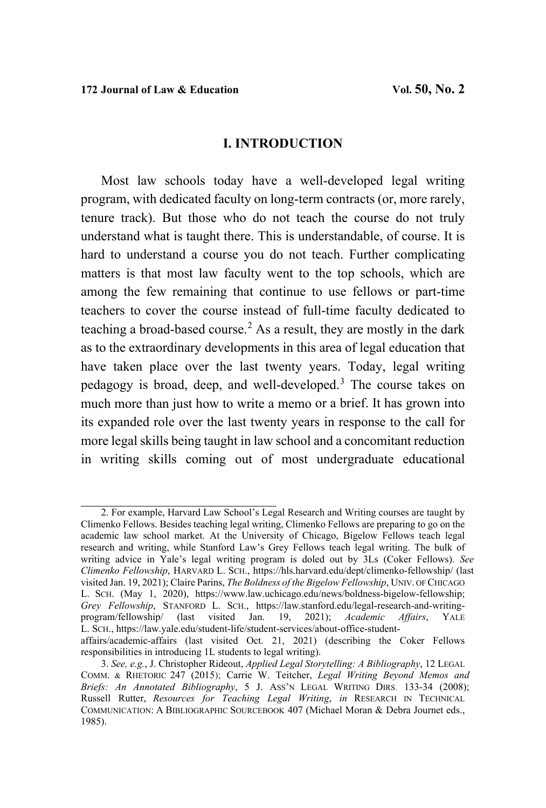\_\_\_\_\_\_\_\_\_\_\_\_\_\_\_\_\_\_\_\_\_\_\_\_\_\_\_\_\_

## **I. INTRODUCTION**

Most law schools today have a well-developed legal writing program, with dedicated faculty on long-term contracts (or, more rarely, tenure track). But those who do not teach the course do not truly understand what is taught there. This is understandable, of course. It is hard to understand a course you do not teach. Further complicating matters is that most law faculty went to the top schools, which are among the few remaining that continue to use fellows or part-time teachers to cover the course instead of full-time faculty dedicated to teaching a broad-based course.<sup>[2](#page-4-0)</sup> As a result, they are mostly in the dark as to the extraordinary developments in this area of legal education that have taken place over the last twenty years. Today, legal writing pedagogy is broad, deep, and well-developed.[3](#page-4-1) The course takes on much more than just how to write a memo or a brief. It has grown into its expanded role over the last twenty years in response to the call for more legal skills being taught in law school and a concomitant reduction in writing skills coming out of most undergraduate educational

<span id="page-4-0"></span><sup>2.</sup> For example, Harvard Law School's Legal Research and Writing courses are taught by Climenko Fellows. Besides teaching legal writing, Climenko Fellows are preparing to go on the academic law school market. At the University of Chicago, Bigelow Fellows teach legal research and writing, while Stanford Law's Grey Fellows teach legal writing. The bulk of writing advice in Yale's legal writing program is doled out by 3Ls (Coker Fellows). *See Climenko Fellowship*, HARVARD L. SCH.,<https://hls.harvard.edu/dept/climenko-fellowship/> (last visited Jan. 19, 2021); Claire Parins, *The Boldness of the Bigelow Fellowship*, UNIV. OF CHICAGO L. SCH. (May 1, 2020), https://www.law.uchicago.edu/news/boldness-bigelow-fellowship; *Grey Fellowship*, STANFORD L. SCH., https://law.stanford.edu/legal-research-and-writingprogram/fellowship/ (last visited Jan. 19, 2021); *Academic Affairs*, YALE L. SCH., https://law.yale.edu/student-life/student-services/about-office-studentaffairs/academic-affairs (last visited Oct. 21, 2021) (describing the Coker Fellows responsibilities in introducing 1L students to legal writing).

<span id="page-4-1"></span><sup>3.</sup> *See, e.g.*, J. Christopher Rideout, *Applied Legal Storytelling: A Bibliography*, 12 LEGAL COMM. & RHETORIC 247 (2015); Carrie W. Teitcher, *Legal Writing Beyond Memos and Briefs: An Annotated Bibliography*, 5 J. ASS'N LEGAL WRITING DIRS. 133-34 (2008); Russell Rutter, *Resources for Teaching Legal Writing*, *in* RESEARCH IN TECHNICAL COMMUNICATION: A BIBLIOGRAPHIC SOURCEBOOK 407 (Michael Moran & Debra Journet eds., 1985).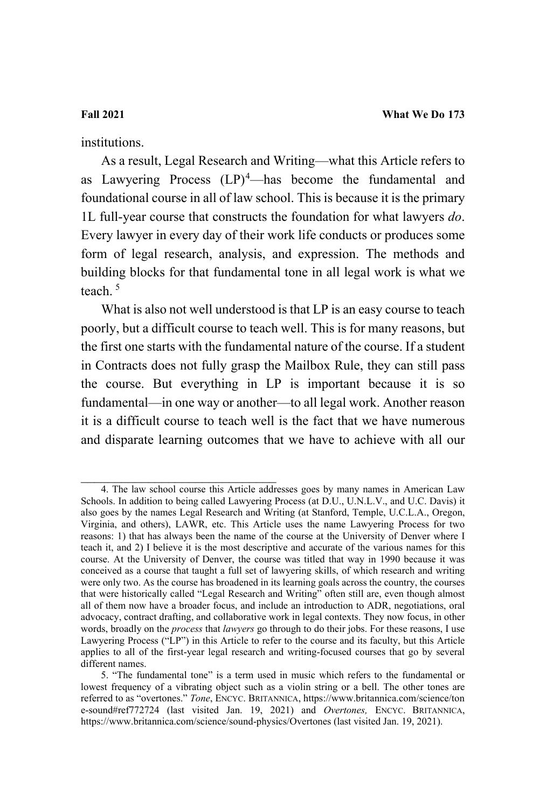institutions.

As a result, Legal Research and Writing—what this Article refers to as Lawyering Process  $(LP)^4$  $(LP)^4$ —has become the fundamental and foundational course in all of law school. This is because it is the primary 1L full-year course that constructs the foundation for what lawyers *do*. Every lawyer in every day of their work life conducts or produces some form of legal research, analysis, and expression. The methods and building blocks for that fundamental tone in all legal work is what we teach.<sup>[5](#page-5-1)</sup>

What is also not well understood is that LP is an easy course to teach poorly, but a difficult course to teach well. This is for many reasons, but the first one starts with the fundamental nature of the course. If a student in Contracts does not fully grasp the Mailbox Rule, they can still pass the course. But everything in LP is important because it is so fundamental—in one way or another—to all legal work. Another reason it is a difficult course to teach well is the fact that we have numerous and disparate learning outcomes that we have to achieve with all our

<span id="page-5-0"></span><sup>4.</sup> The law school course this Article addresses goes by many names in American Law Schools. In addition to being called Lawyering Process (at D.U., U.N.L.V., and U.C. Davis) it also goes by the names Legal Research and Writing (at Stanford, Temple, U.C.L.A., Oregon, Virginia, and others), LAWR, etc. This Article uses the name Lawyering Process for two reasons: 1) that has always been the name of the course at the University of Denver where I teach it, and 2) I believe it is the most descriptive and accurate of the various names for this course. At the University of Denver, the course was titled that way in 1990 because it was conceived as a course that taught a full set of lawyering skills, of which research and writing were only two. As the course has broadened in its learning goals across the country, the courses that were historically called "Legal Research and Writing" often still are, even though almost all of them now have a broader focus, and include an introduction to ADR, negotiations, oral advocacy, contract drafting, and collaborative work in legal contexts. They now focus, in other words, broadly on the *process* that *lawyers* go through to do their jobs. For these reasons, I use Lawyering Process ("LP") in this Article to refer to the course and its faculty, but this Article applies to all of the first-year legal research and writing-focused courses that go by several different names.

<span id="page-5-1"></span><sup>5. &</sup>quot;The fundamental tone" is a term used in music which refers to the fundamental or lowest frequency of a vibrating object such as a violin string or a bell. The other tones are referred to as "overtones." *Tone*, ENCYC. BRITANNICA, https://www.britannica.com/science/ton e-sound#ref772724 (last visited Jan. 19, 2021) and *Overtones,* ENCYC. BRITANNICA, <https://www.britannica.com/science/sound-physics/Overtones> (last visited Jan. 19, 2021).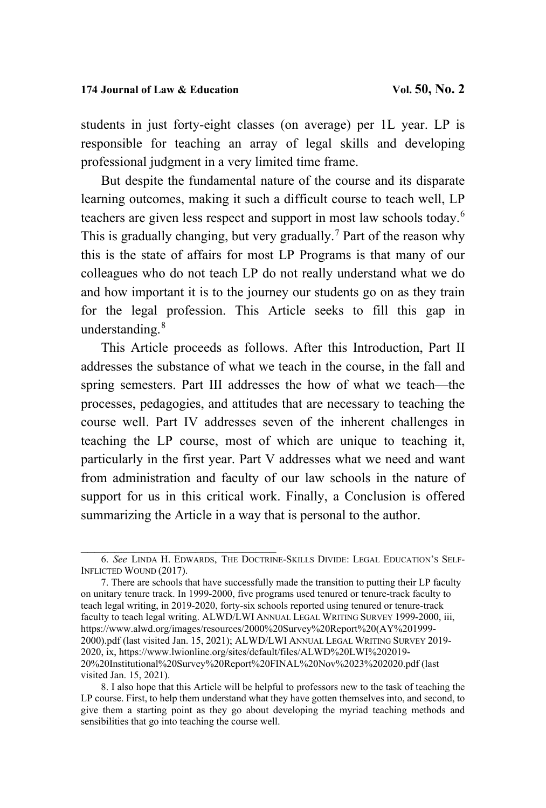students in just forty-eight classes (on average) per 1L year. LP is responsible for teaching an array of legal skills and developing professional judgment in a very limited time frame.

But despite the fundamental nature of the course and its disparate learning outcomes, making it such a difficult course to teach well, LP teachers are given less respect and support in most law schools today.[6](#page-6-0) This is gradually changing, but very gradually.[7](#page-6-1) Part of the reason why this is the state of affairs for most LP Programs is that many of our colleagues who do not teach LP do not really understand what we do and how important it is to the journey our students go on as they train for the legal profession. This Article seeks to fill this gap in understanding. $8$ 

This Article proceeds as follows. After this Introduction, Part II addresses the substance of what we teach in the course, in the fall and spring semesters. Part III addresses the how of what we teach—the processes, pedagogies, and attitudes that are necessary to teaching the course well. Part IV addresses seven of the inherent challenges in teaching the LP course, most of which are unique to teaching it, particularly in the first year. Part V addresses what we need and want from administration and faculty of our law schools in the nature of support for us in this critical work. Finally, a Conclusion is offered summarizing the Article in a way that is personal to the author.

<span id="page-6-0"></span>\_\_\_\_\_\_\_\_\_\_\_\_\_\_\_\_\_\_\_\_\_\_\_\_\_\_\_\_\_ 6. *See* LINDA H. EDWARDS, THE DOCTRINE-SKILLS DIVIDE: LEGAL EDUCATION'S SELF-INFLICTED WOUND (2017).

<span id="page-6-1"></span><sup>7.</sup> There are schools that have successfully made the transition to putting their LP faculty on unitary tenure track. In 1999-2000, five programs used tenured or tenure-track faculty to teach legal writing, in 2019-2020, forty-six schools reported using tenured or tenure-track faculty to teach legal writing. ALWD/LWI ANNUAL LEGAL WRITING SURVEY 1999-2000, iii, [https://www.alwd.org/images/resources/2000%20Survey%20Report%20\(AY%201999-](https://www.alwd.org/images/resources/2000%20Survey%20Report%20(AY%201999-2000).pdf) [2000\).pdf](https://www.alwd.org/images/resources/2000%20Survey%20Report%20(AY%201999-2000).pdf) (last visited Jan. 15, 2021); ALWD/LWI ANNUAL LEGAL WRITING SURVEY 2019- 2020, ix, [https://www.lwionline.org/sites/default/files/ALWD%20LWI%202019-](https://www.lwionline.org/sites/default/files/ALWD%20LWI%202019-20%20Institutional%20Survey%20Report%20FINAL%20Nov%2023%202020.pdf) [20%20Institutional%20Survey%20Report%20FINAL%20Nov%2023%202020.pdf](https://www.lwionline.org/sites/default/files/ALWD%20LWI%202019-20%20Institutional%20Survey%20Report%20FINAL%20Nov%2023%202020.pdf) (last visited Jan. 15, 2021).

<span id="page-6-2"></span><sup>8.</sup> I also hope that this Article will be helpful to professors new to the task of teaching the LP course. First, to help them understand what they have gotten themselves into, and second, to give them a starting point as they go about developing the myriad teaching methods and sensibilities that go into teaching the course well.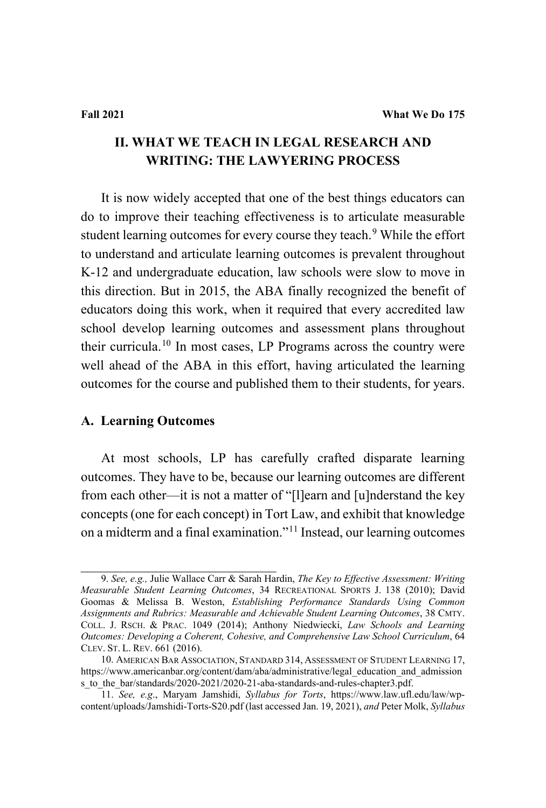# **II. WHAT WE TEACH IN LEGAL RESEARCH AND WRITING: THE LAWYERING PROCESS**

It is now widely accepted that one of the best things educators can do to improve their teaching effectiveness is to articulate measurable student learning outcomes for every course they teach.<sup>[9](#page-7-0)</sup> While the effort to understand and articulate learning outcomes is prevalent throughout K-12 and undergraduate education, law schools were slow to move in this direction. But in 2015, the ABA finally recognized the benefit of educators doing this work, when it required that every accredited law school develop learning outcomes and assessment plans throughout their curricula.<sup>[10](#page-7-1)</sup> In most cases, LP Programs across the country were well ahead of the ABA in this effort, having articulated the learning outcomes for the course and published them to their students, for years.

# **A. Learning Outcomes**

At most schools, LP has carefully crafted disparate learning outcomes. They have to be, because our learning outcomes are different from each other—it is not a matter of "[l]earn and [u]nderstand the key concepts (one for each concept) in Tort Law, and exhibit that knowledge on a midterm and a final examination."[11](#page-7-2) Instead, our learning outcomes

<span id="page-7-0"></span>\_\_\_\_\_\_\_\_\_\_\_\_\_\_\_\_\_\_\_\_\_\_\_\_\_\_\_\_\_ 9. *See, e.g.,* Julie Wallace Carr & Sarah Hardin, *The Key to Effective Assessment: Writing Measurable Student Learning Outcomes*, 34 RECREATIONAL SPORTS J. 138 (2010); David Goomas & Melissa B. Weston, *Establishing Performance Standards Using Common Assignments and Rubrics: Measurable and Achievable Student Learning Outcomes*, 38 CMTY. COLL. J. RSCH. & PRAC. 1049 (2014); Anthony Niedwiecki, *Law Schools and Learning Outcomes: Developing a Coherent, Cohesive, and Comprehensive Law School Curriculum*, 64 CLEV. ST. L. REV. 661 (2016).

<span id="page-7-1"></span><sup>10.</sup> AMERICAN BAR ASSOCIATION, STANDARD 314, ASSESSMENT OF STUDENT LEARNING 17, [https://www.americanbar.org/content/dam/aba/administrative/legal\\_education\\_and\\_admission](https://www.americanbar.org/content/dam/aba/administrative/legal_education_and_admissions_to_the_bar/standards/2020-2021/2020-21-aba-standards-and-rules-chapter3.pdf) s to the bar/standards/2020-2021/2020-21-aba-standards-and-rules-chapter3.pdf.

<span id="page-7-2"></span><sup>11.</sup> *See, e.g*., Maryam Jamshidi, *Syllabus for Torts*, [https://www.law.ufl.edu/law/wp](https://www.law.ufl.edu/law/wp-content/uploads/Jamshidi-Torts-S20.pdf)[content/uploads/Jamshidi-Torts-S20.pdf](https://www.law.ufl.edu/law/wp-content/uploads/Jamshidi-Torts-S20.pdf) (last accessed Jan. 19, 2021), *and* Peter Molk, *Syllabus*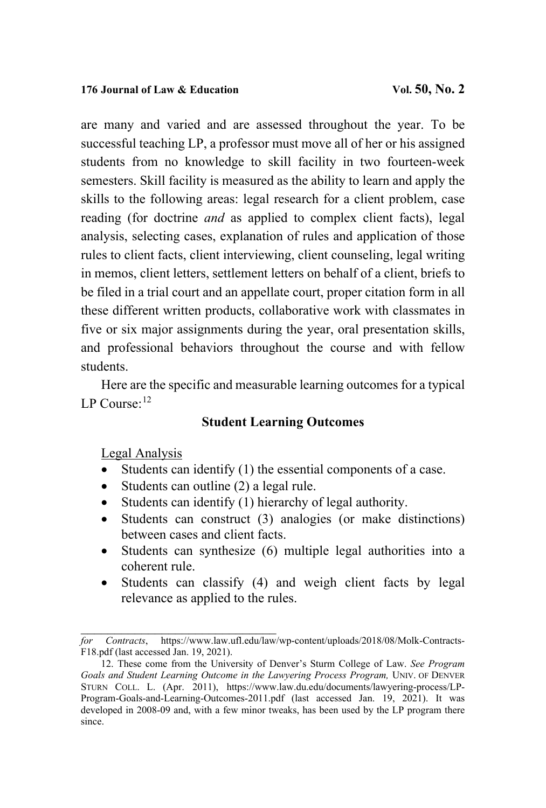are many and varied and are assessed throughout the year. To be successful teaching LP, a professor must move all of her or his assigned students from no knowledge to skill facility in two fourteen-week semesters. Skill facility is measured as the ability to learn and apply the skills to the following areas: legal research for a client problem, case reading (for doctrine *and* as applied to complex client facts), legal analysis, selecting cases, explanation of rules and application of those rules to client facts, client interviewing, client counseling, legal writing in memos, client letters, settlement letters on behalf of a client, briefs to be filed in a trial court and an appellate court, proper citation form in all these different written products, collaborative work with classmates in five or six major assignments during the year, oral presentation skills, and professional behaviors throughout the course and with fellow students.

Here are the specific and measurable learning outcomes for a typical LP Course: $^{12}$  $^{12}$  $^{12}$ 

# **Student Learning Outcomes**

# Legal Analysis

- Students can identify (1) the essential components of a case.
- Students can outline (2) a legal rule.

\_\_\_\_\_\_\_\_\_\_\_\_\_\_\_\_\_\_\_\_\_\_\_\_\_\_\_\_\_

- Students can identify (1) hierarchy of legal authority.
- Students can construct (3) analogies (or make distinctions) between cases and client facts.
- Students can synthesize (6) multiple legal authorities into a coherent rule.
- Students can classify (4) and weigh client facts by legal relevance as applied to the rules.

*for Contracts*, [https://www.law.ufl.edu/law/wp-content/uploads/2018/08/Molk-Contracts-](https://www.law.ufl.edu/law/wp-content/uploads/2018/08/Molk-Contracts-F18.pdf)[F18.pdf](https://www.law.ufl.edu/law/wp-content/uploads/2018/08/Molk-Contracts-F18.pdf) (last accessed Jan. 19, 2021).

<span id="page-8-0"></span><sup>12.</sup> These come from the University of Denver's Sturm College of Law. *See Program* Goals and Student Learning Outcome in the Lawyering Process Program, UNIV. OF DENVER STURN COLL. L. (Apr. 2011), [https://www.law.du.edu/documents/lawyering-process/LP-](https://www.law.du.edu/documents/lawyering-process/LP-Program-Goals-and-Learning-Outcomes-2011.pdf)[Program-Goals-and-Learning-Outcomes-2011.pdf](https://www.law.du.edu/documents/lawyering-process/LP-Program-Goals-and-Learning-Outcomes-2011.pdf) (last accessed Jan. 19, 2021). It was developed in 2008-09 and, with a few minor tweaks, has been used by the LP program there since.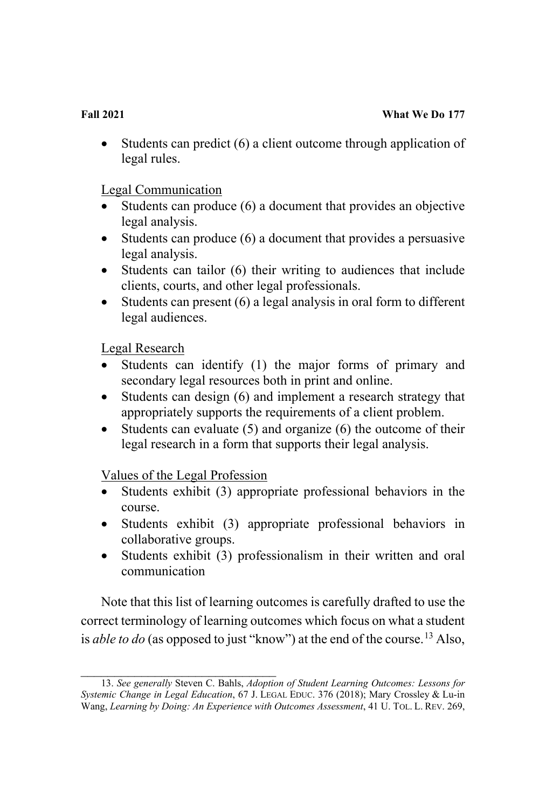Students can predict (6) a client outcome through application of legal rules.

Legal Communication

- Students can produce (6) a document that provides an objective legal analysis.
- Students can produce (6) a document that provides a persuasive legal analysis.
- Students can tailor (6) their writing to audiences that include clients, courts, and other legal professionals.
- Students can present (6) a legal analysis in oral form to different legal audiences.

Legal Research

- Students can identify (1) the major forms of primary and secondary legal resources both in print and online.
- Students can design (6) and implement a research strategy that appropriately supports the requirements of a client problem.
- Students can evaluate (5) and organize (6) the outcome of their legal research in a form that supports their legal analysis.

Values of the Legal Profession

- Students exhibit (3) appropriate professional behaviors in the course.
- Students exhibit (3) appropriate professional behaviors in collaborative groups.
- Students exhibit (3) professionalism in their written and oral communication

Note that this list of learning outcomes is carefully drafted to use the correct terminology of learning outcomes which focus on what a student is *able to do* (as opposed to just "know") at the end of the course.<sup>13</sup> Also,

<span id="page-9-0"></span>\_\_\_\_\_\_\_\_\_\_\_\_\_\_\_\_\_\_\_\_\_\_\_\_\_\_\_\_\_ 13. *See generally* Steven C. Bahls, *Adoption of Student Learning Outcomes: Lessons for Systemic Change in Legal Education*, 67 J. LEGAL EDUC. 376 (2018); Mary Crossley & Lu-in Wang, *Learning by Doing: An Experience with Outcomes Assessment*, 41 U. TOL. L. REV. 269,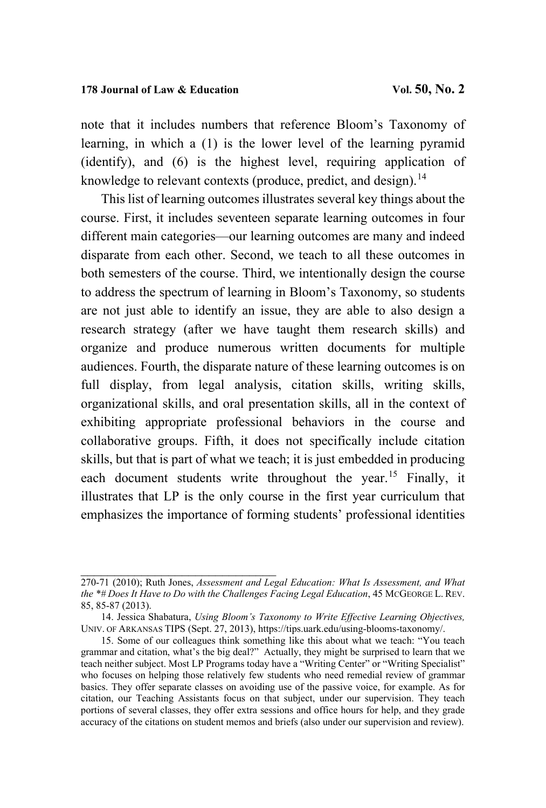note that it includes numbers that reference Bloom's Taxonomy of learning, in which a (1) is the lower level of the learning pyramid (identify), and (6) is the highest level, requiring application of knowledge to relevant contexts (produce, predict, and design).<sup>14</sup>

This list of learning outcomes illustrates several key things about the course. First, it includes seventeen separate learning outcomes in four different main categories—our learning outcomes are many and indeed disparate from each other. Second, we teach to all these outcomes in both semesters of the course. Third, we intentionally design the course to address the spectrum of learning in Bloom's Taxonomy, so students are not just able to identify an issue, they are able to also design a research strategy (after we have taught them research skills) and organize and produce numerous written documents for multiple audiences. Fourth, the disparate nature of these learning outcomes is on full display, from legal analysis, citation skills, writing skills, organizational skills, and oral presentation skills, all in the context of exhibiting appropriate professional behaviors in the course and collaborative groups. Fifth, it does not specifically include citation skills, but that is part of what we teach; it is just embedded in producing each document students write throughout the year.<sup>[15](#page-10-1)</sup> Finally, it illustrates that LP is the only course in the first year curriculum that emphasizes the importance of forming students' professional identities

\_\_\_\_\_\_\_\_\_\_\_\_\_\_\_\_\_\_\_\_\_\_\_\_\_\_\_\_\_

<sup>270-71 (2010);</sup> Ruth Jones, *Assessment and Legal Education: What Is Assessment, and What the \*# Does It Have to Do with the Challenges Facing Legal Education*, 45 MCGEORGE L. REV. 85, 85-87 (2013).

<span id="page-10-0"></span><sup>14.</sup> Jessica Shabatura, *Using Bloom's Taxonomy to Write Effective Learning Objectives,* UNIV. OF ARKANSAS TIPS (Sept. 27, 2013), [https://tips.uark.edu/using-blooms-taxonomy/.](https://tips.uark.edu/using-blooms-taxonomy/) 

<span id="page-10-1"></span><sup>15.</sup> Some of our colleagues think something like this about what we teach: "You teach grammar and citation, what's the big deal?" Actually, they might be surprised to learn that we teach neither subject. Most LP Programs today have a "Writing Center" or "Writing Specialist" who focuses on helping those relatively few students who need remedial review of grammar basics. They offer separate classes on avoiding use of the passive voice, for example. As for citation, our Teaching Assistants focus on that subject, under our supervision. They teach portions of several classes, they offer extra sessions and office hours for help, and they grade accuracy of the citations on student memos and briefs (also under our supervision and review).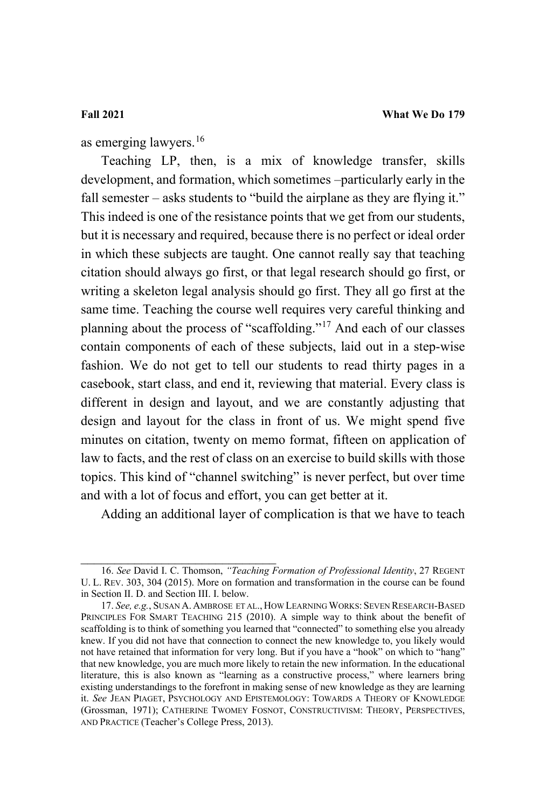<span id="page-11-2"></span>as emerging lawyers.<sup>[16](#page-11-0)</sup>

Teaching LP, then, is a mix of knowledge transfer, skills development, and formation, which sometimes –particularly early in the fall semester – asks students to "build the airplane as they are flying it." This indeed is one of the resistance points that we get from our students, but it is necessary and required, because there is no perfect or ideal order in which these subjects are taught. One cannot really say that teaching citation should always go first, or that legal research should go first, or writing a skeleton legal analysis should go first. They all go first at the same time. Teaching the course well requires very careful thinking and planning about the process of "scaffolding."[17](#page-11-1) And each of our classes contain components of each of these subjects, laid out in a step-wise fashion. We do not get to tell our students to read thirty pages in a casebook, start class, and end it, reviewing that material. Every class is different in design and layout, and we are constantly adjusting that design and layout for the class in front of us. We might spend five minutes on citation, twenty on memo format, fifteen on application of law to facts, and the rest of class on an exercise to build skills with those topics. This kind of "channel switching" is never perfect, but over time and with a lot of focus and effort, you can get better at it.

Adding an additional layer of complication is that we have to teach

<span id="page-11-0"></span>\_\_\_\_\_\_\_\_\_\_\_\_\_\_\_\_\_\_\_\_\_\_\_\_\_\_\_\_\_ 16. *See* David I. C. Thomson, *"Teaching Formation of Professional Identity*, 27 REGENT U. L. REV. 303, 304 (2015). More on formation and transformation in the course can be found in Section II. D. and Section III. I. below.

<span id="page-11-1"></span><sup>17.</sup> *See, e.g.*, SUSAN A. AMBROSE ET AL., HOW LEARNING WORKS: SEVEN RESEARCH-BASED PRINCIPLES FOR SMART TEACHING 215 (2010). A simple way to think about the benefit of scaffolding is to think of something you learned that "connected" to something else you already knew. If you did not have that connection to connect the new knowledge to, you likely would not have retained that information for very long. But if you have a "hook" on which to "hang" that new knowledge, you are much more likely to retain the new information. In the educational literature, this is also known as "learning as a constructive process," where learners bring existing understandings to the forefront in making sense of new knowledge as they are learning it. *See* JEAN PIAGET, PSYCHOLOGY AND EPISTEMOLOGY: TOWARDS A THEORY OF KNOWLEDGE (Grossman, 1971); CATHERINE TWOMEY FOSNOT, CONSTRUCTIVISM: THEORY, PERSPECTIVES, AND PRACTICE (Teacher's College Press, 2013).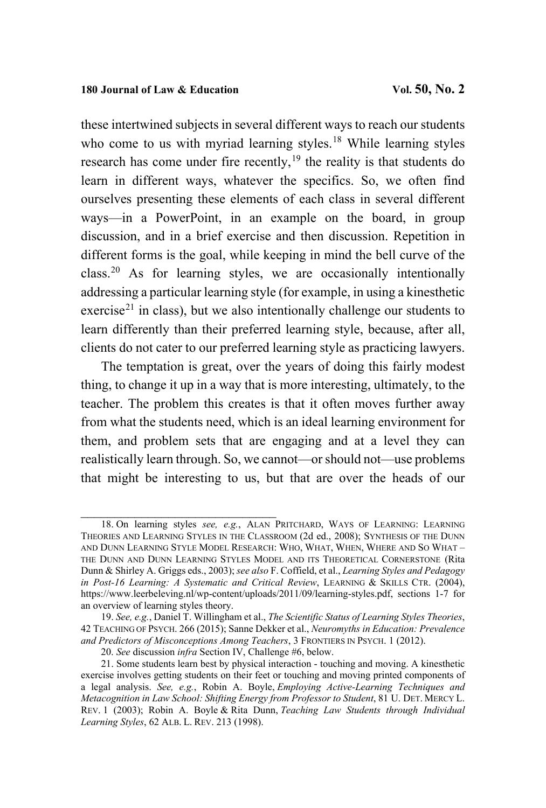these intertwined subjects in several different ways to reach our students who come to us with myriad learning styles.<sup>[18](#page-12-0)</sup> While learning styles research has come under fire recently, $19$  the reality is that students do learn in different ways, whatever the specifics. So, we often find ourselves presenting these elements of each class in several different ways—in a PowerPoint, in an example on the board, in group discussion, and in a brief exercise and then discussion. Repetition in different forms is the goal, while keeping in mind the bell curve of the class.[20](#page-12-2) As for learning styles, we are occasionally intentionally addressing a particular learning style (for example, in using a kinesthetic exercise<sup>[21](#page-12-3)</sup> in class), but we also intentionally challenge our students to learn differently than their preferred learning style, because, after all, clients do not cater to our preferred learning style as practicing lawyers.

The temptation is great, over the years of doing this fairly modest thing, to change it up in a way that is more interesting, ultimately, to the teacher. The problem this creates is that it often moves further away from what the students need, which is an ideal learning environment for them, and problem sets that are engaging and at a level they can realistically learn through. So, we cannot—or should not—use problems that might be interesting to us, but that are over the heads of our

<span id="page-12-0"></span>\_\_\_\_\_\_\_\_\_\_\_\_\_\_\_\_\_\_\_\_\_\_\_\_\_\_\_\_\_ 18. On learning styles *see, e.g.*, ALAN PRITCHARD, WAYS OF LEARNING: LEARNING THEORIES AND LEARNING STYLES IN THE CLASSROOM (2d ed., 2008); SYNTHESIS OF THE DUNN AND DUNN LEARNING STYLE MODEL RESEARCH: WHO, WHAT, WHEN, WHERE AND SO WHAT – THE DUNN AND DUNN LEARNING STYLES MODEL AND ITS THEORETICAL CORNERSTONE (Rita Dunn & Shirley A. Griggs eds., 2003); *see also* F. Coffield, et al., *Learning Styles and Pedagogy in Post-16 Learning: A Systematic and Critical Review*, LEARNING & SKILLS CTR. (2004), [https://www.leerbeleving.nl/wp-content/uploads/2011/09/learning-styles.pdf,](https://www.leerbeleving.nl/wp-content/uploads/2011/09/learning-styles.pdf) sections 1-7 for an overview of learning styles theory.

<span id="page-12-1"></span><sup>19.</sup> *See, e.g.*, Daniel T. Willingham et al., *The Scientific Status of Learning Styles Theories*, 42 TEACHING OF PSYCH. 266 (2015); Sanne Dekker et al., *Neuromyths in Education: Prevalence and Predictors of Misconceptions Among Teachers*, 3 FRONTIERS IN PSYCH. 1 (2012).

<sup>20.</sup> *See* discussion *infra* Section IV, Challenge #6, below.

<span id="page-12-3"></span><span id="page-12-2"></span><sup>21.</sup> Some students learn best by physical interaction - touching and moving. A kinesthetic exercise involves getting students on their feet or touching and moving printed components of a legal analysis. *See, e.g.*, Robin A. Boyle, *Employing Active-Learning Techniques and Metacognition in Law School: Shifting Energy from Professor to Student*, 81 U. DET. MERCY L. REV. 1 (2003); Robin A. Boyle & Rita Dunn, *Teaching Law Students through Individual Learning Styles*, 62 ALB. L. REV. 213 (1998).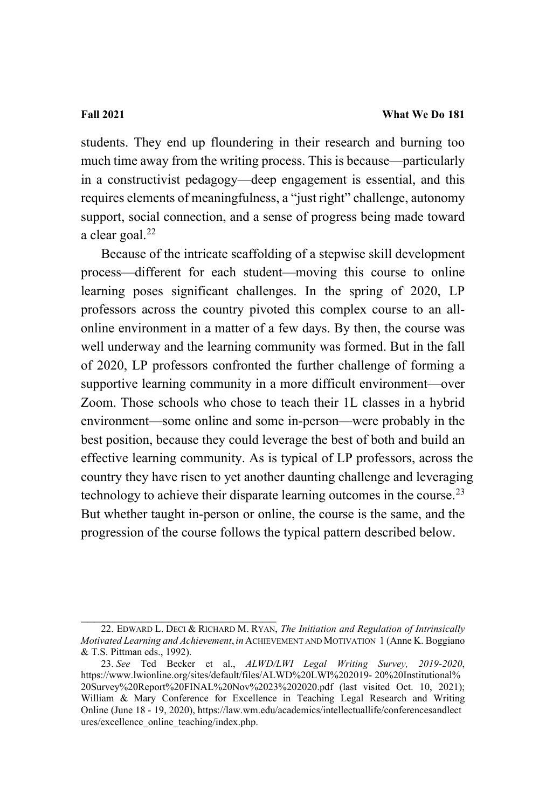students. They end up floundering in their research and burning too much time away from the writing process. This is because—particularly in a constructivist pedagogy—deep engagement is essential, and this requires elements of meaningfulness, a "just right" challenge, autonomy support, social connection, and a sense of progress being made toward a clear goal. $^{22}$  $^{22}$  $^{22}$ 

Because of the intricate scaffolding of a stepwise skill development process—different for each student—moving this course to online learning poses significant challenges. In the spring of 2020, LP professors across the country pivoted this complex course to an allonline environment in a matter of a few days. By then, the course was well underway and the learning community was formed. But in the fall of 2020, LP professors confronted the further challenge of forming a supportive learning community in a more difficult environment—over Zoom. Those schools who chose to teach their 1L classes in a hybrid environment—some online and some in-person—were probably in the best position, because they could leverage the best of both and build an effective learning community. As is typical of LP professors, across the country they have risen to yet another daunting challenge and leveraging technology to achieve their disparate learning outcomes in the course.<sup>[23](#page-13-1)</sup> But whether taught in-person or online, the course is the same, and the progression of the course follows the typical pattern described below.

<span id="page-13-2"></span> $\overline{\phantom{a}}$  , and the set of the set of the set of the set of the set of the set of the set of the set of the set of the set of the set of the set of the set of the set of the set of the set of the set of the set of the s

<span id="page-13-0"></span><sup>22.</sup> EDWARD L. DECI & RICHARD M. RYAN, *The Initiation and Regulation of Intrinsically Motivated Learning and Achievement*, *in* ACHIEVEMENT AND MOTIVATION 1 (Anne K. Boggiano & T.S. Pittman eds., 1992).

<span id="page-13-1"></span><sup>23.</sup> *See* Ted Becker et al., *ALWD/LWI Legal Writing Survey, 2019-2020*, [https://www.lwionline.org/sites/default/files/ALWD%20LWI%202019- 20%20Institutional%](https://www.lwionline.org/sites/default/files/ALWD%20LWI%202019-%C2%A020%20Institutional%20Survey%20Report%20FINAL%20Nov%2023%202020.pdf) [20Survey%20Report%20FINAL%20Nov%2023%202020.pdf](https://www.lwionline.org/sites/default/files/ALWD%20LWI%202019-%C2%A020%20Institutional%20Survey%20Report%20FINAL%20Nov%2023%202020.pdf) (last visited Oct. 10, 2021); William & Mary Conference for Excellence in Teaching Legal Research and Writing Online (June 18 - 19, 2020), [https://law.wm.edu/academics/intellectuallife/conferencesandlect](https://law.wm.edu/academics/intellectuallife/conferencesandlectures/excellence_) [ures/excellence\\_o](https://law.wm.edu/academics/intellectuallife/conferencesandlectures/excellence_)nline\_teaching/index.php.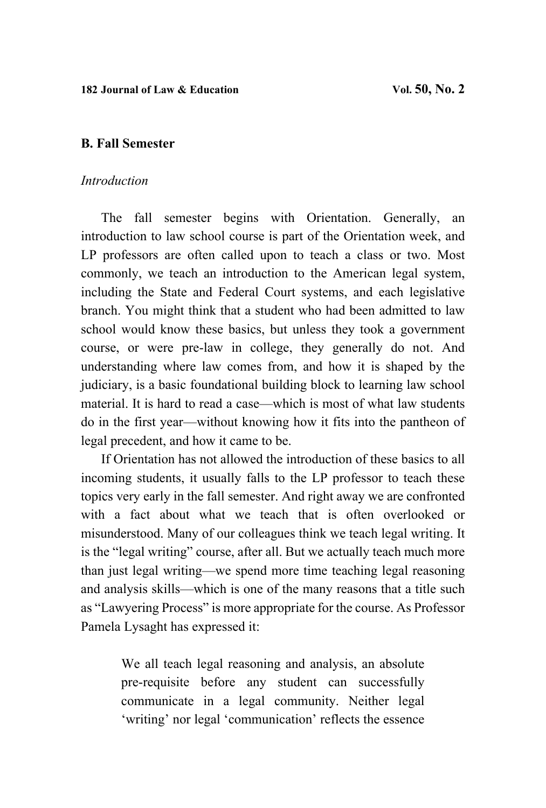# **B. Fall Semester**

# *Introduction*

The fall semester begins with Orientation. Generally, an introduction to law school course is part of the Orientation week, and LP professors are often called upon to teach a class or two. Most commonly, we teach an introduction to the American legal system, including the State and Federal Court systems, and each legislative branch. You might think that a student who had been admitted to law school would know these basics, but unless they took a government course, or were pre-law in college, they generally do not. And understanding where law comes from, and how it is shaped by the judiciary, is a basic foundational building block to learning law school material. It is hard to read a case—which is most of what law students do in the first year—without knowing how it fits into the pantheon of legal precedent, and how it came to be.

If Orientation has not allowed the introduction of these basics to all incoming students, it usually falls to the LP professor to teach these topics very early in the fall semester. And right away we are confronted with a fact about what we teach that is often overlooked or misunderstood. Many of our colleagues think we teach legal writing. It is the "legal writing" course, after all. But we actually teach much more than just legal writing—we spend more time teaching legal reasoning and analysis skills—which is one of the many reasons that a title such as "Lawyering Process" is more appropriate for the course. As Professor Pamela Lysaght has expressed it:

> We all teach legal reasoning and analysis, an absolute pre-requisite before any student can successfully communicate in a legal community. Neither legal 'writing' nor legal 'communication' reflects the essence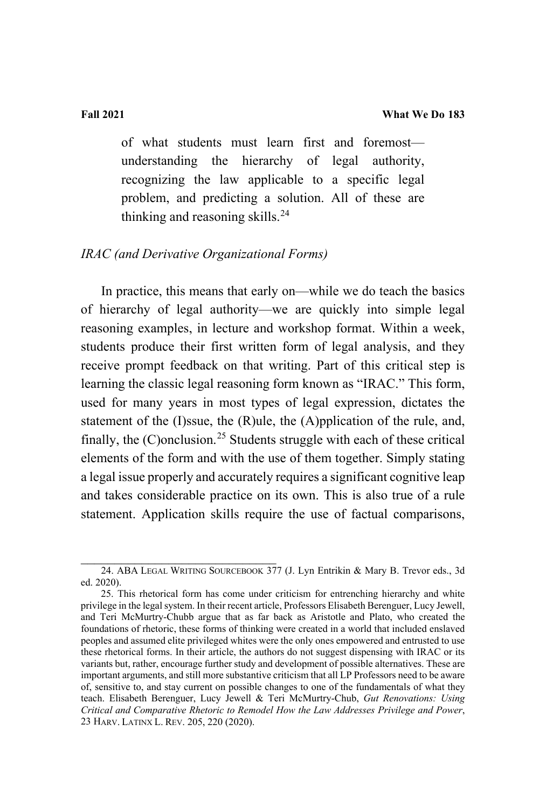of what students must learn first and foremost understanding the hierarchy of legal authority, recognizing the law applicable to a specific legal problem, and predicting a solution. All of these are thinking and reasoning skills.<sup>[24](#page-15-0)</sup>

### *IRAC (and Derivative Organizational Forms)*

In practice, this means that early on—while we do teach the basics of hierarchy of legal authority—we are quickly into simple legal reasoning examples, in lecture and workshop format. Within a week, students produce their first written form of legal analysis, and they receive prompt feedback on that writing. Part of this critical step is learning the classic legal reasoning form known as "IRAC." This form, used for many years in most types of legal expression, dictates the statement of the (I)ssue, the (R)ule, the (A)pplication of the rule, and, finally, the  $(C)$  onclusion.<sup>[25](#page-15-1)</sup> Students struggle with each of these critical elements of the form and with the use of them together. Simply stating a legal issue properly and accurately requires a significant cognitive leap and takes considerable practice on its own. This is also true of a rule statement. Application skills require the use of factual comparisons,

<span id="page-15-0"></span><sup>24.</sup> ABA LEGAL WRITING SOURCEBOOK 377 (J. Lyn Entrikin & Mary B. Trevor eds., 3d ed. 2020).

<span id="page-15-1"></span><sup>25.</sup> This rhetorical form has come under criticism for entrenching hierarchy and white privilege in the legal system. In their recent article, Professors Elisabeth Berenguer, Lucy Jewell, and Teri McMurtry-Chubb argue that as far back as Aristotle and Plato, who created the foundations of rhetoric, these forms of thinking were created in a world that included enslaved peoples and assumed elite privileged whites were the only ones empowered and entrusted to use these rhetorical forms. In their article, the authors do not suggest dispensing with IRAC or its variants but, rather, encourage further study and development of possible alternatives. These are important arguments, and still more substantive criticism that all LP Professors need to be aware of, sensitive to, and stay current on possible changes to one of the fundamentals of what they teach. Elisabeth Berenguer, Lucy Jewell & Teri McMurtry-Chub, *Gut Renovations: Using Critical and Comparative Rhetoric to Remodel How the Law Addresses Privilege and Power*, 23 HARV. LATINX L. REV. 205, 220 (2020).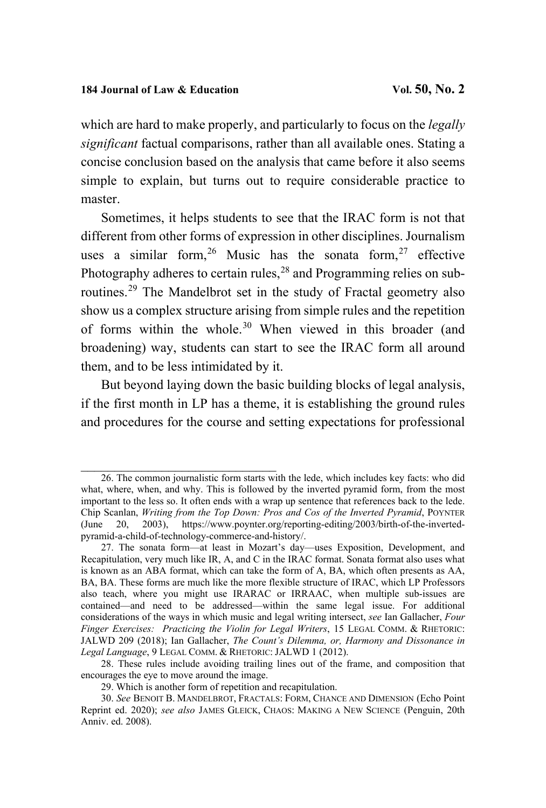which are hard to make properly, and particularly to focus on the *legally significant* factual comparisons, rather than all available ones. Stating a concise conclusion based on the analysis that came before it also seems simple to explain, but turns out to require considerable practice to master.

Sometimes, it helps students to see that the IRAC form is not that different from other forms of expression in other disciplines. Journalism uses a similar form,  $26$  Music has the sonata form,  $27$  effective Photography adheres to certain rules,<sup>[28](#page-16-2)</sup> and Programming relies on subroutines.[29](#page-16-3) The Mandelbrot set in the study of Fractal geometry also show us a complex structure arising from simple rules and the repetition of forms within the whole.[30](#page-16-4) When viewed in this broader (and broadening) way, students can start to see the IRAC form all around them, and to be less intimidated by it.

But beyond laying down the basic building blocks of legal analysis, if the first month in LP has a theme, it is establishing the ground rules and procedures for the course and setting expectations for professional

<span id="page-16-0"></span><sup>26.</sup> The common journalistic form starts with the lede, which includes key facts: who did what, where, when, and why. This is followed by the inverted pyramid form, from the most important to the less so. It often ends with a wrap up sentence that references back to the lede. Chip Scanlan, *Writing from the Top Down: Pros and Cos of the Inverted Pyramid*, POYNTER (June 20, 2003), [https://www.poynter.org/reporting-editing/2003/birth-of-the-inverted](https://www.poynter.org/reporting-editing/2003/birth-of-the-inverted-pyramid-a-child-of-technology-commerce-and-history/)[pyramid-a-child-of-technology-commerce-and-history/.](https://www.poynter.org/reporting-editing/2003/birth-of-the-inverted-pyramid-a-child-of-technology-commerce-and-history/) 

<span id="page-16-1"></span><sup>27.</sup> The sonata form—at least in Mozart's day—uses Exposition, Development, and Recapitulation, very much like IR, A, and C in the IRAC format. Sonata format also uses what is known as an ABA format, which can take the form of A, BA, which often presents as AA, BA, BA. These forms are much like the more flexible structure of IRAC, which LP Professors also teach, where you might use IRARAC or IRRAAC, when multiple sub-issues are contained—and need to be addressed—within the same legal issue. For additional considerations of the ways in which music and legal writing intersect, *see* Ian Gallacher, *Four Finger Exercises: Practicing the Violin for Legal Writers*, 15 LEGAL COMM. & RHETORIC: JALWD 209 (2018); Ian Gallacher, *The Count's Dilemma, or, Harmony and Dissonance in Legal Language*, 9 LEGAL COMM. & RHETORIC: JALWD 1 (2012).

<span id="page-16-2"></span><sup>28.</sup> These rules include avoiding trailing lines out of the frame, and composition that encourages the eye to move around the image.

<sup>29.</sup> Which is another form of repetition and recapitulation.

<span id="page-16-4"></span><span id="page-16-3"></span><sup>30.</sup> *See* BENOIT B. MANDELBROT, FRACTALS: FORM, CHANCE AND DIMENSION (Echo Point Reprint ed. 2020); *see also* JAMES GLEICK, CHAOS: MAKING A NEW SCIENCE (Penguin, 20th Anniv. ed. 2008).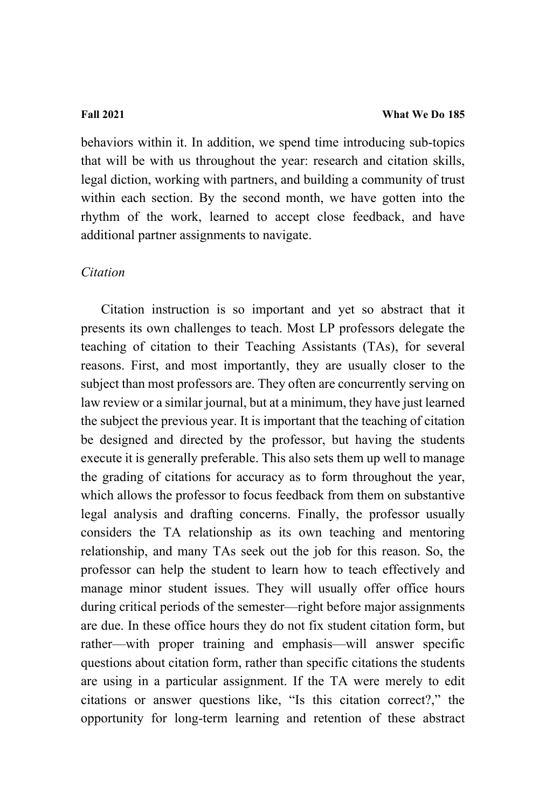behaviors within it. In addition, we spend time introducing sub-topics that will be with us throughout the year: research and citation skills, legal diction, working with partners, and building a community of trust within each section. By the second month, we have gotten into the rhythm of the work, learned to accept close feedback, and have additional partner assignments to navigate.

### *Citation*

Citation instruction is so important and yet so abstract that it presents its own challenges to teach. Most LP professors delegate the teaching of citation to their Teaching Assistants (TAs), for several reasons. First, and most importantly, they are usually closer to the subject than most professors are. They often are concurrently serving on law review or a similar journal, but at a minimum, they have just learned the subject the previous year. It is important that the teaching of citation be designed and directed by the professor, but having the students execute it is generally preferable. This also sets them up well to manage the grading of citations for accuracy as to form throughout the year, which allows the professor to focus feedback from them on substantive legal analysis and drafting concerns. Finally, the professor usually considers the TA relationship as its own teaching and mentoring relationship, and many TAs seek out the job for this reason. So, the professor can help the student to learn how to teach effectively and manage minor student issues. They will usually offer office hours during critical periods of the semester—right before major assignments are due. In these office hours they do not fix student citation form, but rather—with proper training and emphasis—will answer specific questions about citation form, rather than specific citations the students are using in a particular assignment. If the TA were merely to edit citations or answer questions like, "Is this citation correct?," the opportunity for long-term learning and retention of these abstract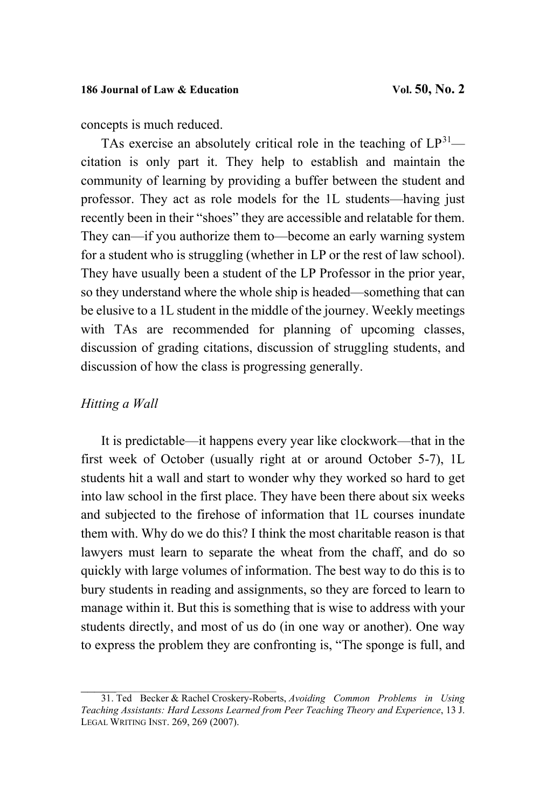concepts is much reduced.

TAs exercise an absolutely critical role in the teaching of  $LP^{31}$  $LP^{31}$  $LP^{31}$  citation is only part it. They help to establish and maintain the community of learning by providing a buffer between the student and professor. They act as role models for the 1L students—having just recently been in their "shoes" they are accessible and relatable for them. They can—if you authorize them to—become an early warning system for a student who is struggling (whether in LP or the rest of law school). They have usually been a student of the LP Professor in the prior year, so they understand where the whole ship is headed—something that can be elusive to a 1L student in the middle of the journey. Weekly meetings with TAs are recommended for planning of upcoming classes, discussion of grading citations, discussion of struggling students, and discussion of how the class is progressing generally.

# *Hitting a Wall*

It is predictable—it happens every year like clockwork—that in the first week of October (usually right at or around October 5-7), 1L students hit a wall and start to wonder why they worked so hard to get into law school in the first place. They have been there about six weeks and subjected to the firehose of information that 1L courses inundate them with. Why do we do this? I think the most charitable reason is that lawyers must learn to separate the wheat from the chaff, and do so quickly with large volumes of information. The best way to do this is to bury students in reading and assignments, so they are forced to learn to manage within it. But this is something that is wise to address with your students directly, and most of us do (in one way or another). One way to express the problem they are confronting is, "The sponge is full, and

<span id="page-18-0"></span>\_\_\_\_\_\_\_\_\_\_\_\_\_\_\_\_\_\_\_\_\_\_\_\_\_\_\_\_\_ 31. Ted Becker & Rachel Croskery-Roberts, *Avoiding Common Problems in Using Teaching Assistants: Hard Lessons Learned from Peer Teaching Theory and Experience*, 13 J. LEGAL WRITING INST. 269, 269 (2007).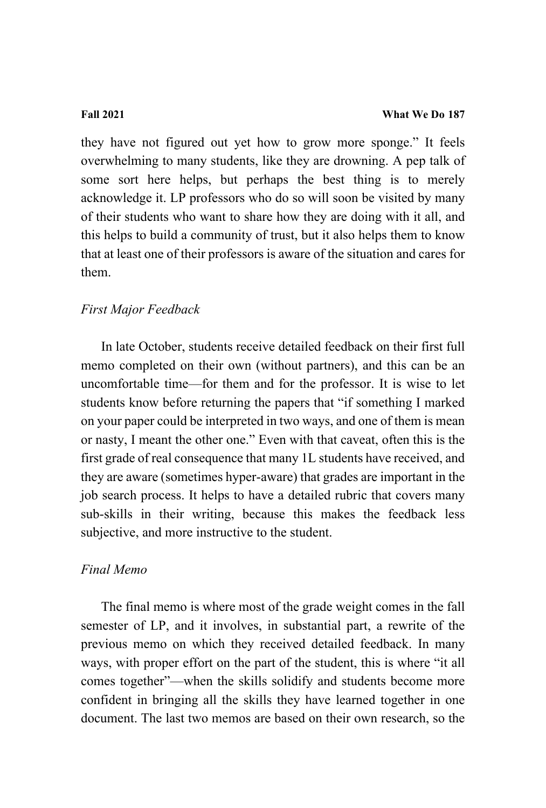they have not figured out yet how to grow more sponge." It feels overwhelming to many students, like they are drowning. A pep talk of some sort here helps, but perhaps the best thing is to merely acknowledge it. LP professors who do so will soon be visited by many of their students who want to share how they are doing with it all, and this helps to build a community of trust, but it also helps them to know that at least one of their professors is aware of the situation and cares for them.

# *First Major Feedback*

In late October, students receive detailed feedback on their first full memo completed on their own (without partners), and this can be an uncomfortable time—for them and for the professor. It is wise to let students know before returning the papers that "if something I marked on your paper could be interpreted in two ways, and one of them is mean or nasty, I meant the other one." Even with that caveat, often this is the first grade of real consequence that many 1L students have received, and they are aware (sometimes hyper-aware) that grades are important in the job search process. It helps to have a detailed rubric that covers many sub-skills in their writing, because this makes the feedback less subjective, and more instructive to the student.

# *Final Memo*

The final memo is where most of the grade weight comes in the fall semester of LP, and it involves, in substantial part, a rewrite of the previous memo on which they received detailed feedback. In many ways, with proper effort on the part of the student, this is where "it all comes together"—when the skills solidify and students become more confident in bringing all the skills they have learned together in one document. The last two memos are based on their own research, so the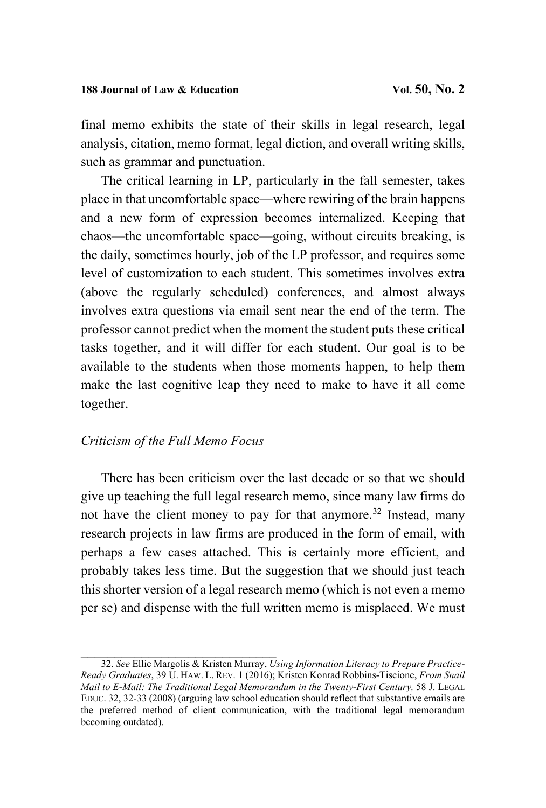final memo exhibits the state of their skills in legal research, legal analysis, citation, memo format, legal diction, and overall writing skills, such as grammar and punctuation.

The critical learning in LP, particularly in the fall semester, takes place in that uncomfortable space—where rewiring of the brain happens and a new form of expression becomes internalized. Keeping that chaos—the uncomfortable space—going, without circuits breaking, is the daily, sometimes hourly, job of the LP professor, and requires some level of customization to each student. This sometimes involves extra (above the regularly scheduled) conferences, and almost always involves extra questions via email sent near the end of the term. The professor cannot predict when the moment the student puts these critical tasks together, and it will differ for each student. Our goal is to be available to the students when those moments happen, to help them make the last cognitive leap they need to make to have it all come together.

# *Criticism of the Full Memo Focus*

There has been criticism over the last decade or so that we should give up teaching the full legal research memo, since many law firms do not have the client money to pay for that anymore.<sup>[32](#page-20-0)</sup> Instead, many research projects in law firms are produced in the form of email, with perhaps a few cases attached. This is certainly more efficient, and probably takes less time. But the suggestion that we should just teach this shorter version of a legal research memo (which is not even a memo per se) and dispense with the full written memo is misplaced. We must

<span id="page-20-0"></span>\_\_\_\_\_\_\_\_\_\_\_\_\_\_\_\_\_\_\_\_\_\_\_\_\_\_\_\_\_ 32. *See* Ellie Margolis & Kristen Murray, *Using Information Literacy to Prepare Practice-Ready Graduates*, 39 U. HAW. L. REV. 1 (2016); Kristen Konrad Robbins-Tiscione, *From Snail Mail to E-Mail: The Traditional Legal Memorandum in the Twenty-First Century, 58 J. LEGAL* EDUC. 32, 32-33 (2008) (arguing law school education should reflect that substantive emails are the preferred method of client communication, with the traditional legal memorandum becoming outdated).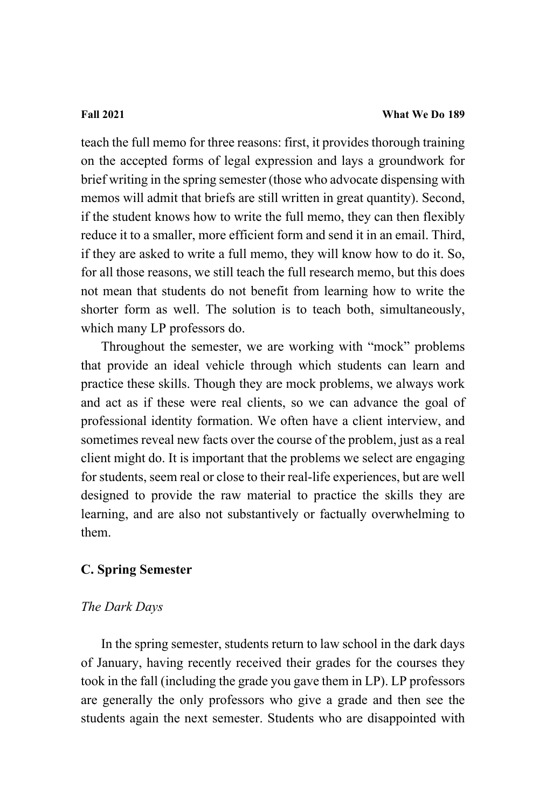teach the full memo for three reasons: first, it provides thorough training on the accepted forms of legal expression and lays a groundwork for brief writing in the spring semester (those who advocate dispensing with memos will admit that briefs are still written in great quantity). Second, if the student knows how to write the full memo, they can then flexibly reduce it to a smaller, more efficient form and send it in an email. Third, if they are asked to write a full memo, they will know how to do it. So, for all those reasons, we still teach the full research memo, but this does not mean that students do not benefit from learning how to write the shorter form as well. The solution is to teach both, simultaneously, which many LP professors do.

Throughout the semester, we are working with "mock" problems that provide an ideal vehicle through which students can learn and practice these skills. Though they are mock problems, we always work and act as if these were real clients, so we can advance the goal of professional identity formation. We often have a client interview, and sometimes reveal new facts over the course of the problem, just as a real client might do. It is important that the problems we select are engaging for students, seem real or close to their real-life experiences, but are well designed to provide the raw material to practice the skills they are learning, and are also not substantively or factually overwhelming to them.

# **C. Spring Semester**

# *The Dark Days*

In the spring semester, students return to law school in the dark days of January, having recently received their grades for the courses they took in the fall (including the grade you gave them in LP). LP professors are generally the only professors who give a grade and then see the students again the next semester. Students who are disappointed with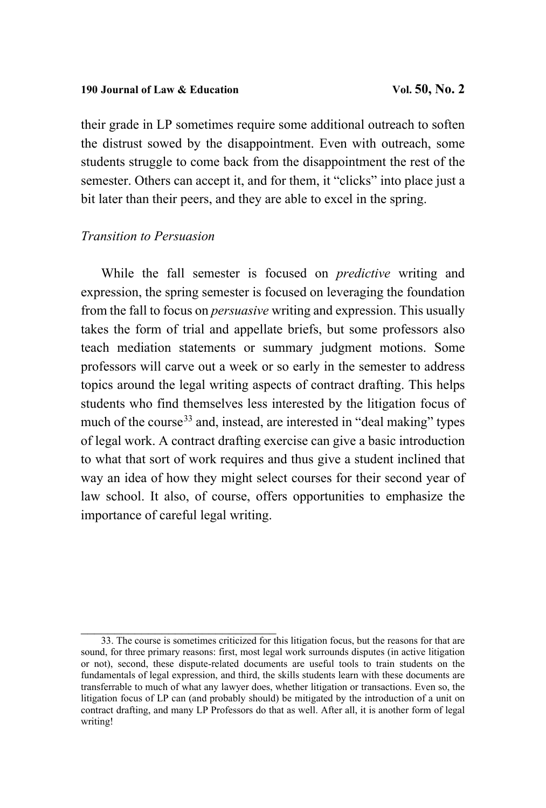### 190 **Journal of Law & Education Vol. 50, No. 2**

their grade in LP sometimes require some additional outreach to soften the distrust sowed by the disappointment. Even with outreach, some students struggle to come back from the disappointment the rest of the semester. Others can accept it, and for them, it "clicks" into place just a bit later than their peers, and they are able to excel in the spring.

# *Transition to Persuasion*

While the fall semester is focused on *predictive* writing and expression, the spring semester is focused on leveraging the foundation from the fall to focus on *persuasive* writing and expression. This usually takes the form of trial and appellate briefs, but some professors also teach mediation statements or summary judgment motions. Some professors will carve out a week or so early in the semester to address topics around the legal writing aspects of contract drafting. This helps students who find themselves less interested by the litigation focus of much of the course<sup>33</sup> and, instead, are interested in "deal making" types of legal work. A contract drafting exercise can give a basic introduction to what that sort of work requires and thus give a student inclined that way an idea of how they might select courses for their second year of law school. It also, of course, offers opportunities to emphasize the importance of careful legal writing.

 $\mathcal{L}_\mathcal{L}$  , which is a set of the set of the set of the set of the set of the set of the set of the set of the set of the set of the set of the set of the set of the set of the set of the set of the set of the set of

<span id="page-22-0"></span><sup>33.</sup> The course is sometimes criticized for this litigation focus, but the reasons for that are sound, for three primary reasons: first, most legal work surrounds disputes (in active litigation or not), second, these dispute-related documents are useful tools to train students on the fundamentals of legal expression, and third, the skills students learn with these documents are transferrable to much of what any lawyer does, whether litigation or transactions. Even so, the litigation focus of LP can (and probably should) be mitigated by the introduction of a unit on contract drafting, and many LP Professors do that as well. After all, it is another form of legal writing!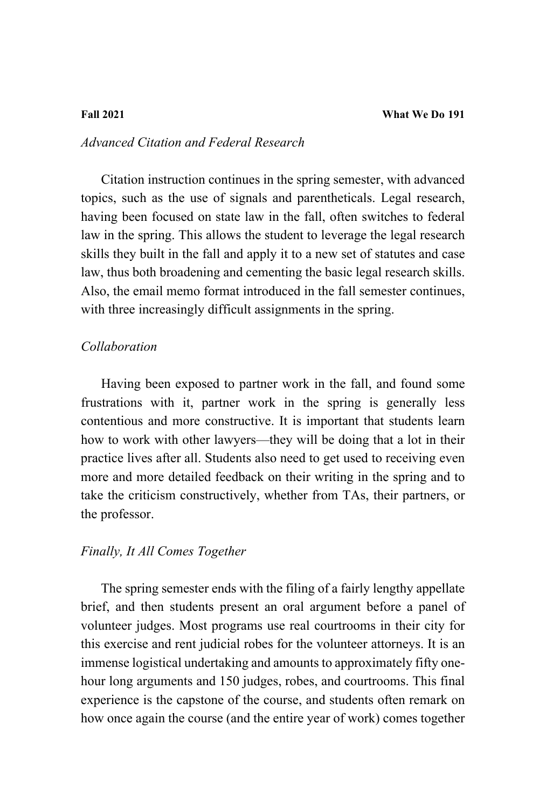# *Advanced Citation and Federal Research*

Citation instruction continues in the spring semester, with advanced topics, such as the use of signals and parentheticals. Legal research, having been focused on state law in the fall, often switches to federal law in the spring. This allows the student to leverage the legal research skills they built in the fall and apply it to a new set of statutes and case law, thus both broadening and cementing the basic legal research skills. Also, the email memo format introduced in the fall semester continues, with three increasingly difficult assignments in the spring.

# *Collaboration*

Having been exposed to partner work in the fall, and found some frustrations with it, partner work in the spring is generally less contentious and more constructive. It is important that students learn how to work with other lawyers—they will be doing that a lot in their practice lives after all. Students also need to get used to receiving even more and more detailed feedback on their writing in the spring and to take the criticism constructively, whether from TAs, their partners, or the professor.

# *Finally, It All Comes Together*

The spring semester ends with the filing of a fairly lengthy appellate brief, and then students present an oral argument before a panel of volunteer judges. Most programs use real courtrooms in their city for this exercise and rent judicial robes for the volunteer attorneys. It is an immense logistical undertaking and amounts to approximately fifty onehour long arguments and 150 judges, robes, and courtrooms. This final experience is the capstone of the course, and students often remark on how once again the course (and the entire year of work) comes together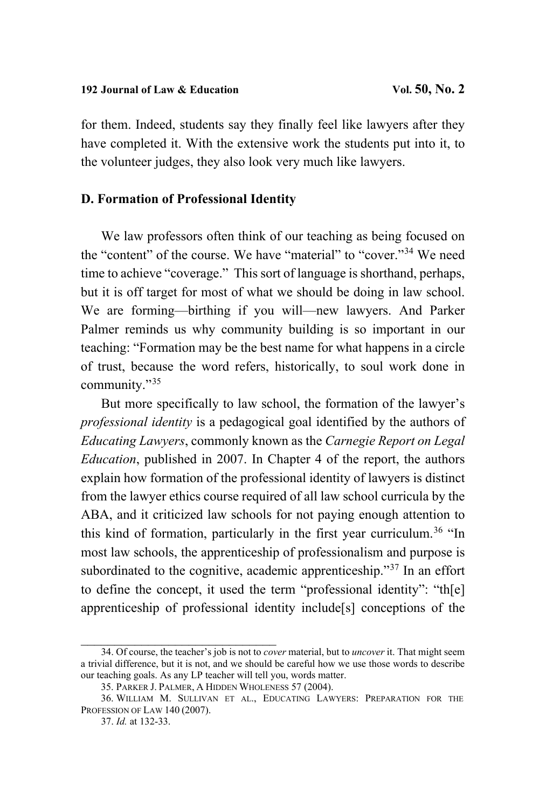for them. Indeed, students say they finally feel like lawyers after they have completed it. With the extensive work the students put into it, to the volunteer judges, they also look very much like lawyers.

# **D. Formation of Professional Identity**

We law professors often think of our teaching as being focused on the "content" of the course. We have "material" to "cover."<sup>[34](#page-24-0)</sup> We need time to achieve "coverage." This sort of language is shorthand, perhaps, but it is off target for most of what we should be doing in law school. We are forming—birthing if you will—new lawyers. And Parker Palmer reminds us why community building is so important in our teaching: "Formation may be the best name for what happens in a circle of trust, because the word refers, historically, to soul work done in community."[35](#page-24-1)

But more specifically to law school, the formation of the lawyer's *professional identity* is a pedagogical goal identified by the authors of *Educating Lawyers*, commonly known as the *Carnegie Report on Legal Education*, published in 2007. In Chapter 4 of the report, the authors explain how formation of the professional identity of lawyers is distinct from the lawyer ethics course required of all law school curricula by the ABA, and it criticized law schools for not paying enough attention to this kind of formation, particularly in the first year curriculum.<sup>[36](#page-24-2)</sup> "In most law schools, the apprenticeship of professionalism and purpose is subordinated to the cognitive, academic apprenticeship."<sup>[37](#page-24-3)</sup> In an effort to define the concept, it used the term "professional identity": "th[e] apprenticeship of professional identity include[s] conceptions of the

<span id="page-24-0"></span>\_\_\_\_\_\_\_\_\_\_\_\_\_\_\_\_\_\_\_\_\_\_\_\_\_\_\_\_\_ 34. Of course, the teacher's job is not to *cover* material, but to *uncover* it. That might seem a trivial difference, but it is not, and we should be careful how we use those words to describe our teaching goals. As any LP teacher will tell you, words matter.

<span id="page-24-4"></span><sup>35.</sup> PARKER J. PALMER, A HIDDEN WHOLENESS 57 (2004).

<span id="page-24-3"></span><span id="page-24-2"></span><span id="page-24-1"></span><sup>36.</sup> WILLIAM M. SULLIVAN ET AL., EDUCATING LAWYERS: PREPARATION FOR THE PROFESSION OF LAW 140 (2007).

<sup>37.</sup> *Id.* at 132-33.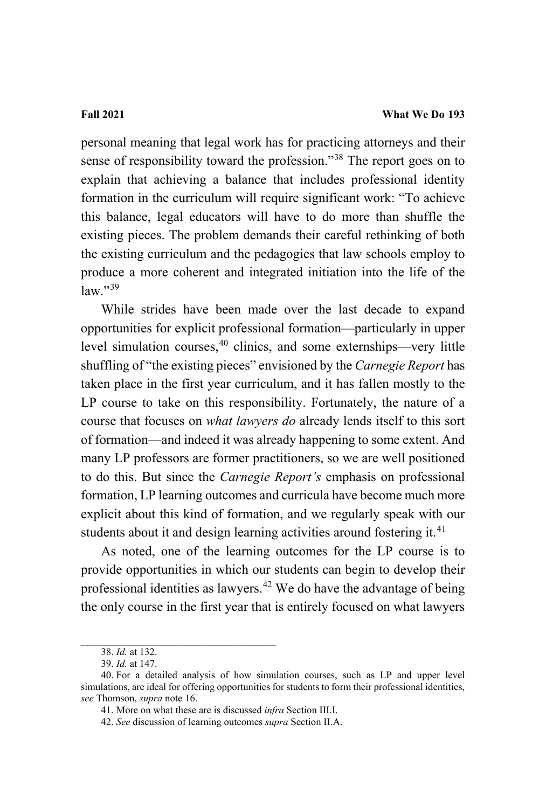personal meaning that legal work has for practicing attorneys and their sense of responsibility toward the profession."[38](#page-25-0) The report goes on to explain that achieving a balance that includes professional identity formation in the curriculum will require significant work: "To achieve this balance, legal educators will have to do more than shuffle the existing pieces. The problem demands their careful rethinking of both the existing curriculum and the pedagogies that law schools employ to produce a more coherent and integrated initiation into the life of the  $law.$ "<sup>[39](#page-25-1)</sup>

While strides have been made over the last decade to expand opportunities for explicit professional formation—particularly in upper level simulation courses,<sup>[40](#page-25-2)</sup> clinics, and some externships—very little shuffling of "the existing pieces" envisioned by the *Carnegie Report* has taken place in the first year curriculum, and it has fallen mostly to the LP course to take on this responsibility. Fortunately, the nature of a course that focuses on *what lawyers do* already lends itself to this sort of formation—and indeed it was already happening to some extent. And many LP professors are former practitioners, so we are well positioned to do this. But since the *Carnegie Report's* emphasis on professional formation, LP learning outcomes and curricula have become much more explicit about this kind of formation, and we regularly speak with our students about it and design learning activities around fostering it.<sup>[41](#page-25-3)</sup>

As noted, one of the learning outcomes for the LP course is to provide opportunities in which our students can begin to develop their professional identities as lawyers.<sup>[42](#page-25-4)</sup> We do have the advantage of being the only course in the first year that is entirely focused on what lawyers

\_\_\_\_\_\_\_\_\_\_\_\_\_\_\_\_\_\_\_\_\_\_\_\_\_\_\_\_\_ 38. *Id.* at 132.

<sup>39.</sup> *Id.* at 147.

<span id="page-25-4"></span><span id="page-25-3"></span><span id="page-25-2"></span><span id="page-25-1"></span><span id="page-25-0"></span><sup>40.</sup> For a detailed analysis of how simulation courses, such as LP and upper level simulations, are ideal for offering opportunities for students to form their professional identities, *see* Thomson, *supra* not[e 16.](#page-11-2)

<sup>41.</sup> More on what these are is discussed *infra* Section III.I.

<sup>42.</sup> *See* discussion of learning outcomes *supra* Section II.A.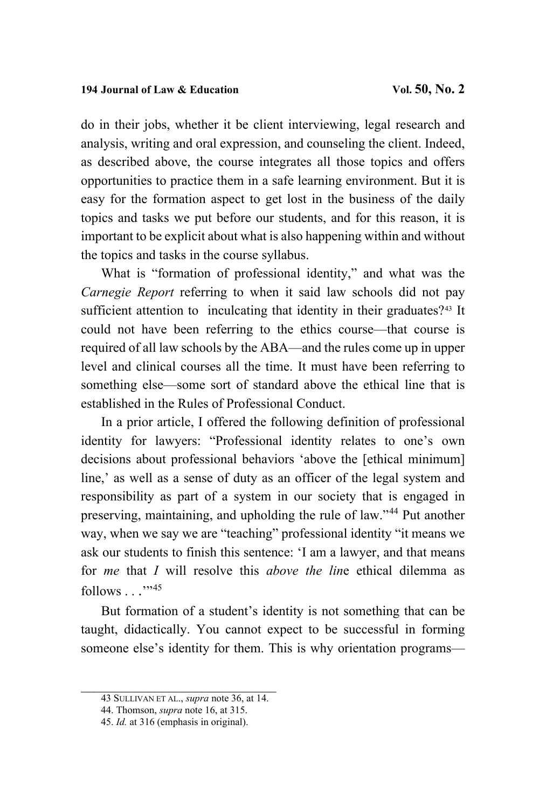do in their jobs, whether it be client interviewing, legal research and analysis, writing and oral expression, and counseling the client. Indeed, as described above, the course integrates all those topics and offers opportunities to practice them in a safe learning environment. But it is easy for the formation aspect to get lost in the business of the daily topics and tasks we put before our students, and for this reason, it is important to be explicit about what is also happening within and without the topics and tasks in the course syllabus.

What is "formation of professional identity," and what was the *Carnegie Report* referring to when it said law schools did not pay sufficient attention to inculcating that identity in their graduates?<sup>[43](#page-26-0)</sup> It could not have been referring to the ethics course—that course is required of all law schools by the ABA—and the rules come up in upper level and clinical courses all the time. It must have been referring to something else—some sort of standard above the ethical line that is established in the Rules of Professional Conduct.

In a prior article, I offered the following definition of professional identity for lawyers: "Professional identity relates to one's own decisions about professional behaviors 'above the [ethical minimum] line,' as well as a sense of duty as an officer of the legal system and responsibility as part of a system in our society that is engaged in preserving, maintaining, and upholding the rule of law."[44](#page-26-1) Put another way, when we say we are "teaching" professional identity "it means we ask our students to finish this sentence: 'I am a lawyer, and that means for *me* that *I* will resolve this *above the lin*e ethical dilemma as  $follows \dots$   $\cdot$  ...

But formation of a student's identity is not something that can be taught, didactically. You cannot expect to be successful in forming someone else's identity for them. This is why orientation programs—

<span id="page-26-0"></span>\_\_\_\_\_\_\_\_\_\_\_\_\_\_\_\_\_\_\_\_\_[\\_\\_\\_\\_](#page-24-4)\_\_\_\_ 43 SULLIVAN ET AL., *supra* note 36, at 14.

<span id="page-26-1"></span><sup>44.</sup> Thomson, *supra* not[e 16,](#page-11-2) at 315.

<span id="page-26-2"></span><sup>45.</sup> *Id.* at 316 (emphasis in original).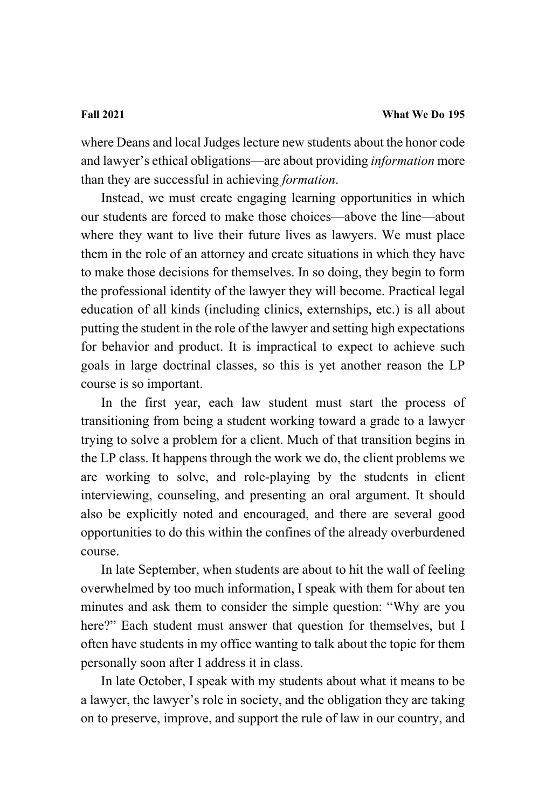where Deans and local Judges lecture new students about the honor code and lawyer's ethical obligations—are about providing *information* more than they are successful in achieving *formation*.

Instead, we must create engaging learning opportunities in which our students are forced to make those choices—above the line—about where they want to live their future lives as lawyers. We must place them in the role of an attorney and create situations in which they have to make those decisions for themselves. In so doing, they begin to form the professional identity of the lawyer they will become. Practical legal education of all kinds (including clinics, externships, etc.) is all about putting the student in the role of the lawyer and setting high expectations for behavior and product. It is impractical to expect to achieve such goals in large doctrinal classes, so this is yet another reason the LP course is so important.

In the first year, each law student must start the process of transitioning from being a student working toward a grade to a lawyer trying to solve a problem for a client. Much of that transition begins in the LP class. It happens through the work we do, the client problems we are working to solve, and role-playing by the students in client interviewing, counseling, and presenting an oral argument. It should also be explicitly noted and encouraged, and there are several good opportunities to do this within the confines of the already overburdened course.

In late September, when students are about to hit the wall of feeling overwhelmed by too much information, I speak with them for about ten minutes and ask them to consider the simple question: "Why are you here?" Each student must answer that question for themselves, but I often have students in my office wanting to talk about the topic for them personally soon after I address it in class.

In late October, I speak with my students about what it means to be a lawyer, the lawyer's role in society, and the obligation they are taking on to preserve, improve, and support the rule of law in our country, and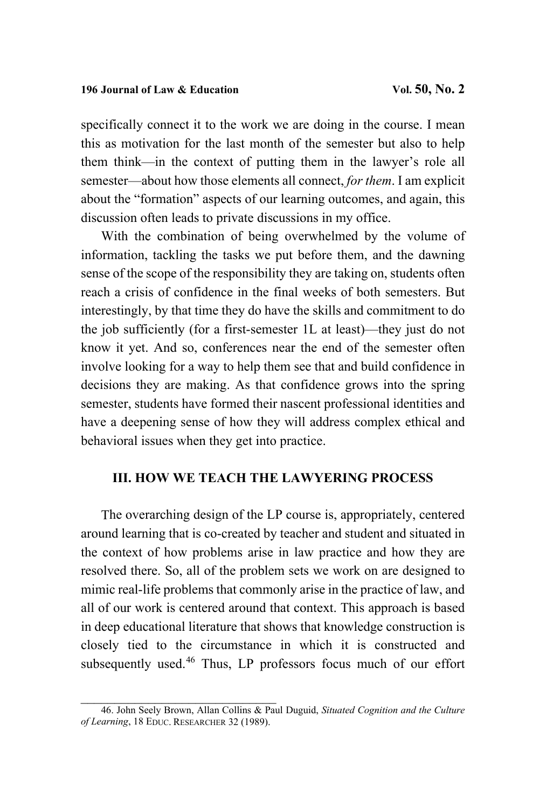specifically connect it to the work we are doing in the course. I mean this as motivation for the last month of the semester but also to help them think—in the context of putting them in the lawyer's role all semester—about how those elements all connect, *for them*. I am explicit about the "formation" aspects of our learning outcomes, and again, this discussion often leads to private discussions in my office.

With the combination of being overwhelmed by the volume of information, tackling the tasks we put before them, and the dawning sense of the scope of the responsibility they are taking on, students often reach a crisis of confidence in the final weeks of both semesters. But interestingly, by that time they do have the skills and commitment to do the job sufficiently (for a first-semester 1L at least)—they just do not know it yet. And so, conferences near the end of the semester often involve looking for a way to help them see that and build confidence in decisions they are making. As that confidence grows into the spring semester, students have formed their nascent professional identities and have a deepening sense of how they will address complex ethical and behavioral issues when they get into practice.

# **III. HOW WE TEACH THE LAWYERING PROCESS**

The overarching design of the LP course is, appropriately, centered around learning that is co-created by teacher and student and situated in the context of how problems arise in law practice and how they are resolved there. So, all of the problem sets we work on are designed to mimic real-life problems that commonly arise in the practice of law, and all of our work is centered around that context. This approach is based in deep educational literature that shows that knowledge construction is closely tied to the circumstance in which it is constructed and subsequently used.<sup>[46](#page-28-0)</sup> Thus, LP professors focus much of our effort

<span id="page-28-0"></span>\_\_\_\_\_\_\_\_\_\_\_\_\_\_\_\_\_\_\_\_\_\_\_\_\_\_\_\_\_ 46. John Seely Brown, Allan Collins & Paul Duguid, *Situated Cognition and the Culture of Learning*, 18 EDUC. RESEARCHER 32 (1989).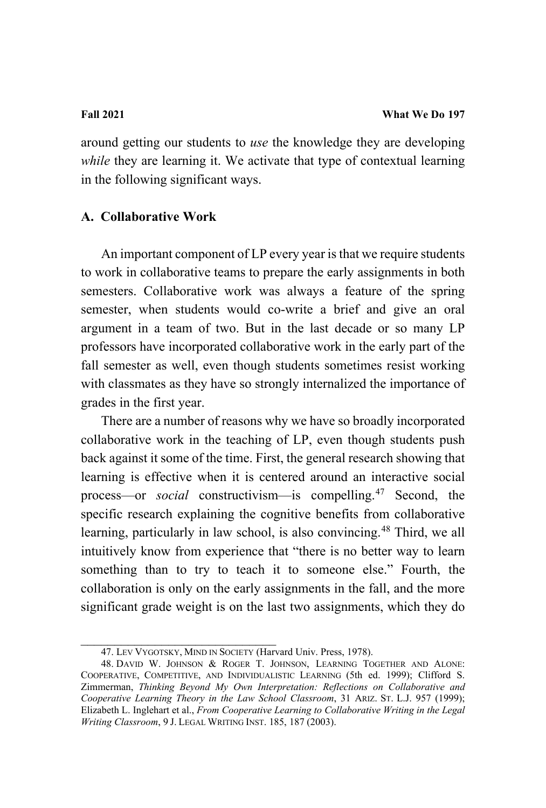around getting our students to *use* the knowledge they are developing *while* they are learning it. We activate that type of contextual learning in the following significant ways.

# **A. Collaborative Work**

An important component of LP every year is that we require students to work in collaborative teams to prepare the early assignments in both semesters. Collaborative work was always a feature of the spring semester, when students would co-write a brief and give an oral argument in a team of two. But in the last decade or so many LP professors have incorporated collaborative work in the early part of the fall semester as well, even though students sometimes resist working with classmates as they have so strongly internalized the importance of grades in the first year.

There are a number of reasons why we have so broadly incorporated collaborative work in the teaching of LP, even though students push back against it some of the time. First, the general research showing that learning is effective when it is centered around an interactive social process—or *social* constructivism—is compelling.[47](#page-29-0) Second, the specific research explaining the cognitive benefits from collaborative learning, particularly in law school, is also convincing.<sup>[48](#page-29-1)</sup> Third, we all intuitively know from experience that "there is no better way to learn something than to try to teach it to someone else." Fourth, the collaboration is only on the early assignments in the fall, and the more significant grade weight is on the last two assignments, which they do

<sup>47.</sup> LEV VYGOTSKY, MIND IN SOCIETY (Harvard Univ. Press, 1978).

<span id="page-29-1"></span><span id="page-29-0"></span><sup>48.</sup> DAVID W. JOHNSON & ROGER T. JOHNSON, LEARNING TOGETHER AND ALONE: COOPERATIVE, COMPETITIVE, AND INDIVIDUALISTIC LEARNING (5th ed. 1999); Clifford S. Zimmerman, *Thinking Beyond My Own Interpretation: Reflections on Collaborative and Cooperative Learning Theory in the Law School Classroom*, 31 ARIZ. ST. L.J. 957 (1999); Elizabeth L. Inglehart et al., *From Cooperative Learning to Collaborative Writing in the Legal Writing Classroom*, 9 J. LEGAL WRITING INST. 185, 187 (2003).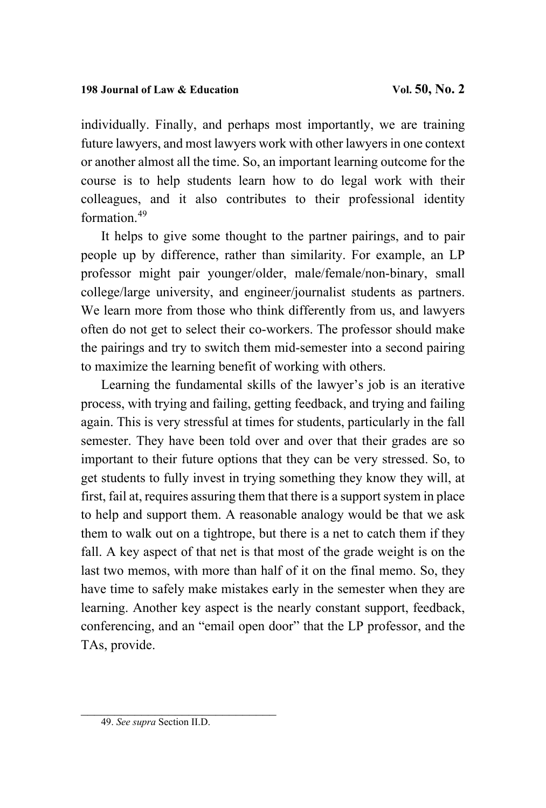individually. Finally, and perhaps most importantly, we are training future lawyers, and most lawyers work with other lawyers in one context or another almost all the time. So, an important learning outcome for the course is to help students learn how to do legal work with their colleagues, and it also contributes to their professional identity formation.[49](#page-30-0)

It helps to give some thought to the partner pairings, and to pair people up by difference, rather than similarity. For example, an LP professor might pair younger/older, male/female/non-binary, small college/large university, and engineer/journalist students as partners. We learn more from those who think differently from us, and lawyers often do not get to select their co-workers. The professor should make the pairings and try to switch them mid-semester into a second pairing to maximize the learning benefit of working with others.

Learning the fundamental skills of the lawyer's job is an iterative process, with trying and failing, getting feedback, and trying and failing again. This is very stressful at times for students, particularly in the fall semester. They have been told over and over that their grades are so important to their future options that they can be very stressed. So, to get students to fully invest in trying something they know they will, at first, fail at, requires assuring them that there is a support system in place to help and support them. A reasonable analogy would be that we ask them to walk out on a tightrope, but there is a net to catch them if they fall. A key aspect of that net is that most of the grade weight is on the last two memos, with more than half of it on the final memo. So, they have time to safely make mistakes early in the semester when they are learning. Another key aspect is the nearly constant support, feedback, conferencing, and an "email open door" that the LP professor, and the TAs, provide.

<span id="page-30-0"></span><sup>49.</sup> *See supra* Section II.D.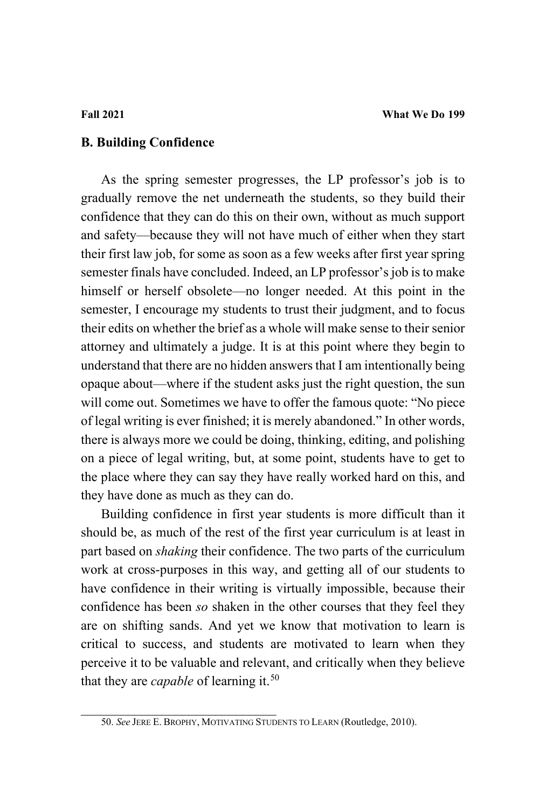# **B. Building Confidence**

As the spring semester progresses, the LP professor's job is to gradually remove the net underneath the students, so they build their confidence that they can do this on their own, without as much support and safety—because they will not have much of either when they start their first law job, for some as soon as a few weeks after first year spring semester finals have concluded. Indeed, an LP professor's job is to make himself or herself obsolete—no longer needed. At this point in the semester, I encourage my students to trust their judgment, and to focus their edits on whether the brief as a whole will make sense to their senior attorney and ultimately a judge. It is at this point where they begin to understand that there are no hidden answers that I am intentionally being opaque about—where if the student asks just the right question, the sun will come out. Sometimes we have to offer the famous quote: "No piece of legal writing is ever finished; it is merely abandoned." In other words, there is always more we could be doing, thinking, editing, and polishing on a piece of legal writing, but, at some point, students have to get to the place where they can say they have really worked hard on this, and they have done as much as they can do.

Building confidence in first year students is more difficult than it should be, as much of the rest of the first year curriculum is at least in part based on *shaking* their confidence. The two parts of the curriculum work at cross-purposes in this way, and getting all of our students to have confidence in their writing is virtually impossible, because their confidence has been *so* shaken in the other courses that they feel they are on shifting sands. And yet we know that motivation to learn is critical to success, and students are motivated to learn when they perceive it to be valuable and relevant, and critically when they believe that they are *capable* of learning it.<sup>[50](#page-31-0)</sup>

<span id="page-31-0"></span>\_\_\_\_\_\_\_\_\_\_\_\_\_\_\_\_\_\_\_\_\_\_\_\_\_\_\_\_\_ 50. *See* JERE E. BROPHY, MOTIVATING STUDENTS TO LEARN (Routledge, 2010).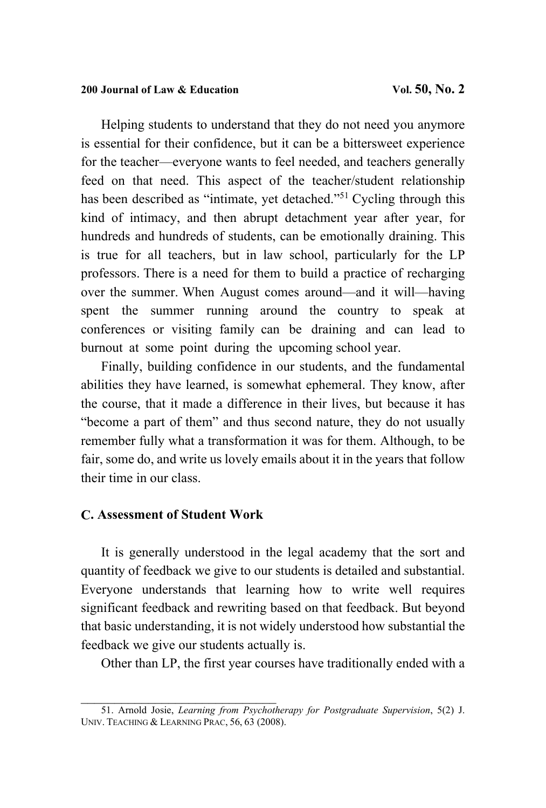Helping students to understand that they do not need you anymore is essential for their confidence, but it can be a bittersweet experience for the teacher—everyone wants to feel needed, and teachers generally feed on that need. This aspect of the teacher/student relationship has been described as "intimate, yet detached."<sup>[51](#page-32-0)</sup> Cycling through this kind of intimacy, and then abrupt detachment year after year, for hundreds and hundreds of students, can be emotionally draining. This is true for all teachers, but in law school, particularly for the LP professors. There is a need for them to build a practice of recharging over the summer. When August comes around—and it will—having spent the summer running around the country to speak at conferences or visiting family can be draining and can lead to burnout at some point during the upcoming school year.

Finally, building confidence in our students, and the fundamental abilities they have learned, is somewhat ephemeral. They know, after the course, that it made a difference in their lives, but because it has "become a part of them" and thus second nature, they do not usually remember fully what a transformation it was for them. Although, to be fair, some do, and write us lovely emails about it in the years that follow their time in our class.

# **C. Assessment of Student Work**

It is generally understood in the legal academy that the sort and quantity of feedback we give to our students is detailed and substantial. Everyone understands that learning how to write well requires significant feedback and rewriting based on that feedback. But beyond that basic understanding, it is not widely understood how substantial the feedback we give our students actually is.

Other than LP, the first year courses have traditionally ended with a

<span id="page-32-0"></span>\_\_\_\_\_\_\_\_\_\_\_\_\_\_\_\_\_\_\_\_\_\_\_\_\_\_\_\_\_ 51. Arnold Josie, *Learning from Psychotherapy for Postgraduate Supervision*, 5(2) J. UNIV. TEACHING & LEARNING PRAC, 56, 63 (2008).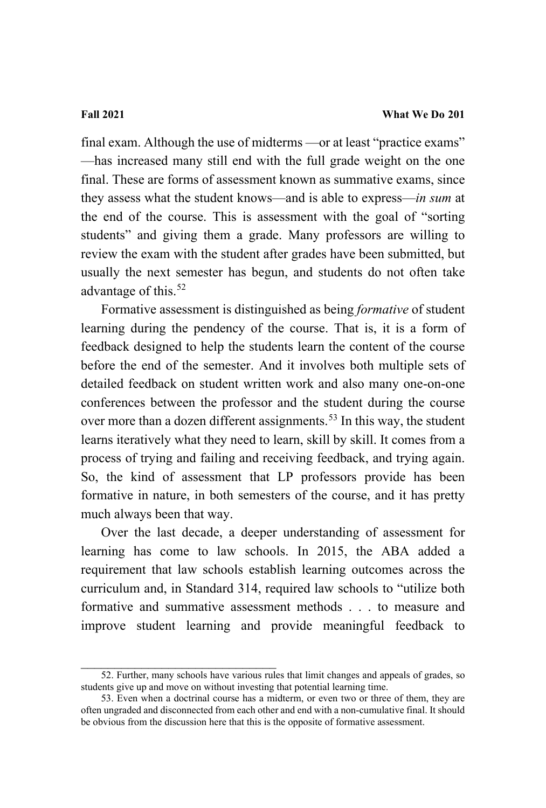final exam. Although the use of midterms —or at least "practice exams" —has increased many still end with the full grade weight on the one final. These are forms of assessment known as summative exams, since they assess what the student knows—and is able to express—*in sum* at the end of the course. This is assessment with the goal of "sorting students" and giving them a grade. Many professors are willing to review the exam with the student after grades have been submitted, but usually the next semester has begun, and students do not often take advantage of this.<sup>52</sup>

Formative assessment is distinguished as being *formative* of student learning during the pendency of the course. That is, it is a form of feedback designed to help the students learn the content of the course before the end of the semester. And it involves both multiple sets of detailed feedback on student written work and also many one-on-one conferences between the professor and the student during the course over more than a dozen different assignments.<sup>[53](#page-33-1)</sup> In this way, the student learns iteratively what they need to learn, skill by skill. It comes from a process of trying and failing and receiving feedback, and trying again. So, the kind of assessment that LP professors provide has been formative in nature, in both semesters of the course, and it has pretty much always been that way.

Over the last decade, a deeper understanding of assessment for learning has come to law schools. In 2015, the ABA added a requirement that law schools establish learning outcomes across the curriculum and, in Standard 314, required law schools to "utilize both formative and summative assessment methods . . . to measure and improve student learning and provide meaningful feedback to

<span id="page-33-0"></span><sup>52.</sup> Further, many schools have various rules that limit changes and appeals of grades, so students give up and move on without investing that potential learning time.

<span id="page-33-1"></span><sup>53.</sup> Even when a doctrinal course has a midterm, or even two or three of them, they are often ungraded and disconnected from each other and end with a non-cumulative final. It should be obvious from the discussion here that this is the opposite of formative assessment.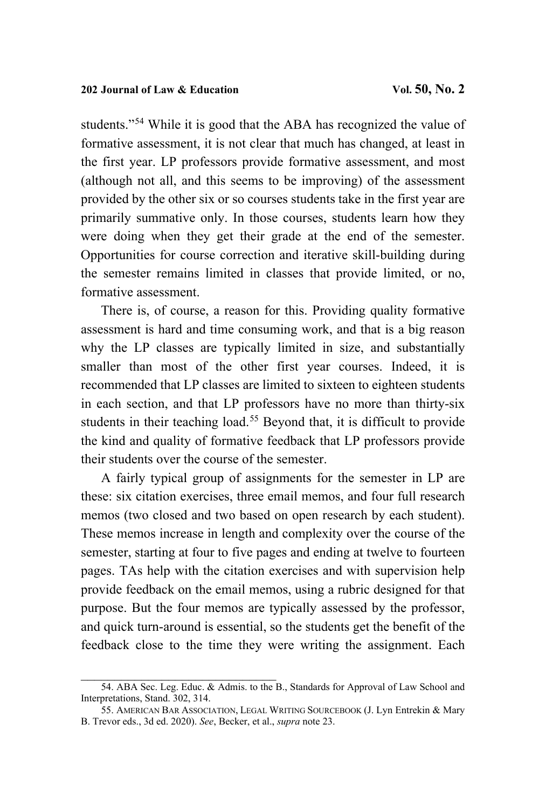students."[54](#page-34-0) While it is good that the ABA has recognized the value of formative assessment, it is not clear that much has changed, at least in the first year. LP professors provide formative assessment, and most (although not all, and this seems to be improving) of the assessment provided by the other six or so courses students take in the first year are primarily summative only. In those courses, students learn how they were doing when they get their grade at the end of the semester. Opportunities for course correction and iterative skill-building during the semester remains limited in classes that provide limited, or no, formative assessment.

There is, of course, a reason for this. Providing quality formative assessment is hard and time consuming work, and that is a big reason why the LP classes are typically limited in size, and substantially smaller than most of the other first year courses. Indeed, it is recommended that LP classes are limited to sixteen to eighteen students in each section, and that LP professors have no more than thirty-six students in their teaching load.<sup>[55](#page-34-1)</sup> Beyond that, it is difficult to provide the kind and quality of formative feedback that LP professors provide their students over the course of the semester.

A fairly typical group of assignments for the semester in LP are these: six citation exercises, three email memos, and four full research memos (two closed and two based on open research by each student). These memos increase in length and complexity over the course of the semester, starting at four to five pages and ending at twelve to fourteen pages. TAs help with the citation exercises and with supervision help provide feedback on the email memos, using a rubric designed for that purpose. But the four memos are typically assessed by the professor, and quick turn-around is essential, so the students get the benefit of the feedback close to the time they were writing the assignment. Each

 $\mathcal{L}_\mathcal{L}$  , which is a set of the set of the set of the set of the set of the set of the set of the set of the set of the set of the set of the set of the set of the set of the set of the set of the set of the set of

<span id="page-34-0"></span><sup>54.</sup> ABA Sec. Leg. Educ. & Admis. to the B., Standards for Approval of Law School and Interpretations, Stand. 302, 314.

<span id="page-34-1"></span><sup>55.</sup> AMERICAN BAR ASSOCIATION, LEGAL WRITING SOURCEBOOK (J. Lyn Entrekin & Mary B. Trevor eds., 3d ed. 2020). *See*, Becker, et al., *supra* note [23.](#page-13-2)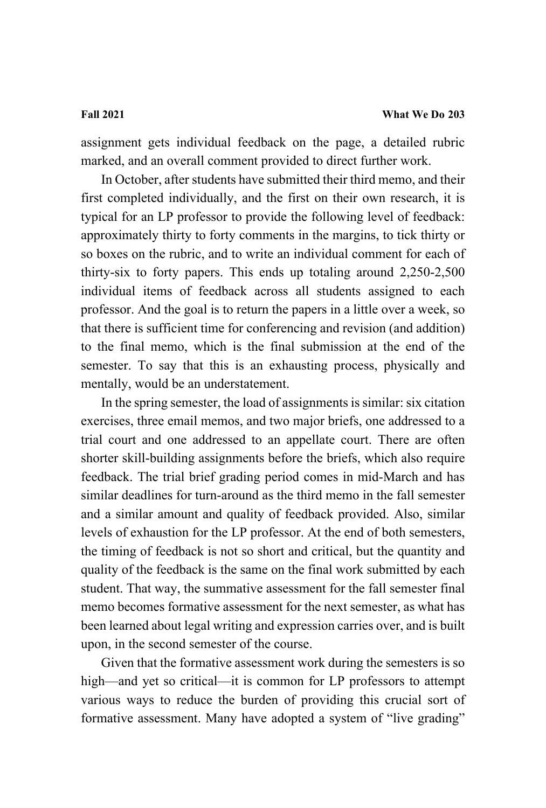assignment gets individual feedback on the page, a detailed rubric marked, and an overall comment provided to direct further work.

In October, after students have submitted their third memo, and their first completed individually, and the first on their own research, it is typical for an LP professor to provide the following level of feedback: approximately thirty to forty comments in the margins, to tick thirty or so boxes on the rubric, and to write an individual comment for each of thirty-six to forty papers. This ends up totaling around 2,250-2,500 individual items of feedback across all students assigned to each professor. And the goal is to return the papers in a little over a week, so that there is sufficient time for conferencing and revision (and addition) to the final memo, which is the final submission at the end of the semester. To say that this is an exhausting process, physically and mentally, would be an understatement.

In the spring semester, the load of assignments is similar: six citation exercises, three email memos, and two major briefs, one addressed to a trial court and one addressed to an appellate court. There are often shorter skill-building assignments before the briefs, which also require feedback. The trial brief grading period comes in mid-March and has similar deadlines for turn-around as the third memo in the fall semester and a similar amount and quality of feedback provided. Also, similar levels of exhaustion for the LP professor. At the end of both semesters, the timing of feedback is not so short and critical, but the quantity and quality of the feedback is the same on the final work submitted by each student. That way, the summative assessment for the fall semester final memo becomes formative assessment for the next semester, as what has been learned about legal writing and expression carries over, and is built upon, in the second semester of the course.

Given that the formative assessment work during the semesters is so high—and yet so critical—it is common for LP professors to attempt various ways to reduce the burden of providing this crucial sort of formative assessment. Many have adopted a system of "live grading"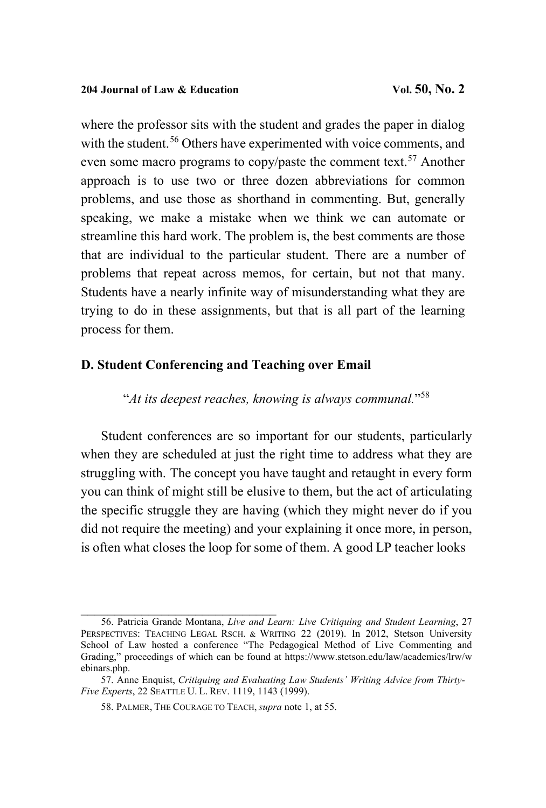where the professor sits with the student and grades the paper in dialog with the student.<sup>[56](#page-36-0)</sup> Others have experimented with voice comments, and even some macro programs to copy/paste the comment text.<sup>[57](#page-36-1)</sup> Another approach is to use two or three dozen abbreviations for common problems, and use those as shorthand in commenting. But, generally speaking, we make a mistake when we think we can automate or streamline this hard work. The problem is, the best comments are those that are individual to the particular student. There are a number of problems that repeat across memos, for certain, but not that many. Students have a nearly infinite way of misunderstanding what they are trying to do in these assignments, but that is all part of the learning process for them.

### **D. Student Conferencing and Teaching over Email**

"*At its deepest reaches, knowing is always communal.*" [58](#page-36-2)

Student conferences are so important for our students, particularly when they are scheduled at just the right time to address what they are struggling with. The concept you have taught and retaught in every form you can think of might still be elusive to them, but the act of articulating the specific struggle they are having (which they might never do if you did not require the meeting) and your explaining it once more, in person, is often what closes the loop for some of them. A good LP teacher looks

\_\_\_\_\_\_\_\_\_\_\_\_\_\_\_\_\_\_\_\_\_\_\_\_\_\_\_\_\_

<span id="page-36-0"></span><sup>56.</sup> Patricia Grande Montana, *Live and Learn: Live Critiquing and Student Learning*, 27 PERSPECTIVES: TEACHING LEGAL RSCH. & WRITING 22 (2019). In 2012, Stetson University School of Law hosted a conference "The Pedagogical Method of Live Commenting and Grading," proceedings of which can be found at https://www.stetson.edu/law/academics/lrw/w ebinars.php.

<span id="page-36-2"></span><span id="page-36-1"></span><sup>57.</sup> Anne Enquist, *Critiquing and Evaluating Law Students' Writing Advice from Thirty-Five Experts*, 22 SEATTLE U. L. REV. 1119, 1143 (1999).

<sup>58.</sup> PALMER, THE COURAGE TO TEACH, *supra* note [1,](#page-3-0) at 55.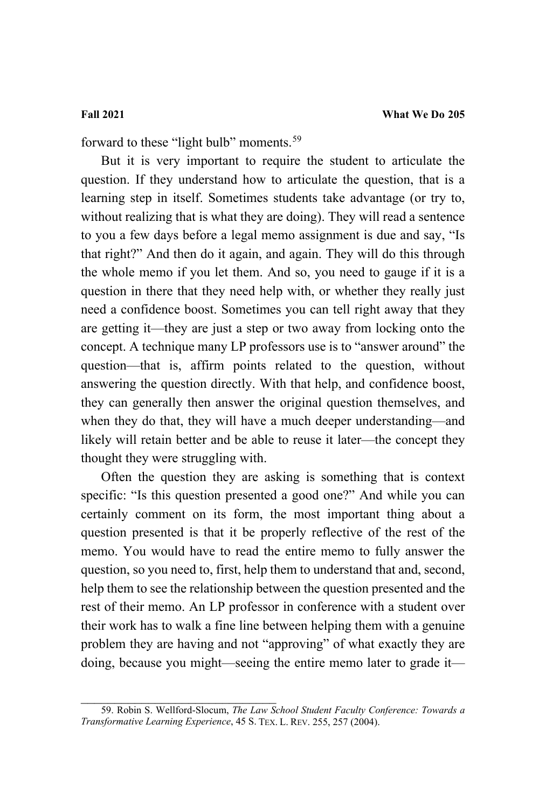forward to these "light bulb" moments.<sup>[59](#page-37-0)</sup>

But it is very important to require the student to articulate the question. If they understand how to articulate the question, that is a learning step in itself. Sometimes students take advantage (or try to, without realizing that is what they are doing). They will read a sentence to you a few days before a legal memo assignment is due and say, "Is that right?" And then do it again, and again. They will do this through the whole memo if you let them. And so, you need to gauge if it is a question in there that they need help with, or whether they really just need a confidence boost. Sometimes you can tell right away that they are getting it—they are just a step or two away from locking onto the concept. A technique many LP professors use is to "answer around" the question—that is, affirm points related to the question, without answering the question directly. With that help, and confidence boost, they can generally then answer the original question themselves, and when they do that, they will have a much deeper understanding—and likely will retain better and be able to reuse it later—the concept they thought they were struggling with.

Often the question they are asking is something that is context specific: "Is this question presented a good one?" And while you can certainly comment on its form, the most important thing about a question presented is that it be properly reflective of the rest of the memo. You would have to read the entire memo to fully answer the question, so you need to, first, help them to understand that and, second, help them to see the relationship between the question presented and the rest of their memo. An LP professor in conference with a student over their work has to walk a fine line between helping them with a genuine problem they are having and not "approving" of what exactly they are doing, because you might—seeing the entire memo later to grade it—

<span id="page-37-0"></span>\_\_\_\_\_\_\_\_\_\_\_\_\_\_\_\_\_\_\_\_\_\_\_\_\_\_\_\_\_ 59. Robin S. Wellford-Slocum, *The Law School Student Faculty Conference: Towards a Transformative Learning Experience*, 45 S. TEX. L. REV. 255, 257 (2004).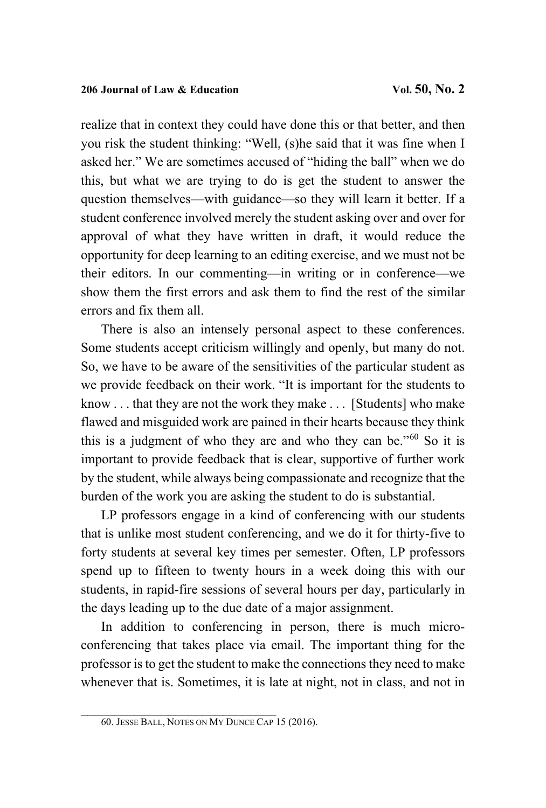realize that in context they could have done this or that better, and then you risk the student thinking: "Well, (s)he said that it was fine when I asked her." We are sometimes accused of "hiding the ball" when we do this, but what we are trying to do is get the student to answer the question themselves—with guidance—so they will learn it better. If a student conference involved merely the student asking over and over for approval of what they have written in draft, it would reduce the opportunity for deep learning to an editing exercise, and we must not be their editors. In our commenting—in writing or in conference—we show them the first errors and ask them to find the rest of the similar errors and fix them all.

There is also an intensely personal aspect to these conferences. Some students accept criticism willingly and openly, but many do not. So, we have to be aware of the sensitivities of the particular student as we provide feedback on their work. "It is important for the students to know . . . that they are not the work they make . . . [Students] who make flawed and misguided work are pained in their hearts because they think this is a judgment of who they are and who they can be."[60](#page-38-0) So it is important to provide feedback that is clear, supportive of further work by the student, while always being compassionate and recognize that the burden of the work you are asking the student to do is substantial.

LP professors engage in a kind of conferencing with our students that is unlike most student conferencing, and we do it for thirty-five to forty students at several key times per semester. Often, LP professors spend up to fifteen to twenty hours in a week doing this with our students, in rapid-fire sessions of several hours per day, particularly in the days leading up to the due date of a major assignment.

In addition to conferencing in person, there is much microconferencing that takes place via email. The important thing for the professor is to get the student to make the connections they need to make whenever that is. Sometimes, it is late at night, not in class, and not in

<span id="page-38-0"></span>\_\_\_\_\_\_\_\_\_\_\_\_\_\_\_\_\_\_\_\_\_\_\_\_\_\_\_\_\_ 60. JESSE BALL, NOTES ON MY DUNCE CAP 15 (2016).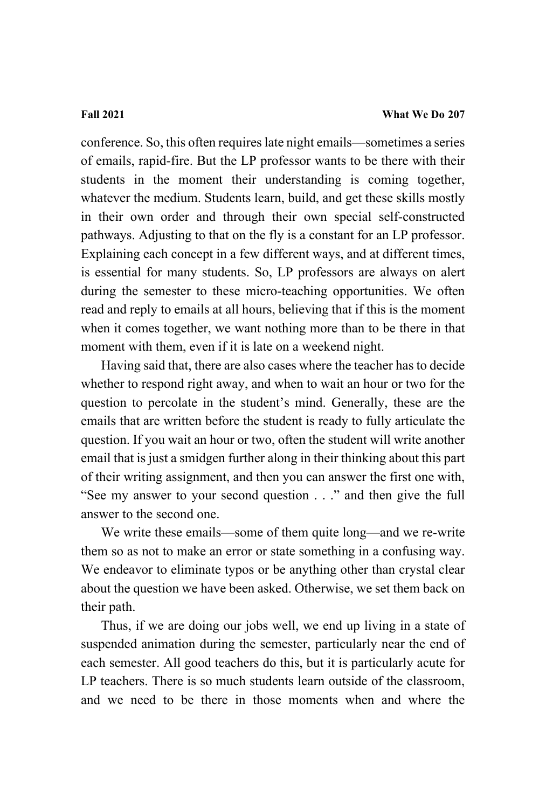conference. So, this often requires late night emails—sometimes a series of emails, rapid-fire. But the LP professor wants to be there with their students in the moment their understanding is coming together, whatever the medium. Students learn, build, and get these skills mostly in their own order and through their own special self-constructed pathways. Adjusting to that on the fly is a constant for an LP professor. Explaining each concept in a few different ways, and at different times, is essential for many students. So, LP professors are always on alert during the semester to these micro-teaching opportunities. We often read and reply to emails at all hours, believing that if this is the moment when it comes together, we want nothing more than to be there in that moment with them, even if it is late on a weekend night.

Having said that, there are also cases where the teacher has to decide whether to respond right away, and when to wait an hour or two for the question to percolate in the student's mind. Generally, these are the emails that are written before the student is ready to fully articulate the question. If you wait an hour or two, often the student will write another email that is just a smidgen further along in their thinking about this part of their writing assignment, and then you can answer the first one with, "See my answer to your second question . . ." and then give the full answer to the second one.

We write these emails—some of them quite long—and we re-write them so as not to make an error or state something in a confusing way. We endeavor to eliminate typos or be anything other than crystal clear about the question we have been asked. Otherwise, we set them back on their path.

Thus, if we are doing our jobs well, we end up living in a state of suspended animation during the semester, particularly near the end of each semester. All good teachers do this, but it is particularly acute for LP teachers. There is so much students learn outside of the classroom, and we need to be there in those moments when and where the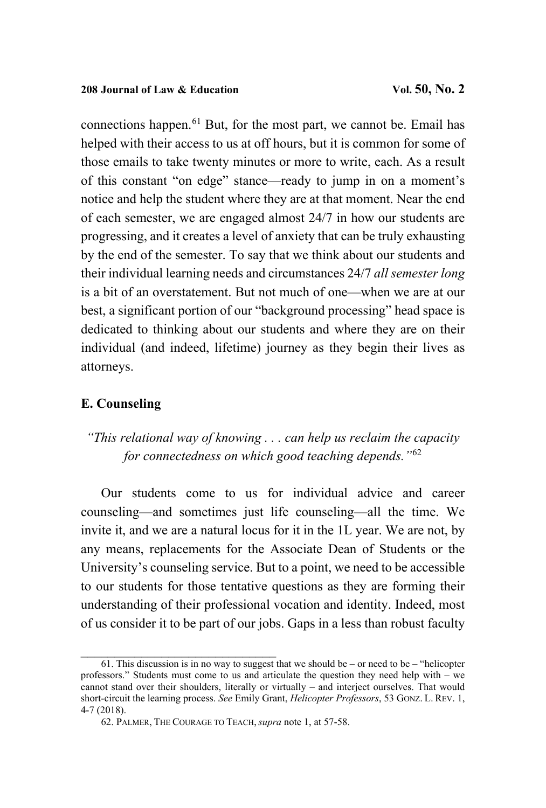connections happen.[61](#page-40-0) But, for the most part, we cannot be. Email has helped with their access to us at off hours, but it is common for some of those emails to take twenty minutes or more to write, each. As a result of this constant "on edge" stance—ready to jump in on a moment's notice and help the student where they are at that moment. Near the end of each semester, we are engaged almost 24/7 in how our students are progressing, and it creates a level of anxiety that can be truly exhausting by the end of the semester. To say that we think about our students and their individual learning needs and circumstances 24/7 *all semester long* is a bit of an overstatement. But not much of one—when we are at our best, a significant portion of our "background processing" head space is dedicated to thinking about our students and where they are on their individual (and indeed, lifetime) journey as they begin their lives as attorneys.

## **E. Counseling**

*"This relational way of knowing . . . can help us reclaim the capacity for connectedness on which good teaching depends."*[62](#page-40-1)

Our students come to us for individual advice and career counseling—and sometimes just life counseling—all the time. We invite it, and we are a natural locus for it in the 1L year. We are not, by any means, replacements for the Associate Dean of Students or the University's counseling service. But to a point, we need to be accessible to our students for those tentative questions as they are forming their understanding of their professional vocation and identity. Indeed, most of us consider it to be part of our jobs. Gaps in a less than robust faculty

<span id="page-40-1"></span><span id="page-40-0"></span> $61.$  This discussion is in no way to suggest that we should be – or need to be – "helicopter" professors." Students must come to us and articulate the question they need help with – we cannot stand over their shoulders, literally or virtually – and interject ourselves. That would short-circuit the learning process. *See* Emily Grant, *Helicopter Professors*, 53 GONZ. L. REV. 1, 4-7 (2018).

<sup>62.</sup> PALMER, THE COURAGE TO TEACH, *supra* not[e 1,](#page-3-0) at 57-58.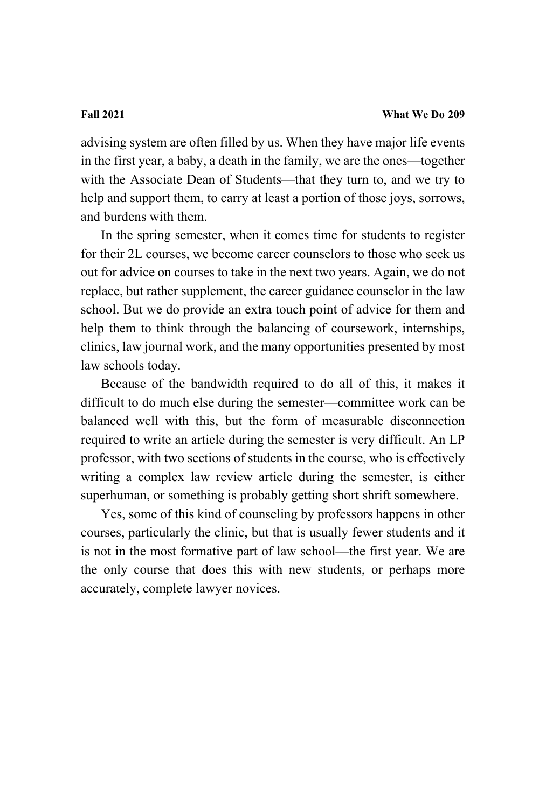advising system are often filled by us. When they have major life events in the first year, a baby, a death in the family, we are the ones—together with the Associate Dean of Students—that they turn to, and we try to help and support them, to carry at least a portion of those joys, sorrows, and burdens with them.

In the spring semester, when it comes time for students to register for their 2L courses, we become career counselors to those who seek us out for advice on courses to take in the next two years. Again, we do not replace, but rather supplement, the career guidance counselor in the law school. But we do provide an extra touch point of advice for them and help them to think through the balancing of coursework, internships, clinics, law journal work, and the many opportunities presented by most law schools today.

Because of the bandwidth required to do all of this, it makes it difficult to do much else during the semester—committee work can be balanced well with this, but the form of measurable disconnection required to write an article during the semester is very difficult. An LP professor, with two sections of students in the course, who is effectively writing a complex law review article during the semester, is either superhuman, or something is probably getting short shrift somewhere.

Yes, some of this kind of counseling by professors happens in other courses, particularly the clinic, but that is usually fewer students and it is not in the most formative part of law school—the first year. We are the only course that does this with new students, or perhaps more accurately, complete lawyer novices.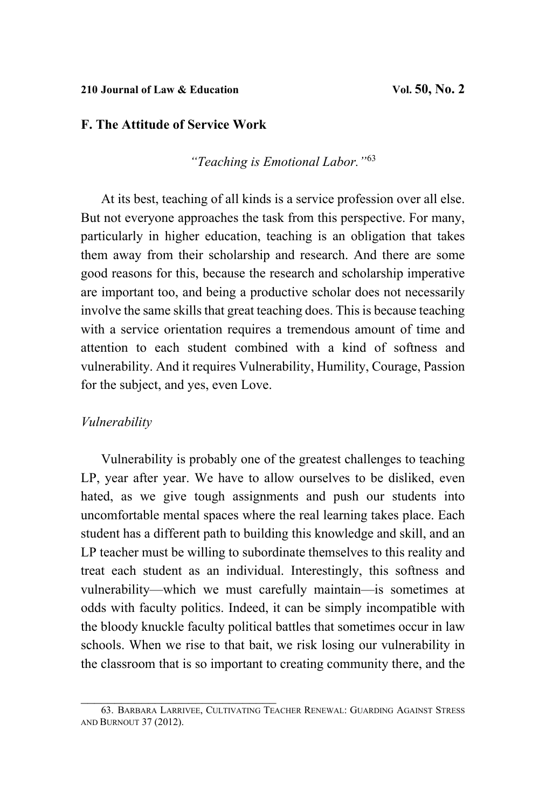### **210 Journal of Law & Education Vol. 50, No. 2**

### **F. The Attitude of Service Work**

*"Teaching is Emotional Labor."*[63](#page-42-0)

At its best, teaching of all kinds is a service profession over all else. But not everyone approaches the task from this perspective. For many, particularly in higher education, teaching is an obligation that takes them away from their scholarship and research. And there are some good reasons for this, because the research and scholarship imperative are important too, and being a productive scholar does not necessarily involve the same skills that great teaching does. This is because teaching with a service orientation requires a tremendous amount of time and attention to each student combined with a kind of softness and vulnerability. And it requires Vulnerability, Humility, Courage, Passion for the subject, and yes, even Love.

### *Vulnerability*

Vulnerability is probably one of the greatest challenges to teaching LP, year after year. We have to allow ourselves to be disliked, even hated, as we give tough assignments and push our students into uncomfortable mental spaces where the real learning takes place. Each student has a different path to building this knowledge and skill, and an LP teacher must be willing to subordinate themselves to this reality and treat each student as an individual. Interestingly, this softness and vulnerability—which we must carefully maintain—is sometimes at odds with faculty politics. Indeed, it can be simply incompatible with the bloody knuckle faculty political battles that sometimes occur in law schools. When we rise to that bait, we risk losing our vulnerability in the classroom that is so important to creating community there, and the

<span id="page-42-0"></span>\_\_\_\_\_\_\_\_\_\_\_\_\_\_\_\_\_\_\_\_\_\_\_\_\_\_\_\_\_ 63. BARBARA LARRIVEE, CULTIVATING TEACHER RENEWAL: GUARDING AGAINST STRESS AND BURNOUT 37 (2012).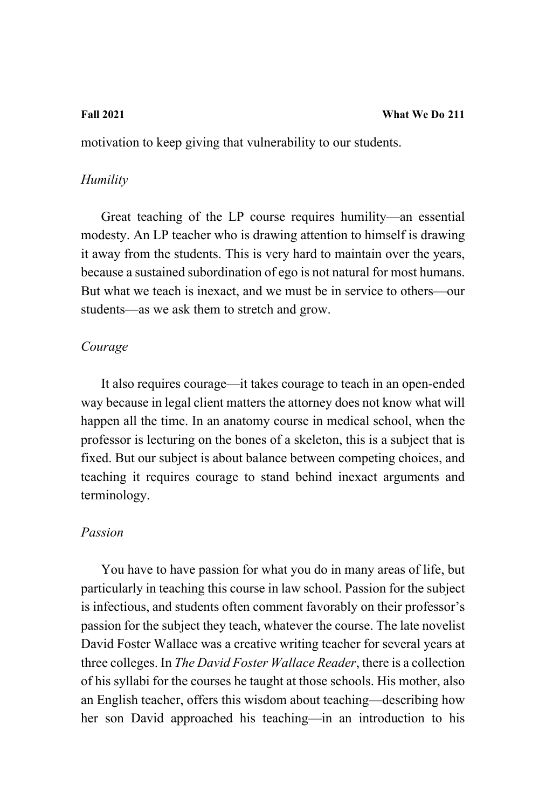motivation to keep giving that vulnerability to our students.

### *Humility*

Great teaching of the LP course requires humility—an essential modesty. An LP teacher who is drawing attention to himself is drawing it away from the students. This is very hard to maintain over the years, because a sustained subordination of ego is not natural for most humans. But what we teach is inexact, and we must be in service to others—our students—as we ask them to stretch and grow.

### *Courage*

It also requires courage—it takes courage to teach in an open-ended way because in legal client matters the attorney does not know what will happen all the time. In an anatomy course in medical school, when the professor is lecturing on the bones of a skeleton, this is a subject that is fixed. But our subject is about balance between competing choices, and teaching it requires courage to stand behind inexact arguments and terminology.

### *Passion*

You have to have passion for what you do in many areas of life, but particularly in teaching this course in law school. Passion for the subject is infectious, and students often comment favorably on their professor's passion for the subject they teach, whatever the course. The late novelist David Foster Wallace was a creative writing teacher for several years at three colleges. In *The David Foster Wallace Reader*, there is a collection of his syllabi for the courses he taught at those schools. His mother, also an English teacher, offers this wisdom about teaching—describing how her son David approached his teaching—in an introduction to his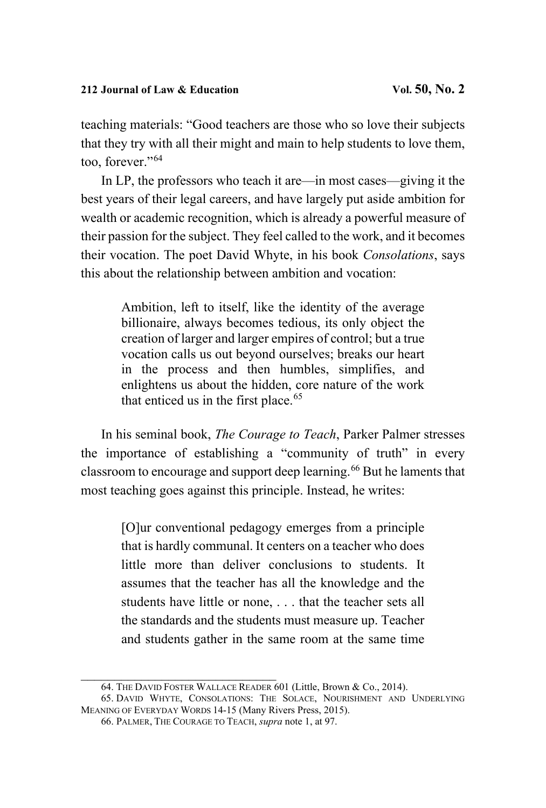teaching materials: "Good teachers are those who so love their subjects that they try with all their might and main to help students to love them, too, forever."[64](#page-44-0)

In LP, the professors who teach it are—in most cases—giving it the best years of their legal careers, and have largely put aside ambition for wealth or academic recognition, which is already a powerful measure of their passion for the subject. They feel called to the work, and it becomes their vocation. The poet David Whyte, in his book *Consolations*, says this about the relationship between ambition and vocation:

> Ambition, left to itself, like the identity of the average billionaire, always becomes tedious, its only object the creation of larger and larger empires of control; but a true vocation calls us out beyond ourselves; breaks our heart in the process and then humbles, simplifies, and enlightens us about the hidden, core nature of the work that enticed us in the first place. $65$

In his seminal book, *The Courage to Teach*, Parker Palmer stresses the importance of establishing a "community of truth" in every classroom to encourage and support deep learning.[66](#page-44-2) But he laments that most teaching goes against this principle. Instead, he writes:

> [O]ur conventional pedagogy emerges from a principle that is hardly communal. It centers on a teacher who does little more than deliver conclusions to students. It assumes that the teacher has all the knowledge and the students have little or none, . . . that the teacher sets all the standards and the students must measure up. Teacher and students gather in the same room at the same time

<sup>64.</sup> THE DAVID FOSTER WALLACE READER 601 (Little, Brown & Co., 2014).

<span id="page-44-2"></span><span id="page-44-1"></span><span id="page-44-0"></span><sup>65.</sup> DAVID WHYTE, CONSOLATIONS: THE SOLACE, NOURISHMENT AND UNDERLYING MEANING OF EVERYDAY WORDS 14-15 (Many Rivers Press, 2015).

<sup>66.</sup> PALMER, THE COURAGE TO TEACH, *supra* note [1,](#page-3-0) at 97.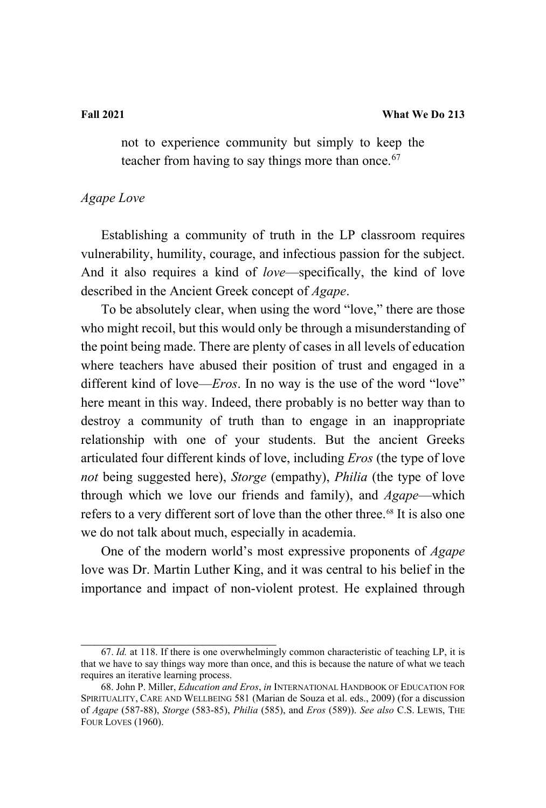not to experience community but simply to keep the teacher from having to say things more than once. $67$ 

# *Agape Love*

Establishing a community of truth in the LP classroom requires vulnerability, humility, courage, and infectious passion for the subject. And it also requires a kind of *love*—specifically, the kind of love described in the Ancient Greek concept of *Agape*.

To be absolutely clear, when using the word "love," there are those who might recoil, but this would only be through a misunderstanding of the point being made. There are plenty of cases in all levels of education where teachers have abused their position of trust and engaged in a different kind of love—*Eros*. In no way is the use of the word "love" here meant in this way. Indeed, there probably is no better way than to destroy a community of truth than to engage in an inappropriate relationship with one of your students. But the ancient Greeks articulated four different kinds of love, including *Eros* (the type of love *not* being suggested here), *Storge* (empathy), *Philia* (the type of love through which we love our friends and family), and *Agape*—which refers to a very different sort of love than the other three. [68](#page-45-1) It is also one we do not talk about much, especially in academia.

<span id="page-45-2"></span>One of the modern world's most expressive proponents of *Agape* love was Dr. Martin Luther King, and it was central to his belief in the importance and impact of non-violent protest. He explained through

<span id="page-45-0"></span>\_\_\_\_\_\_\_\_\_\_\_\_\_\_\_\_\_\_\_\_\_\_\_\_\_\_\_\_\_ 67. *Id.* at 118. If there is one overwhelmingly common characteristic of teaching LP, it is that we have to say things way more than once, and this is because the nature of what we teach requires an iterative learning process.

<span id="page-45-1"></span><sup>68.</sup> John P. Miller, *Education and Eros*, *in* INTERNATIONAL HANDBOOK OF EDUCATION FOR SPIRITUALITY, CARE AND WELLBEING 581 (Marian de Souza et al. eds., 2009) (for a discussion of *Agape* (587-88), *Storge* (583-85), *Philia* (585), and *Eros* (589)). *See also* C.S. LEWIS, THE FOUR LOVES (1960).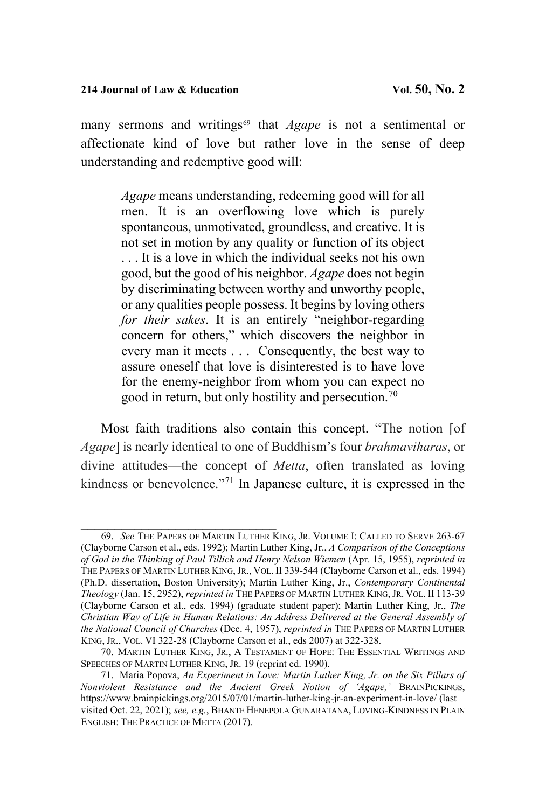many sermons and writings<sup>[69](#page-46-0)</sup> that *Agape* is not a sentimental or affectionate kind of love but rather love in the sense of deep understanding and redemptive good will:

*Agape* means understanding, redeeming good will for all men. It is an overflowing love which is purely spontaneous, unmotivated, groundless, and creative. It is not set in motion by any quality or function of its object . . . It is a love in which the individual seeks not his own good, but the good of his neighbor. *Agape* does not begin by discriminating between worthy and unworthy people, or any qualities people possess. It begins by loving others *for their sakes*. It is an entirely "neighbor-regarding concern for others," which discovers the neighbor in every man it meets . . . Consequently, the best way to assure oneself that love is disinterested is to have love for the enemy-neighbor from whom you can expect no good in return, but only hostility and persecution.<sup>[70](#page-46-1)</sup>

Most faith traditions also contain this concept. "The notion [of *Agape*] is nearly identical to one of Buddhism's four *brahmaviharas*, or divine attitudes—the concept of *Metta*, often translated as loving kindness or benevolence."[71](#page-46-2) In Japanese culture, it is expressed in the

<span id="page-46-0"></span>\_\_\_\_\_\_\_\_\_\_\_\_\_\_\_\_\_\_\_\_\_\_\_\_\_\_\_\_\_ 69. *See* THE PAPERS OF MARTIN LUTHER KING, JR. VOLUME I: CALLED TO SERVE 263-67 (Clayborne Carson et al., eds. 1992); Martin Luther King, Jr., *A Comparison of the Conceptions of God in the Thinking of Paul Tillich and Henry Nelson Wiemen* (Apr. 15, 1955), *reprinted in*  THE PAPERS OF MARTIN LUTHER KING, JR., VOL. II 339-544 (Clayborne Carson et al., eds. 1994) (Ph.D. dissertation, Boston University); Martin Luther King, Jr., *Contemporary Continental Theology* (Jan. 15, 2952), *reprinted in* THE PAPERS OF MARTIN LUTHER KING,JR. VOL. II 113-39 (Clayborne Carson et al., eds. 1994) (graduate student paper); Martin Luther King, Jr., *The Christian Way of Life in Human Relations: An Address Delivered at the General Assembly of the National Council of Churches* (Dec. 4, 1957), *reprinted in* THE PAPERS OF MARTIN LUTHER KING, JR., VOL. VI 322-28 (Clayborne Carson et al., eds 2007) at 322-328.

<span id="page-46-1"></span><sup>70.</sup> MARTIN LUTHER KING, JR., A TESTAMENT OF HOPE: THE ESSENTIAL WRITINGS AND SPEECHES OF MARTIN LUTHER KING, JR. 19 (reprint ed. 1990).

<span id="page-46-2"></span><sup>71.</sup> Maria Popova, *An Experiment in Love: Martin Luther King, Jr. on the Six Pillars of Nonviolent Resistance and the Ancient Greek Notion of 'Agape,'* BRAINPICKINGS, <https://www.brainpickings.org/2015/07/01/martin-luther-king-jr-an-experiment-in-love/> (last visited Oct. 22, 2021); *see, e.g.*, BHANTE HENEPOLA GUNARATANA, LOVING-KINDNESS IN PLAIN ENGLISH: THE PRACTICE OF METTA (2017).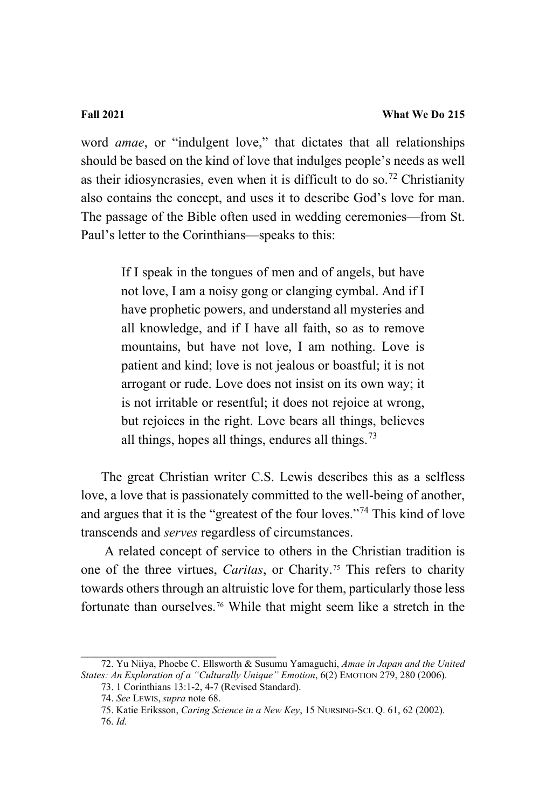word *amae*, or "indulgent love," that dictates that all relationships should be based on the kind of love that indulges people's needs as well as their idiosyncrasies, even when it is difficult to do so.<sup>[72](#page-47-0)</sup> Christianity also contains the concept, and uses it to describe God's love for man. The passage of the Bible often used in wedding ceremonies—from St. Paul's letter to the Corinthians—speaks to this:

> If I speak in the tongues of men and of angels, but have not love, I am a noisy gong or clanging cymbal. And if I have prophetic powers, and understand all mysteries and all knowledge, and if I have all faith, so as to remove mountains, but have not love, I am nothing. Love is patient and kind; love is not jealous or boastful; it is not arrogant or rude. Love does not insist on its own way; it is not irritable or resentful; it does not rejoice at wrong, but rejoices in the right. Love bears all things, believes all things, hopes all things, endures all things.  $73$

The great Christian writer C.S. Lewis describes this as a selfless love, a love that is passionately committed to the well-being of another, and argues that it is the "greatest of the four loves."[74](#page-47-2) This kind of love transcends and *serves* regardless of circumstances.

A related concept of service to others in the Christian tradition is one of the three virtues, *Caritas*, or Charity. [75](#page-47-3) This refers to charity towards others through an altruistic love for them, particularly those less fortunate than ourselves.[76](#page-47-4) While that might seem like a stretch in the

<span id="page-47-4"></span><span id="page-47-3"></span><span id="page-47-2"></span><span id="page-47-1"></span><span id="page-47-0"></span>\_\_\_\_\_\_\_\_\_\_\_\_\_\_\_\_\_\_\_\_\_\_\_\_\_\_\_\_\_ 72. Yu Niiya, Phoebe C. Ellsworth & Susumu Yamaguchi, *Amae in Japan and the United States: An Exploration of a "Culturally Unique" Emotion*, 6(2) EMOTION 279, 280 (2006).

<sup>73. 1</sup> Corinthians 13:1-2, 4-7 (Revised Standard).

<sup>74.</sup> *See* LEWIS, *supra* not[e 68.](#page-45-2)

<sup>75.</sup> Katie Eriksson, *Caring Science in a New Key*, 15 NURSING-SCI. Q. 61, 62 (2002). 76. *Id.*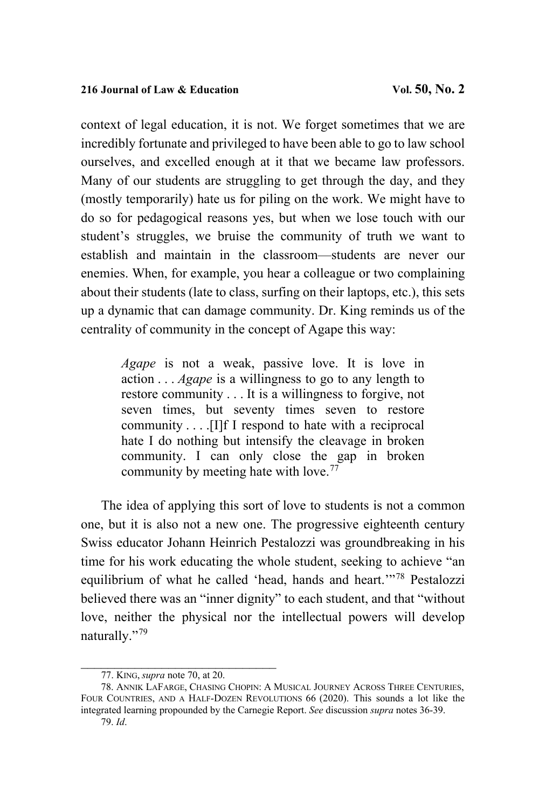context of legal education, it is not. We forget sometimes that we are incredibly fortunate and privileged to have been able to go to law school ourselves, and excelled enough at it that we became law professors. Many of our students are struggling to get through the day, and they (mostly temporarily) hate us for piling on the work. We might have to do so for pedagogical reasons yes, but when we lose touch with our student's struggles, we bruise the community of truth we want to establish and maintain in the classroom—students are never our enemies. When, for example, you hear a colleague or two complaining about their students (late to class, surfing on their laptops, etc.), this sets up a dynamic that can damage community. Dr. King reminds us of the centrality of community in the concept of Agape this way:

> *Agape* is not a weak, passive love. It is love in action . . . *Agape* is a willingness to go to any length to restore community . . . It is a willingness to forgive, not seven times, but seventy times seven to restore community . . . .[I]f I respond to hate with a reciprocal hate I do nothing but intensify the cleavage in broken community. I can only close the gap in broken community by meeting hate with love.<sup>[77](#page-48-0)</sup>

The idea of applying this sort of love to students is not a common one, but it is also not a new one. The progressive eighteenth century Swiss educator Johann Heinrich Pestalozzi was groundbreaking in his time for his work educating the whole student, seeking to achieve "an equilibrium of what he called 'head, hands and heart.'"[78](#page-48-1) Pestalozzi believed there was an "inner dignity" to each student, and that "without love, neither the physical nor the intellectual powers will develop naturally."[79](#page-48-2) 

<sup>77.</sup> KING, *supra* note 70, at 20.

<span id="page-48-2"></span><span id="page-48-1"></span><span id="page-48-0"></span><sup>78.</sup> ANNIK LAFARGE, CHASING CHOPIN: A MUSICAL JOURNEY ACROSS THREE CENTURIES, FOUR COUNTRIES, AND A HALF-DOZEN REVOLUTIONS 66 (2020). This sounds a lot like the integrated learning propounded by the Carnegie Report. *See* discussion *supra* notes 36-39. 79. *Id*.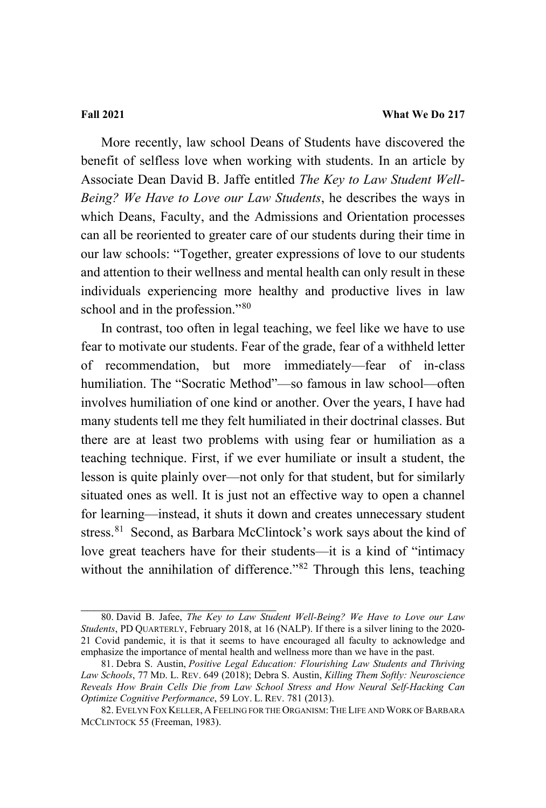More recently, law school Deans of Students have discovered the benefit of selfless love when working with students. In an article by Associate Dean David B. Jaffe entitled *The Key to Law Student Well-Being? We Have to Love our Law Students*, he describes the ways in which Deans, Faculty, and the Admissions and Orientation processes can all be reoriented to greater care of our students during their time in our law schools: "Together, greater expressions of love to our students and attention to their wellness and mental health can only result in these individuals experiencing more healthy and productive lives in law school and in the profession."<sup>[80](#page-49-0)</sup>

In contrast, too often in legal teaching, we feel like we have to use fear to motivate our students. Fear of the grade, fear of a withheld letter of recommendation, but more immediately—fear of in-class humiliation. The "Socratic Method"—so famous in law school—often involves humiliation of one kind or another. Over the years, I have had many students tell me they felt humiliated in their doctrinal classes. But there are at least two problems with using fear or humiliation as a teaching technique. First, if we ever humiliate or insult a student, the lesson is quite plainly over—not only for that student, but for similarly situated ones as well. It is just not an effective way to open a channel for learning—instead, it shuts it down and creates unnecessary student stress.<sup>[81](#page-49-1)</sup> Second, as Barbara McClintock's work says about the kind of love great teachers have for their students—it is a kind of "intimacy without the annihilation of difference."<sup>[82](#page-49-2)</sup> Through this lens, teaching

<span id="page-49-0"></span><sup>80.</sup> David B. Jafee, *The Key to Law Student Well-Being? We Have to Love our Law Students*, PD QUARTERLY, February 2018, at 16 (NALP). If there is a silver lining to the 2020- 21 Covid pandemic, it is that it seems to have encouraged all faculty to acknowledge and emphasize the importance of mental health and wellness more than we have in the past.

<span id="page-49-1"></span><sup>81.</sup> Debra S. Austin, *Positive Legal Education: Flourishing Law Students and Thriving Law Schools*, 77 MD. L. REV. 649 (2018); Debra S. Austin, *Killing Them Softly: Neuroscience Reveals How Brain Cells Die from Law School Stress and How Neural Self-Hacking Can Optimize Cognitive Performance*, 59 LOY. L. REV. 781 (2013).

<span id="page-49-2"></span><sup>82.</sup> EVELYN FOX KELLER, A FEELING FOR THE ORGANISM:THE LIFE AND WORK OF BARBARA MCCLINTOCK 55 (Freeman, 1983).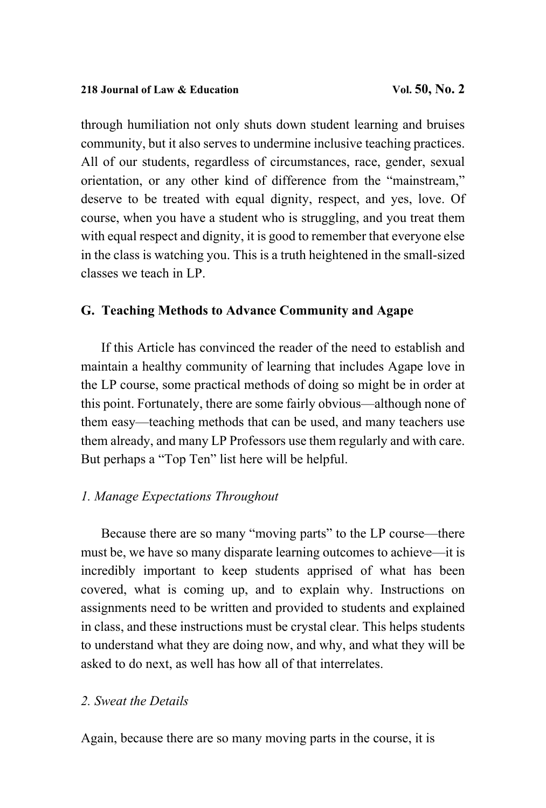through humiliation not only shuts down student learning and bruises community, but it also serves to undermine inclusive teaching practices. All of our students, regardless of circumstances, race, gender, sexual orientation, or any other kind of difference from the "mainstream," deserve to be treated with equal dignity, respect, and yes, love. Of course, when you have a student who is struggling, and you treat them with equal respect and dignity, it is good to remember that everyone else in the class is watching you. This is a truth heightened in the small-sized classes we teach in LP.

# **G. Teaching Methods to Advance Community and Agape**

If this Article has convinced the reader of the need to establish and maintain a healthy community of learning that includes Agape love in the LP course, some practical methods of doing so might be in order at this point. Fortunately, there are some fairly obvious—although none of them easy—teaching methods that can be used, and many teachers use them already, and many LP Professors use them regularly and with care. But perhaps a "Top Ten" list here will be helpful.

# *1. Manage Expectations Throughout*

Because there are so many "moving parts" to the LP course—there must be, we have so many disparate learning outcomes to achieve—it is incredibly important to keep students apprised of what has been covered, what is coming up, and to explain why. Instructions on assignments need to be written and provided to students and explained in class, and these instructions must be crystal clear. This helps students to understand what they are doing now, and why, and what they will be asked to do next, as well has how all of that interrelates.

## *2. Sweat the Details*

Again, because there are so many moving parts in the course, it is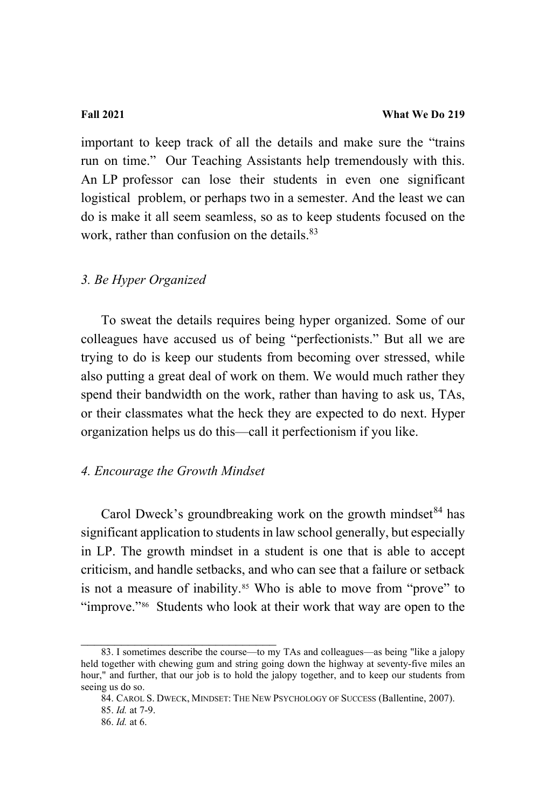important to keep track of all the details and make sure the "trains run on time." Our Teaching Assistants help tremendously with this. An LP professor can lose their students in even one significant logistical problem, or perhaps two in a semester. And the least we can do is make it all seem seamless, so as to keep students focused on the work, rather than confusion on the details. [83](#page-51-0)

### *3. Be Hyper Organized*

To sweat the details requires being hyper organized. Some of our colleagues have accused us of being "perfectionists." But all we are trying to do is keep our students from becoming over stressed, while also putting a great deal of work on them. We would much rather they spend their bandwidth on the work, rather than having to ask us, TAs, or their classmates what the heck they are expected to do next. Hyper organization helps us do this—call it perfectionism if you like.

# *4. Encourage the Growth Mindset*

Carol Dweck's groundbreaking work on the growth mindset  $84$  has significant application to students in law school generally, but especially in LP. The growth mindset in a student is one that is able to accept criticism, and handle setbacks, and who can see that a failure or setback is not a measure of inability. [85](#page-51-2) Who is able to move from "prove" to "improve."<sup>86</sup> Students who look at their work that way are open to the

<span id="page-51-1"></span><span id="page-51-0"></span><sup>83.</sup> I sometimes describe the course—to my TAs and colleagues—as being "like a jalopy held together with chewing gum and string going down the highway at seventy-five miles an hour," and further, that our job is to hold the jalopy together, and to keep our students from seeing us do so.

<span id="page-51-2"></span><sup>84.</sup> CAROL S. DWECK, MINDSET: THE NEW PSYCHOLOGY OF SUCCESS (Ballentine, 2007). 85. *Id.* at 7-9.

<span id="page-51-3"></span><sup>86.</sup> *Id.* at 6.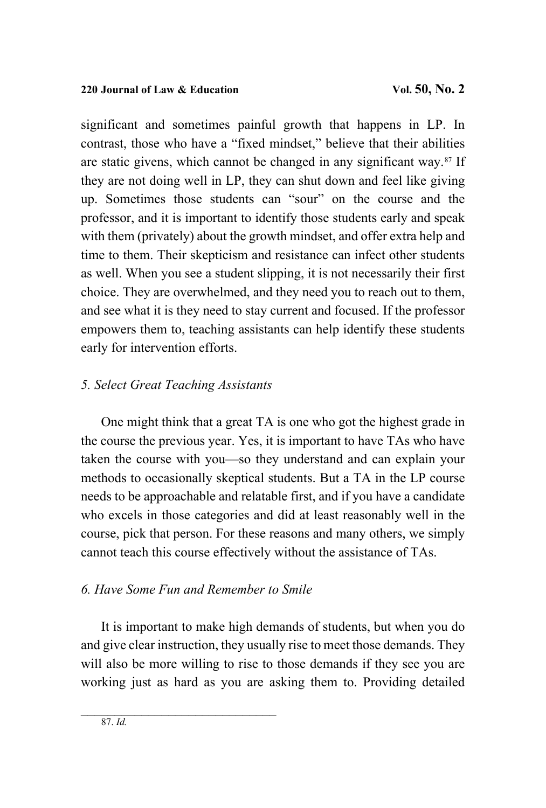significant and sometimes painful growth that happens in LP. In contrast, those who have a "fixed mindset," believe that their abilities are static givens, which cannot be changed in any significant way.[87](#page-52-0) If they are not doing well in LP, they can shut down and feel like giving up. Sometimes those students can "sour" on the course and the professor, and it is important to identify those students early and speak with them (privately) about the growth mindset, and offer extra help and time to them. Their skepticism and resistance can infect other students as well. When you see a student slipping, it is not necessarily their first choice. They are overwhelmed, and they need you to reach out to them, and see what it is they need to stay current and focused. If the professor empowers them to, teaching assistants can help identify these students early for intervention efforts.

# *5. Select Great Teaching Assistants*

One might think that a great TA is one who got the highest grade in the course the previous year. Yes, it is important to have TAs who have taken the course with you—so they understand and can explain your methods to occasionally skeptical students. But a TA in the LP course needs to be approachable and relatable first, and if you have a candidate who excels in those categories and did at least reasonably well in the course, pick that person. For these reasons and many others, we simply cannot teach this course effectively without the assistance of TAs.

# *6. Have Some Fun and Remember to Smile*

<span id="page-52-0"></span>It is important to make high demands of students, but when you do and give clear instruction, they usually rise to meet those demands. They will also be more willing to rise to those demands if they see you are working just as hard as you are asking them to. Providing detailed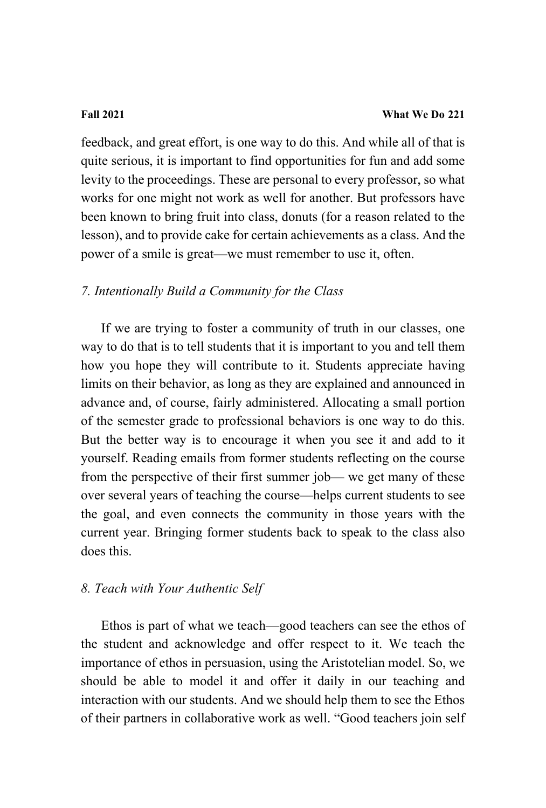feedback, and great effort, is one way to do this. And while all of that is quite serious, it is important to find opportunities for fun and add some levity to the proceedings. These are personal to every professor, so what works for one might not work as well for another. But professors have been known to bring fruit into class, donuts (for a reason related to the lesson), and to provide cake for certain achievements as a class. And the power of a smile is great—we must remember to use it, often.

### *7. Intentionally Build a Community for the Class*

If we are trying to foster a community of truth in our classes, one way to do that is to tell students that it is important to you and tell them how you hope they will contribute to it. Students appreciate having limits on their behavior, as long as they are explained and announced in advance and, of course, fairly administered. Allocating a small portion of the semester grade to professional behaviors is one way to do this. But the better way is to encourage it when you see it and add to it yourself. Reading emails from former students reflecting on the course from the perspective of their first summer job— we get many of these over several years of teaching the course—helps current students to see the goal, and even connects the community in those years with the current year. Bringing former students back to speak to the class also does this.

### *8. Teach with Your Authentic Self*

Ethos is part of what we teach—good teachers can see the ethos of the student and acknowledge and offer respect to it. We teach the importance of ethos in persuasion, using the Aristotelian model. So, we should be able to model it and offer it daily in our teaching and interaction with our students. And we should help them to see the Ethos of their partners in collaborative work as well. "Good teachers join self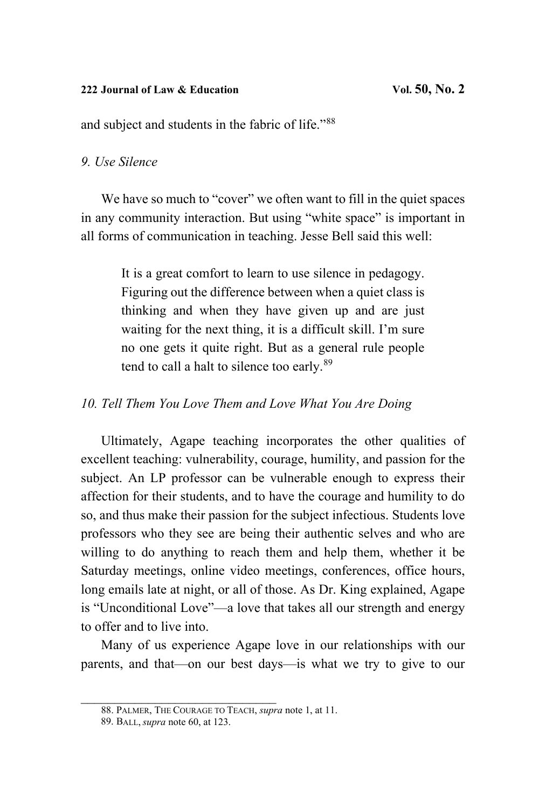### **222 Journal of Law & Education Vol. 50, No. 2**

and subject and students in the fabric of life."[88](#page-54-0)

### *9. Use Silence*

We have so much to "cover" we often want to fill in the quiet spaces in any community interaction. But using "white space" is important in all forms of communication in teaching. Jesse Bell said this well:

> It is a great comfort to learn to use silence in pedagogy. Figuring out the difference between when a quiet class is thinking and when they have given up and are just waiting for the next thing, it is a difficult skill. I'm sure no one gets it quite right. But as a general rule people tend to call a halt to silence too early.<sup>[89](#page-54-1)</sup>

*10. Tell Them You Love Them and Love What You Are Doing*

Ultimately, Agape teaching incorporates the other qualities of excellent teaching: vulnerability, courage, humility, and passion for the subject. An LP professor can be vulnerable enough to express their affection for their students, and to have the courage and humility to do so, and thus make their passion for the subject infectious. Students love professors who they see are being their authentic selves and who are willing to do anything to reach them and help them, whether it be Saturday meetings, online video meetings, conferences, office hours, long emails late at night, or all of those. As Dr. King explained, Agape is "Unconditional Love"—a love that takes all our strength and energy to offer and to live into.

Many of us experience Agape love in our relationships with our parents, and that—on our best days—is what we try to give to our

<span id="page-54-0"></span>\_\_\_\_\_\_\_\_\_\_\_\_\_\_\_\_\_\_\_\_\_\_\_\_\_\_\_\_\_ 88. PALMER, THE COURAGE TO TEACH, *supra* not[e 1,](#page-3-0) at 11.

<span id="page-54-1"></span><sup>89.</sup> BALL, *supra* note 60, at 123.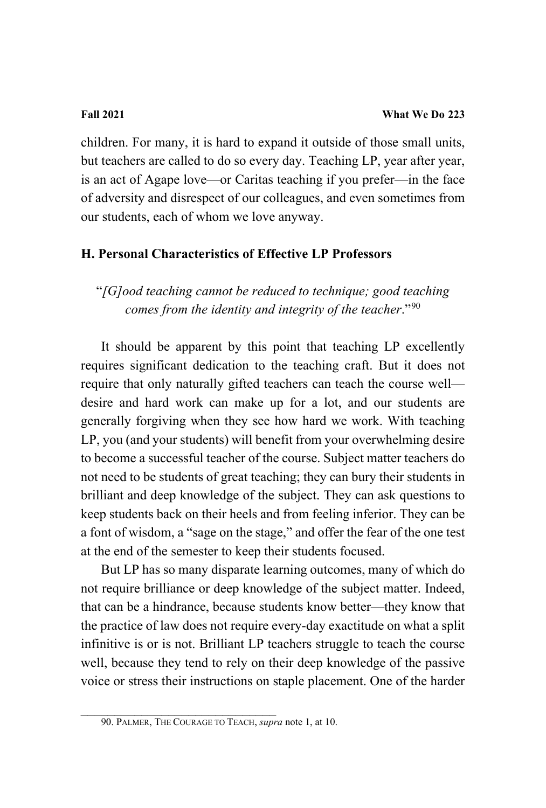children. For many, it is hard to expand it outside of those small units, but teachers are called to do so every day. Teaching LP, year after year, is an act of Agape love—or Caritas teaching if you prefer—in the face of adversity and disrespect of our colleagues, and even sometimes from our students, each of whom we love anyway.

# **H. Personal Characteristics of Effective LP Professors**

"*[G]ood teaching cannot be reduced to technique; good teaching comes from the identity and integrity of the teacher*."[90](#page-55-0)

It should be apparent by this point that teaching LP excellently requires significant dedication to the teaching craft. But it does not require that only naturally gifted teachers can teach the course well desire and hard work can make up for a lot, and our students are generally forgiving when they see how hard we work. With teaching LP, you (and your students) will benefit from your overwhelming desire to become a successful teacher of the course. Subject matter teachers do not need to be students of great teaching; they can bury their students in brilliant and deep knowledge of the subject. They can ask questions to keep students back on their heels and from feeling inferior. They can be a font of wisdom, a "sage on the stage," and offer the fear of the one test at the end of the semester to keep their students focused.

But LP has so many disparate learning outcomes, many of which do not require brilliance or deep knowledge of the subject matter. Indeed, that can be a hindrance, because students know better—they know that the practice of law does not require every-day exactitude on what a split infinitive is or is not. Brilliant LP teachers struggle to teach the course well, because they tend to rely on their deep knowledge of the passive voice or stress their instructions on staple placement. One of the harder

<span id="page-55-0"></span>\_\_\_\_\_\_\_\_\_\_\_\_\_\_\_\_\_\_\_\_\_\_\_\_\_\_\_\_\_ 90. PALMER, THE COURAGE TO TEACH, *supra* not[e 1,](#page-3-0) at 10.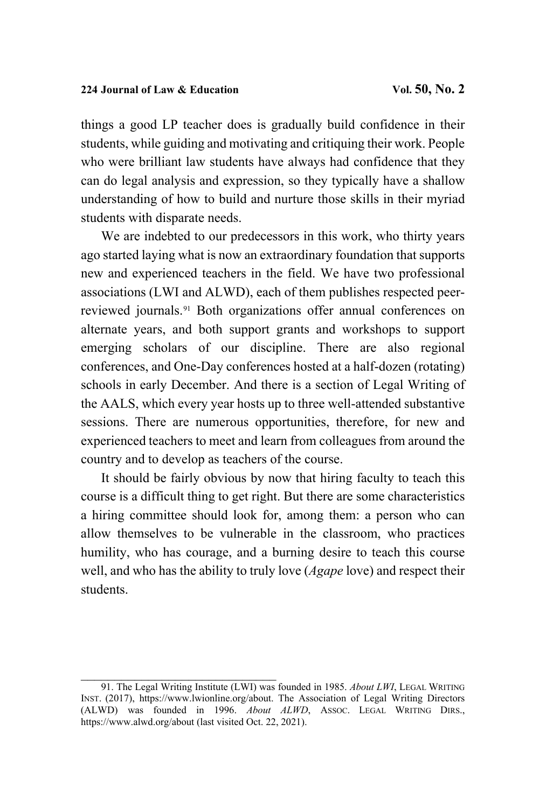things a good LP teacher does is gradually build confidence in their students, while guiding and motivating and critiquing their work. People who were brilliant law students have always had confidence that they can do legal analysis and expression, so they typically have a shallow understanding of how to build and nurture those skills in their myriad students with disparate needs.

We are indebted to our predecessors in this work, who thirty years ago started laying what is now an extraordinary foundation that supports new and experienced teachers in the field. We have two professional associations (LWI and ALWD), each of them publishes respected peerreviewed journals. [91](#page-56-0) Both organizations offer annual conferences on alternate years, and both support grants and workshops to support emerging scholars of our discipline. There are also regional conferences, and One-Day conferences hosted at a half-dozen (rotating) schools in early December. And there is a section of Legal Writing of the AALS, which every year hosts up to three well-attended substantive sessions. There are numerous opportunities, therefore, for new and experienced teachers to meet and learn from colleagues from around the country and to develop as teachers of the course.

It should be fairly obvious by now that hiring faculty to teach this course is a difficult thing to get right. But there are some characteristics a hiring committee should look for, among them: a person who can allow themselves to be vulnerable in the classroom, who practices humility, who has courage, and a burning desire to teach this course well, and who has the ability to truly love (*Agape* love) and respect their students.

 $\overline{\phantom{a}}$  , and the set of the set of the set of the set of the set of the set of the set of the set of the set of the set of the set of the set of the set of the set of the set of the set of the set of the set of the s

<span id="page-56-0"></span><sup>91.</sup> The Legal Writing Institute (LWI) was founded in 1985. *About LWI*, LEGAL WRITING INST. (2017), [https://www.lwionline.org/about.](https://www.lwionline.org/about) The Association of Legal Writing Directors (ALWD) was founded in 1996. *About ALWD*, ASSOC. LEGAL WRITING DIRS., <https://www.alwd.org/about>(last visited Oct. 22, 2021).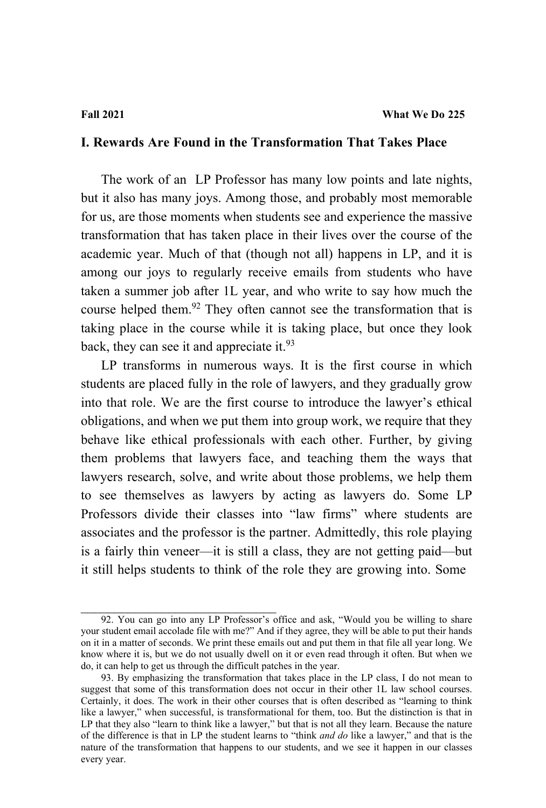### **I. Rewards Are Found in the Transformation That Takes Place**

The work of an LP Professor has many low points and late nights, but it also has many joys. Among those, and probably most memorable for us, are those moments when students see and experience the massive transformation that has taken place in their lives over the course of the academic year. Much of that (though not all) happens in LP, and it is among our joys to regularly receive emails from students who have taken a summer job after 1L year, and who write to say how much the course helped them.<sup>[92](#page-57-0)</sup> They often cannot see the transformation that is taking place in the course while it is taking place, but once they look back, they can see it and appreciate it.  $93$ 

LP transforms in numerous ways. It is the first course in which students are placed fully in the role of lawyers, and they gradually grow into that role. We are the first course to introduce the lawyer's ethical obligations, and when we put them into group work, we require that they behave like ethical professionals with each other. Further, by giving them problems that lawyers face, and teaching them the ways that lawyers research, solve, and write about those problems, we help them to see themselves as lawyers by acting as lawyers do. Some LP Professors divide their classes into "law firms" where students are associates and the professor is the partner. Admittedly, this role playing is a fairly thin veneer—it is still a class, they are not getting paid—but it still helps students to think of the role they are growing into. Some

<span id="page-57-0"></span> $\frac{1}{2}$  ,  $\frac{1}{2}$  ,  $\frac{1}{2}$  ,  $\frac{1}{2}$  ,  $\frac{1}{2}$  ,  $\frac{1}{2}$  ,  $\frac{1}{2}$  ,  $\frac{1}{2}$  ,  $\frac{1}{2}$  ,  $\frac{1}{2}$  ,  $\frac{1}{2}$  ,  $\frac{1}{2}$  ,  $\frac{1}{2}$  ,  $\frac{1}{2}$  ,  $\frac{1}{2}$  ,  $\frac{1}{2}$  ,  $\frac{1}{2}$  ,  $\frac{1}{2}$  ,  $\frac{1$ 

<span id="page-57-1"></span><sup>92.</sup> You can go into any LP Professor's office and ask, "Would you be willing to share your student email accolade file with me?" And if they agree, they will be able to put their hands on it in a matter of seconds. We print these emails out and put them in that file all year long. We know where it is, but we do not usually dwell on it or even read through it often. But when we do, it can help to get us through the difficult patches in the year.

<sup>93.</sup> By emphasizing the transformation that takes place in the LP class, I do not mean to suggest that some of this transformation does not occur in their other 1L law school courses. Certainly, it does. The work in their other courses that is often described as "learning to think like a lawyer," when successful, is transformational for them, too. But the distinction is that in LP that they also "learn to think like a lawyer," but that is not all they learn. Because the nature of the difference is that in LP the student learns to "think *and do* like a lawyer," and that is the nature of the transformation that happens to our students, and we see it happen in our classes every year.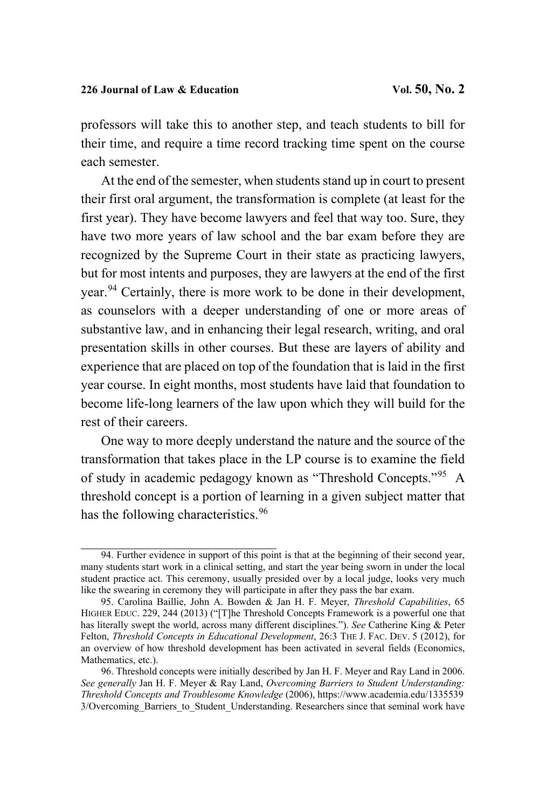professors will take this to another step, and teach students to bill for their time, and require a time record tracking time spent on the course each semester.

At the end of the semester, when students stand up in court to present their first oral argument, the transformation is complete (at least for the first year). They have become lawyers and feel that way too. Sure, they have two more years of law school and the bar exam before they are recognized by the Supreme Court in their state as practicing lawyers, but for most intents and purposes, they are lawyers at the end of the first year.[94](#page-58-0) Certainly, there is more work to be done in their development, as counselors with a deeper understanding of one or more areas of substantive law, and in enhancing their legal research, writing, and oral presentation skills in other courses. But these are layers of ability and experience that are placed on top of the foundation that is laid in the first year course. In eight months, most students have laid that foundation to become life-long learners of the law upon which they will build for the rest of their careers.

One way to more deeply understand the nature and the source of the transformation that takes place in the LP course is to examine the field of study in academic pedagogy known as "Threshold Concepts."[95](#page-58-1) A threshold concept is a portion of learning in a given subject matter that has the following characteristics.<sup>[96](#page-58-2)</sup>

<span id="page-58-0"></span><sup>94.</sup> Further evidence in support of this point is that at the beginning of their second year, many students start work in a clinical setting, and start the year being sworn in under the local student practice act. This ceremony, usually presided over by a local judge, looks very much like the swearing in ceremony they will participate in after they pass the bar exam.

<span id="page-58-1"></span><sup>95.</sup> Carolina Baillie, John A. Bowden & Jan H. F. Meyer, *Threshold Capabilities*, 65 HIGHER EDUC. 229, 244 (2013) ("[T]he Threshold Concepts Framework is a powerful one that has literally swept the world, across many different disciplines."). *See* Catherine King & Peter Felton, *Threshold Concepts in Educational Development*, 26:3 THE J. FAC. DEV. 5 (2012), for an overview of how threshold development has been activated in several fields (Economics, Mathematics, etc.).

<span id="page-58-2"></span><sup>96.</sup> Threshold concepts were initially described by Jan H. F. Meyer and Ray Land in 2006. *See generally* Jan H. F. Meyer & Ray Land, *Overcoming Barriers to Student Understanding: Threshold Concepts and Troublesome Knowledge* (2006), https://www.academia.edu/1335539 3/Overcoming Barriers to Student Understanding. Researchers since that seminal work have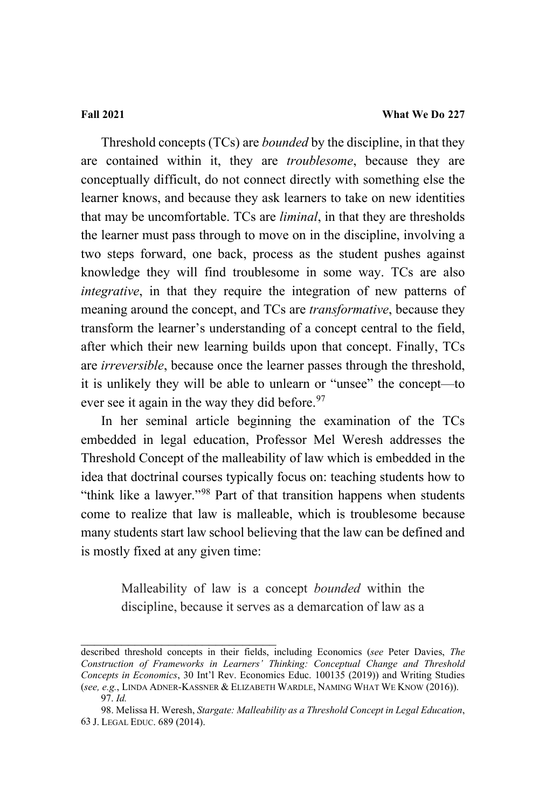Threshold concepts (TCs) are *bounded* by the discipline, in that they are contained within it, they are *troublesome*, because they are conceptually difficult, do not connect directly with something else the learner knows, and because they ask learners to take on new identities that may be uncomfortable. TCs are *liminal*, in that they are thresholds the learner must pass through to move on in the discipline, involving a two steps forward, one back, process as the student pushes against knowledge they will find troublesome in some way. TCs are also *integrative*, in that they require the integration of new patterns of meaning around the concept, and TCs are *transformative*, because they transform the learner's understanding of a concept central to the field, after which their new learning builds upon that concept. Finally, TCs are *irreversible*, because once the learner passes through the threshold, it is unlikely they will be able to unlearn or "unsee" the concept—to ever see it again in the way they did before.  $97$ 

In her seminal article beginning the examination of the TCs embedded in legal education, Professor Mel Weresh addresses the Threshold Concept of the malleability of law which is embedded in the idea that doctrinal courses typically focus on: teaching students how to "think like a lawyer."[98](#page-59-1) Part of that transition happens when students come to realize that law is malleable, which is troublesome because many students start law school believing that the law can be defined and is mostly fixed at any given time:

> Malleability of law is a concept *bounded* within the discipline, because it serves as a demarcation of law as a

\_\_\_\_\_\_\_\_\_\_\_\_\_\_\_\_\_\_\_\_\_\_\_\_\_\_\_\_\_

described threshold concepts in their fields, including Economics (*see* Peter Davies, *The Construction of Frameworks in Learners' Thinking: Conceptual Change and Threshold Concepts in Economics*, 30 Int'l Rev. Economics Educ. 100135 (2019)) and Writing Studies (*see, e.g.*, LINDA ADNER-KASSNER & ELIZABETH WARDLE, NAMING WHAT WE KNOW (2016)). 97. *Id.*

<span id="page-59-1"></span><span id="page-59-0"></span><sup>98.</sup> Melissa H. Weresh, *Stargate: Malleability as a Threshold Concept in Legal Education*, 63 J. LEGAL EDUC. 689 (2014).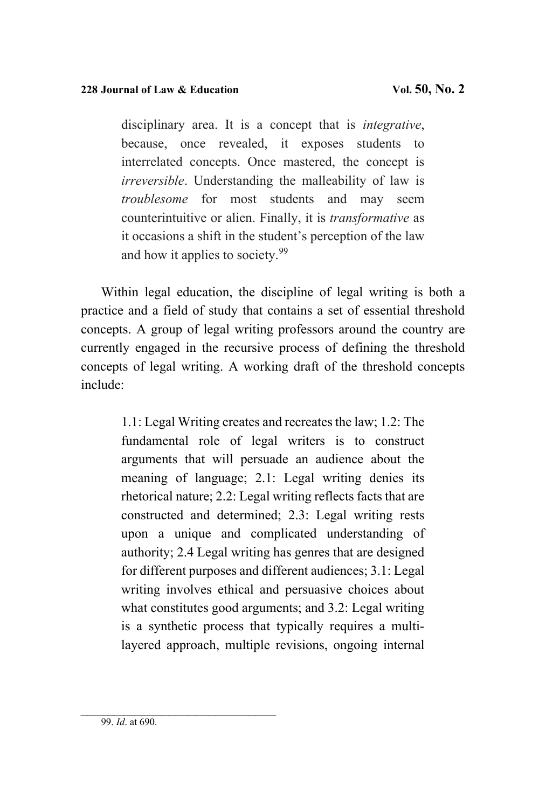disciplinary area. It is a concept that is *integrative*, because, once revealed, it exposes students to interrelated concepts. Once mastered, the concept is *irreversible*. Understanding the malleability of law is *troublesome* for most students and may seem counterintuitive or alien. Finally, it is *transformative* as it occasions a shift in the student's perception of the law and how it applies to society.<sup>99</sup>

Within legal education, the discipline of legal writing is both a practice and a field of study that contains a set of essential threshold concepts. A group of legal writing professors around the country are currently engaged in the recursive process of defining the threshold concepts of legal writing. A working draft of the threshold concepts include:

> 1.1: Legal Writing creates and recreates the law; 1.2: The fundamental role of legal writers is to construct arguments that will persuade an audience about the meaning of language; 2.1: Legal writing denies its rhetorical nature; 2.2: Legal writing reflects facts that are constructed and determined; 2.3: Legal writing rests upon a unique and complicated understanding of authority; 2.4 Legal writing has genres that are designed for different purposes and different audiences; 3.1: Legal writing involves ethical and persuasive choices about what constitutes good arguments; and 3.2: Legal writing is a synthetic process that typically requires a multilayered approach, multiple revisions, ongoing internal

<span id="page-60-0"></span>\_\_\_\_\_\_\_\_\_\_\_\_\_\_\_\_\_\_\_\_\_\_\_\_\_\_\_\_\_ 99. *Id*. at 690.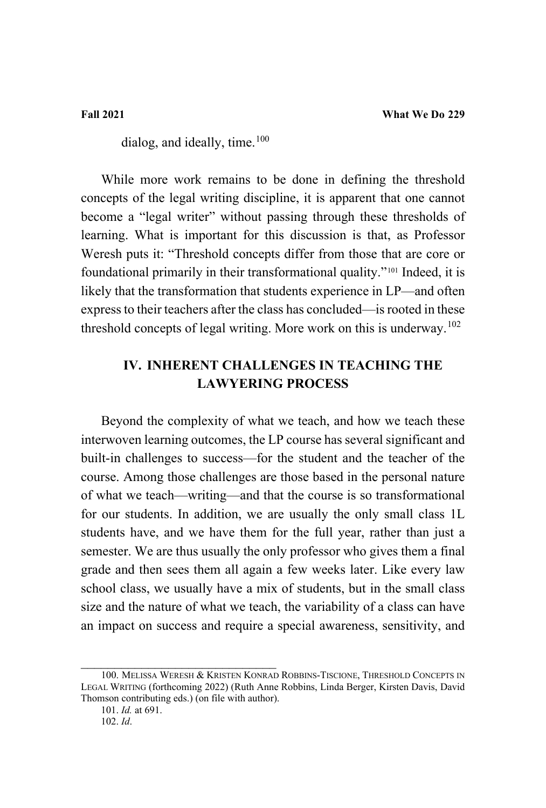dialog, and ideally, time. $100$ 

While more work remains to be done in defining the threshold concepts of the legal writing discipline, it is apparent that one cannot become a "legal writer" without passing through these thresholds of learning. What is important for this discussion is that, as Professor Weresh puts it: "Threshold concepts differ from those that are core or foundational primarily in their transformational quality."[101](#page-61-1) Indeed, it is likely that the transformation that students experience in LP—and often express to their teachers after the class has concluded—is rooted in these threshold concepts of legal writing. More work on this is underway.<sup>[102](#page-61-2)</sup>

# **IV. INHERENT CHALLENGES IN TEACHING THE LAWYERING PROCESS**

Beyond the complexity of what we teach, and how we teach these interwoven learning outcomes, the LP course has several significant and built-in challenges to success—for the student and the teacher of the course. Among those challenges are those based in the personal nature of what we teach—writing—and that the course is so transformational for our students. In addition, we are usually the only small class 1L students have, and we have them for the full year, rather than just a semester. We are thus usually the only professor who gives them a final grade and then sees them all again a few weeks later. Like every law school class, we usually have a mix of students, but in the small class size and the nature of what we teach, the variability of a class can have an impact on success and require a special awareness, sensitivity, and

<span id="page-61-2"></span><span id="page-61-1"></span><span id="page-61-0"></span><sup>100.</sup> MELISSA WERESH & KRISTEN KONRAD ROBBINS-TISCIONE, THRESHOLD CONCEPTS IN LEGAL WRITING (forthcoming 2022) (Ruth Anne Robbins, Linda Berger, Kirsten Davis, David Thomson contributing eds.) (on file with author).

<sup>101.</sup> *Id.* at 691.

<sup>102.</sup> *Id*.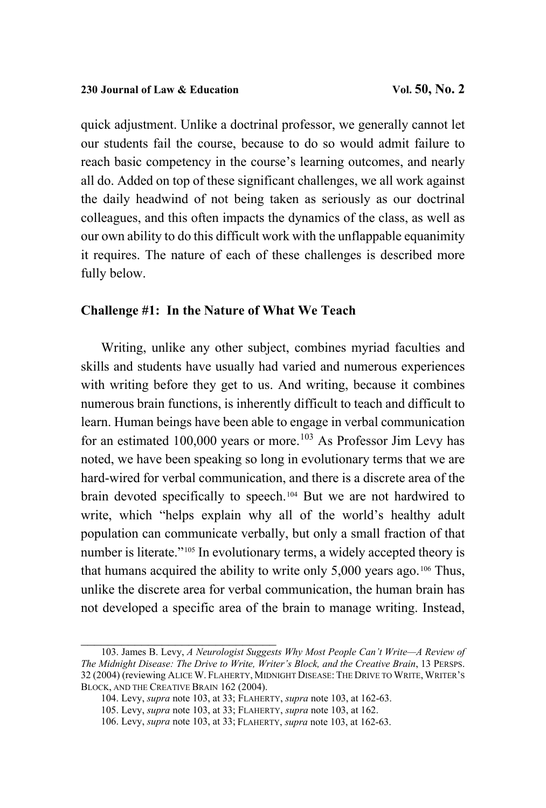quick adjustment. Unlike a doctrinal professor, we generally cannot let our students fail the course, because to do so would admit failure to reach basic competency in the course's learning outcomes, and nearly all do. Added on top of these significant challenges, we all work against the daily headwind of not being taken as seriously as our doctrinal colleagues, and this often impacts the dynamics of the class, as well as our own ability to do this difficult work with the unflappable equanimity it requires. The nature of each of these challenges is described more fully below.

### **Challenge #1: In the Nature of What We Teach**

<span id="page-62-0"></span>Writing, unlike any other subject, combines myriad faculties and skills and students have usually had varied and numerous experiences with writing before they get to us. And writing, because it combines numerous brain functions, is inherently difficult to teach and difficult to learn. Human beings have been able to engage in verbal communication for an estimated  $100,000$  years or more.<sup>[103](#page-62-1)</sup> As Professor Jim Levy has noted, we have been speaking so long in evolutionary terms that we are hard-wired for verbal communication, and there is a discrete area of the brain devoted specifically to speech.[104](#page-62-2) But we are not hardwired to write, which "helps explain why all of the world's healthy adult population can communicate verbally, but only a small fraction of that number is literate."<sup>[105](#page-62-3)</sup> In evolutionary terms, a widely accepted theory is that humans acquired the ability to write only  $5,000$  years ago.<sup>106</sup> Thus, unlike the discrete area for verbal communication, the human brain has not developed a specific area of the brain to manage writing. Instead,

<span id="page-62-3"></span><span id="page-62-2"></span><span id="page-62-1"></span>\_\_\_\_\_\_\_\_\_\_\_\_\_\_\_\_\_\_\_\_\_\_\_\_\_\_\_\_\_ 103. James B. Levy, *A Neurologist Suggests Why Most People Can't Write—A Review of The Midnight Disease: The Drive to Write, Writer's Block, and the Creative Brain*, 13 PERSPS. 32 (2004) (reviewing ALICE W. FLAHERTY, MIDNIGHT DISEASE: THE DRIVE TO WRITE,WRITER'S BLOCK, AND THE CREATIVE BRAIN 162 (2004).

<sup>104.</sup> Levy, *supra* not[e 103,](#page-62-0) at 33; FLAHERTY, *supra* not[e 103,](#page-62-0) at 162-63.

<sup>105.</sup> Levy, *supra* not[e 103,](#page-62-0) at 33; FLAHERTY, *supra* not[e 103,](#page-62-0) at 162.

<span id="page-62-4"></span><sup>106.</sup> Levy, *supra* not[e 103,](#page-62-0) at 33; FLAHERTY, *supra* note [103,](#page-62-0) at 162-63.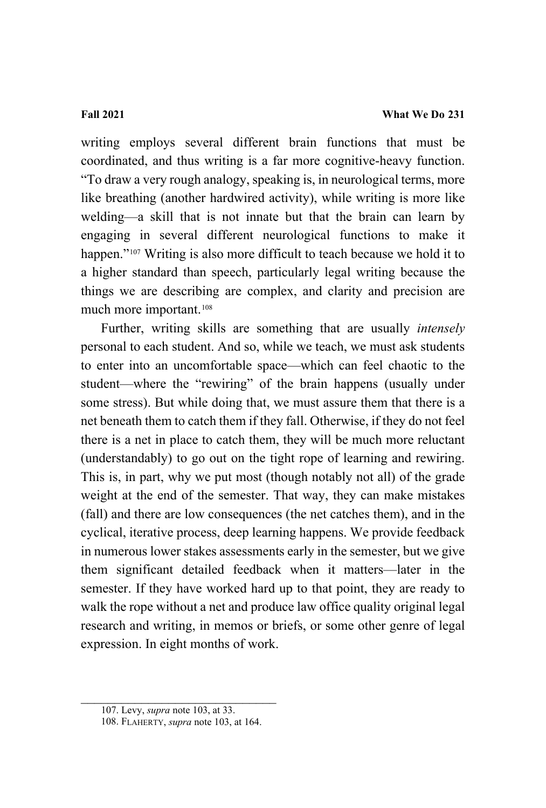writing employs several different brain functions that must be coordinated, and thus writing is a far more cognitive-heavy function. "To draw a very rough analogy, speaking is, in neurological terms, more like breathing (another hardwired activity), while writing is more like welding—a skill that is not innate but that the brain can learn by engaging in several different neurological functions to make it happen."<sup>[107](#page-63-0)</sup> Writing is also more difficult to teach because we hold it to a higher standard than speech, particularly legal writing because the things we are describing are complex, and clarity and precision are much more important.[108](#page-63-1)

Further, writing skills are something that are usually *intensely* personal to each student. And so, while we teach, we must ask students to enter into an uncomfortable space—which can feel chaotic to the student—where the "rewiring" of the brain happens (usually under some stress). But while doing that, we must assure them that there is a net beneath them to catch them if they fall. Otherwise, if they do not feel there is a net in place to catch them, they will be much more reluctant (understandably) to go out on the tight rope of learning and rewiring. This is, in part, why we put most (though notably not all) of the grade weight at the end of the semester. That way, they can make mistakes (fall) and there are low consequences (the net catches them), and in the cyclical, iterative process, deep learning happens. We provide feedback in numerous lower stakes assessments early in the semester, but we give them significant detailed feedback when it matters—later in the semester. If they have worked hard up to that point, they are ready to walk the rope without a net and produce law office quality original legal research and writing, in memos or briefs, or some other genre of legal expression. In eight months of work.

<span id="page-63-1"></span><span id="page-63-0"></span> $\overline{\mathcal{L}}$ 

<sup>107.</sup> Levy, *supra* not[e 103,](#page-62-0) at 33.

<sup>108.</sup> FLAHERTY, *supra* not[e 103,](#page-62-0) at 164.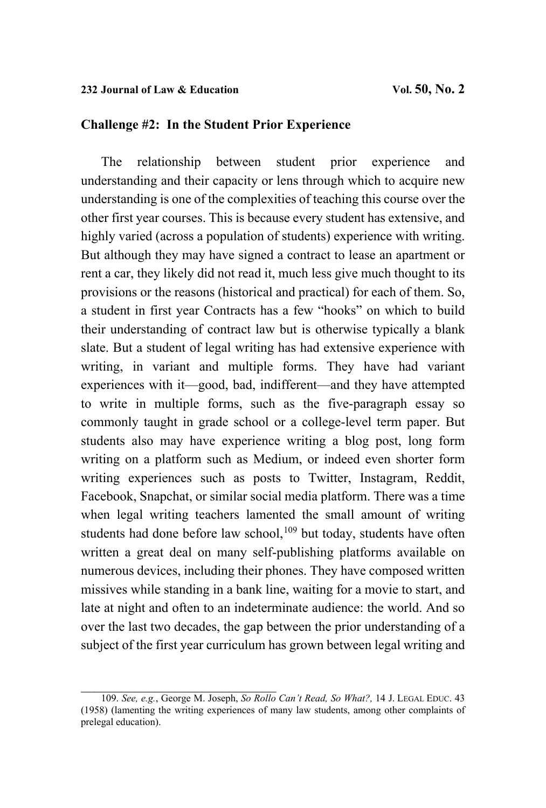## **Challenge #2: In the Student Prior Experience**

The relationship between student prior experience and understanding and their capacity or lens through which to acquire new understanding is one of the complexities of teaching this course over the other first year courses. This is because every student has extensive, and highly varied (across a population of students) experience with writing. But although they may have signed a contract to lease an apartment or rent a car, they likely did not read it, much less give much thought to its provisions or the reasons (historical and practical) for each of them. So, a student in first year Contracts has a few "hooks" on which to build their understanding of contract law but is otherwise typically a blank slate. But a student of legal writing has had extensive experience with writing, in variant and multiple forms. They have had variant experiences with it—good, bad, indifferent—and they have attempted to write in multiple forms, such as the five-paragraph essay so commonly taught in grade school or a college-level term paper. But students also may have experience writing a blog post, long form writing on a platform such as Medium, or indeed even shorter form writing experiences such as posts to Twitter, Instagram, Reddit, Facebook, Snapchat, or similar social media platform. There was a time when legal writing teachers lamented the small amount of writing students had done before law school,<sup>[109](#page-64-0)</sup> but today, students have often written a great deal on many self-publishing platforms available on numerous devices, including their phones. They have composed written missives while standing in a bank line, waiting for a movie to start, and late at night and often to an indeterminate audience: the world. And so over the last two decades, the gap between the prior understanding of a subject of the first year curriculum has grown between legal writing and

<span id="page-64-0"></span>\_\_\_\_\_\_\_\_\_\_\_\_\_\_\_\_\_\_\_\_\_\_\_\_\_\_\_\_\_ 109. *See, e.g.*, George M. Joseph, *So Rollo Can't Read, So What?,* 14 J. LEGAL EDUC. <sup>43</sup> (1958) (lamenting the writing experiences of many law students, among other complaints of prelegal education).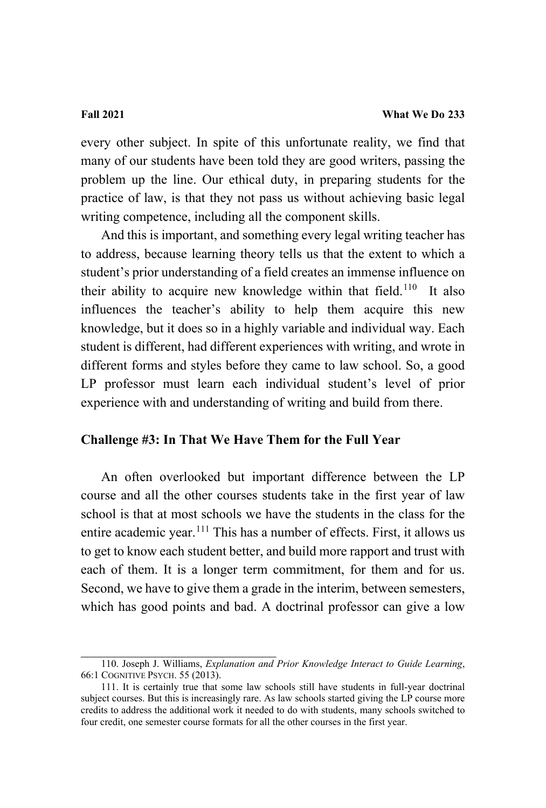every other subject. In spite of this unfortunate reality, we find that many of our students have been told they are good writers, passing the problem up the line. Our ethical duty, in preparing students for the practice of law, is that they not pass us without achieving basic legal writing competence, including all the component skills.

And this is important, and something every legal writing teacher has to address, because learning theory tells us that the extent to which a student's prior understanding of a field creates an immense influence on their ability to acquire new knowledge within that field.<sup>[110](#page-65-0)</sup> It also influences the teacher's ability to help them acquire this new knowledge, but it does so in a highly variable and individual way. Each student is different, had different experiences with writing, and wrote in different forms and styles before they came to law school. So, a good LP professor must learn each individual student's level of prior experience with and understanding of writing and build from there.

### **Challenge #3: In That We Have Them for the Full Year**

An often overlooked but important difference between the LP course and all the other courses students take in the first year of law school is that at most schools we have the students in the class for the entire academic year.<sup>[111](#page-65-1)</sup> This has a number of effects. First, it allows us to get to know each student better, and build more rapport and trust with each of them. It is a longer term commitment, for them and for us. Second, we have to give them a grade in the interim, between semesters, which has good points and bad. A doctrinal professor can give a low

<span id="page-65-0"></span>\_\_\_\_\_\_\_\_\_\_\_\_\_\_\_\_\_\_\_\_\_\_\_\_\_\_\_\_\_ 110. Joseph J. Williams, *Explanation and Prior Knowledge Interact to Guide Learning*, 66:1 COGNITIVE PSYCH. 55 (2013).

<span id="page-65-1"></span><sup>111.</sup> It is certainly true that some law schools still have students in full-year doctrinal subject courses. But this is increasingly rare. As law schools started giving the LP course more credits to address the additional work it needed to do with students, many schools switched to four credit, one semester course formats for all the other courses in the first year.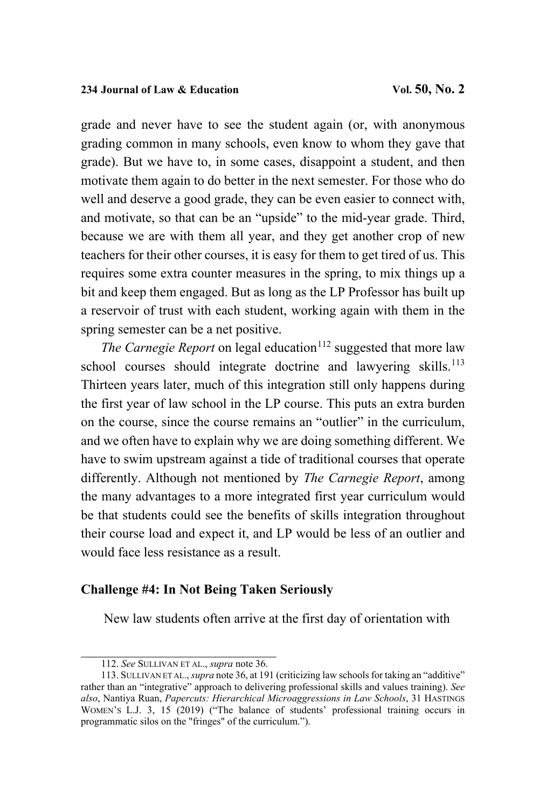grade and never have to see the student again (or, with anonymous grading common in many schools, even know to whom they gave that grade). But we have to, in some cases, disappoint a student, and then motivate them again to do better in the next semester. For those who do well and deserve a good grade, they can be even easier to connect with, and motivate, so that can be an "upside" to the mid-year grade. Third, because we are with them all year, and they get another crop of new teachers for their other courses, it is easy for them to get tired of us. This requires some extra counter measures in the spring, to mix things up a bit and keep them engaged. But as long as the LP Professor has built up a reservoir of trust with each student, working again with them in the spring semester can be a net positive.

*The Carnegie Report* on legal education<sup>112</sup> suggested that more law school courses should integrate doctrine and lawyering skills.<sup>[113](#page-66-1)</sup> Thirteen years later, much of this integration still only happens during the first year of law school in the LP course. This puts an extra burden on the course, since the course remains an "outlier" in the curriculum, and we often have to explain why we are doing something different. We have to swim upstream against a tide of traditional courses that operate differently. Although not mentioned by *The Carnegie Report*, among the many advantages to a more integrated first year curriculum would be that students could see the benefits of skills integration throughout their course load and expect it, and LP would be less of an outlier and would face less resistance as a result.

### **Challenge #4: In Not Being Taken Seriously**

New law students often arrive at the first day of orientation with

\_\_\_\_\_\_\_\_\_\_\_\_\_\_\_\_\_\_\_\_\_\_\_\_\_[\\_\\_\\_](#page-24-0)\_ 112. *See* SULLIVAN ET AL., *supra* note 36.

<span id="page-66-1"></span><span id="page-66-0"></span><sup>113.</sup> SULLIVAN ET AL., *supra* not[e 36,](#page-24-0) at 191 (criticizing law schools for taking an "additive" rather than an "integrative" approach to delivering professional skills and values training). *See also*, Nantiya Ruan, *Papercuts: Hierarchical Microaggressions in Law Schools*, 31 HASTINGS WOMEN'S L.J. 3, 15 (2019) ("The balance of students' professional training occurs in programmatic silos on the "fringes" of the curriculum.").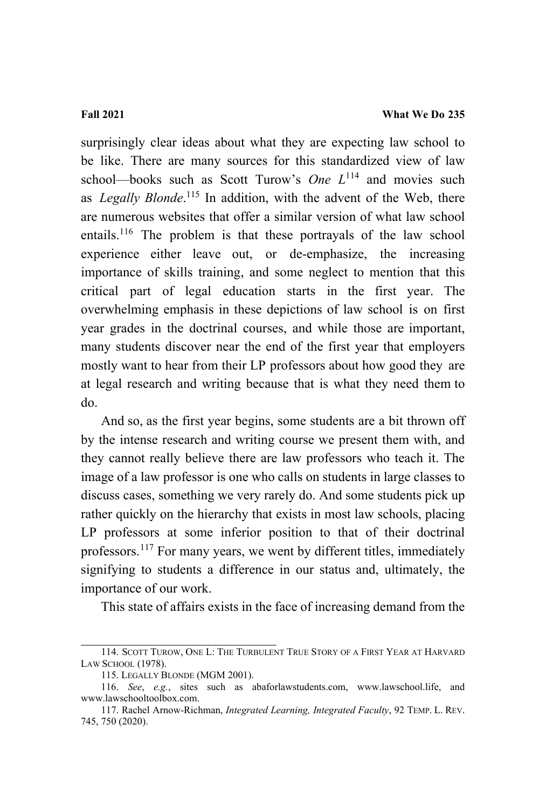surprisingly clear ideas about what they are expecting law school to be like. There are many sources for this standardized view of law school—books such as Scott Turow's *One*  $L^{114}$  $L^{114}$  $L^{114}$  and movies such as *Legally Blonde*.<sup>[115](#page-67-1)</sup> In addition, with the advent of the Web, there are numerous websites that offer a similar version of what law school entails.[116](#page-67-2) The problem is that these portrayals of the law school experience either leave out, or de-emphasize, the increasing importance of skills training, and some neglect to mention that this critical part of legal education starts in the first year. The overwhelming emphasis in these depictions of law school is on first year grades in the doctrinal courses, and while those are important, many students discover near the end of the first year that employers mostly want to hear from their LP professors about how good they are at legal research and writing because that is what they need them to do.

And so, as the first year begins, some students are a bit thrown off by the intense research and writing course we present them with, and they cannot really believe there are law professors who teach it. The image of a law professor is one who calls on students in large classes to discuss cases, something we very rarely do. And some students pick up rather quickly on the hierarchy that exists in most law schools, placing LP professors at some inferior position to that of their doctrinal professors.<sup>[117](#page-67-3)</sup> For many years, we went by different titles, immediately signifying to students a difference in our status and, ultimately, the importance of our work.

This state of affairs exists in the face of increasing demand from the

\_\_\_\_\_\_\_\_\_\_\_\_\_\_\_\_\_\_\_\_\_\_\_\_\_\_\_\_\_

<span id="page-67-0"></span><sup>114.</sup> SCOTT TUROW, ONE L: THE TURBULENT TRUE STORY OF A FIRST YEAR AT HARVARD LAW SCHOOL (1978).

<sup>115.</sup> LEGALLY BLONDE (MGM 2001).

<span id="page-67-2"></span><span id="page-67-1"></span><sup>116.</sup> *See*, *e.g.*, sites such as abaforlawstudents.com, [www.lawschool.life,](http://www.lawschool.life/) and [www.lawschooltoolbox.com.](http://www.lawschooltoolbox.com/) 

<span id="page-67-3"></span><sup>117.</sup> Rachel Arnow-Richman, *Integrated Learning, Integrated Faculty*, 92 TEMP. L. REV. 745, 750 (2020).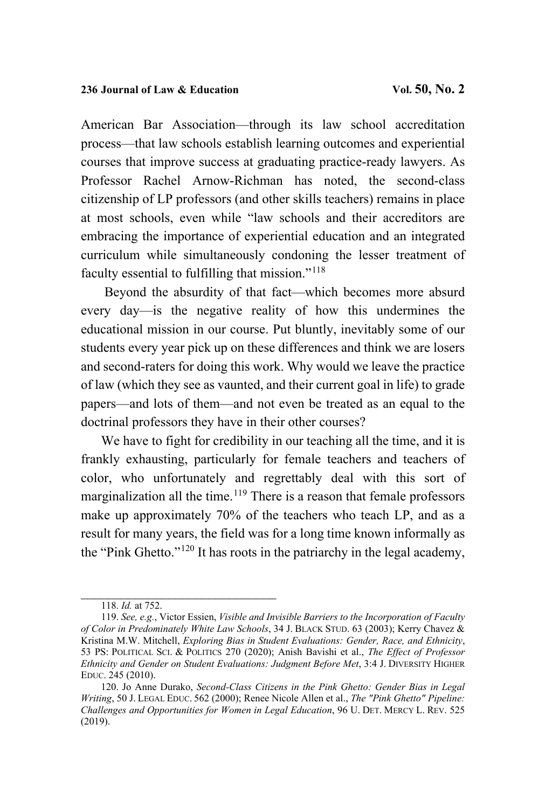American Bar Association—through its law school accreditation process—that law schools establish learning outcomes and experiential courses that improve success at graduating practice-ready lawyers. As Professor Rachel Arnow-Richman has noted, the second-class citizenship of LP professors (and other skills teachers) remains in place at most schools, even while "law schools and their accreditors are embracing the importance of experiential education and an integrated curriculum while simultaneously condoning the lesser treatment of faculty essential to fulfilling that mission."[118](#page-68-0)

Beyond the absurdity of that fact—which becomes more absurd every day—is the negative reality of how this undermines the educational mission in our course. Put bluntly, inevitably some of our students every year pick up on these differences and think we are losers and second-raters for doing this work. Why would we leave the practice of law (which they see as vaunted, and their current goal in life) to grade papers—and lots of them—and not even be treated as an equal to the doctrinal professors they have in their other courses?

We have to fight for credibility in our teaching all the time, and it is frankly exhausting, particularly for female teachers and teachers of color, who unfortunately and regrettably deal with this sort of marginalization all the time.<sup>[119](#page-68-1)</sup> There is a reason that female professors make up approximately 70% of the teachers who teach LP, and as a result for many years, the field was for a long time known informally as the "Pink Ghetto."[120](#page-68-2) It has roots in the patriarchy in the legal academy,

\_\_\_\_\_\_\_\_\_\_\_\_\_\_\_\_\_\_\_\_\_\_\_\_\_\_\_\_\_ 118. *Id.* at 752.

<span id="page-68-1"></span><span id="page-68-0"></span><sup>119.</sup> *See, e.g.*, Victor Essien, *Visible and Invisible Barriers to the Incorporation of Faculty of Color in Predominately White Law Schools*, 34 J. BLACK STUD. 63 (2003); Kerry Chavez & Kristina M.W. Mitchell, *Exploring Bias in Student Evaluations: Gender, Race, and Ethnicity*, 53 PS: POLITICAL SCI. & POLITICS 270 (2020); Anish Bavishi et al., *The Effect of Professor Ethnicity and Gender on Student Evaluations: Judgment Before Met*, 3:4 J. DIVERSITY HIGHER EDUC. 245 (2010).

<span id="page-68-2"></span><sup>120.</sup> Jo Anne Durako, *Second-Class Citizens in the Pink Ghetto: Gender Bias in Legal Writing*, 50 J. LEGAL EDUC. 562 (2000); Renee Nicole Allen et al., *The "Pink Ghetto" Pipeline: Challenges and Opportunities for Women in Legal Education*, 96 U. DET. MERCY L. REV. 525 (2019).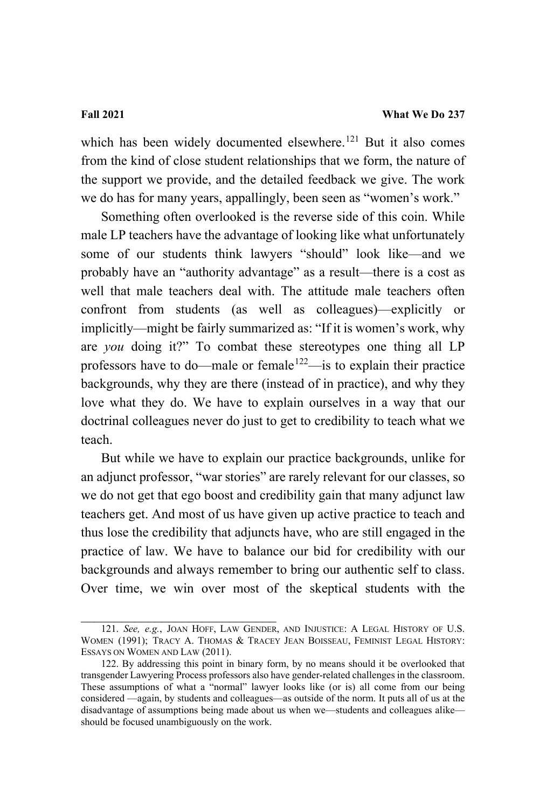which has been widely documented elsewhere.<sup>[121](#page-69-0)</sup> But it also comes from the kind of close student relationships that we form, the nature of the support we provide, and the detailed feedback we give. The work we do has for many years, appallingly, been seen as "women's work."

Something often overlooked is the reverse side of this coin. While male LP teachers have the advantage of looking like what unfortunately some of our students think lawyers "should" look like—and we probably have an "authority advantage" as a result—there is a cost as well that male teachers deal with. The attitude male teachers often confront from students (as well as colleagues)—explicitly or implicitly—might be fairly summarized as: "If it is women's work, why are *you* doing it?" To combat these stereotypes one thing all LP professors have to do—male or female<sup>122</sup>—is to explain their practice backgrounds, why they are there (instead of in practice), and why they love what they do. We have to explain ourselves in a way that our doctrinal colleagues never do just to get to credibility to teach what we teach.

But while we have to explain our practice backgrounds, unlike for an adjunct professor, "war stories" are rarely relevant for our classes, so we do not get that ego boost and credibility gain that many adjunct law teachers get. And most of us have given up active practice to teach and thus lose the credibility that adjuncts have, who are still engaged in the practice of law. We have to balance our bid for credibility with our backgrounds and always remember to bring our authentic self to class. Over time, we win over most of the skeptical students with the

<span id="page-69-0"></span><sup>121.</sup> *See, e.g.*, JOAN HOFF, LAW GENDER, AND INJUSTICE: A LEGAL HISTORY OF U.S. WOMEN (1991); TRACY A. THOMAS & TRACEY JEAN BOISSEAU, FEMINIST LEGAL HISTORY: ESSAYS ON WOMEN AND LAW (2011).

<span id="page-69-1"></span><sup>122.</sup> By addressing this point in binary form, by no means should it be overlooked that transgender Lawyering Process professors also have gender-related challenges in the classroom. These assumptions of what a "normal" lawyer looks like (or is) all come from our being considered —again, by students and colleagues—as outside of the norm. It puts all of us at the disadvantage of assumptions being made about us when we—students and colleagues alike should be focused unambiguously on the work.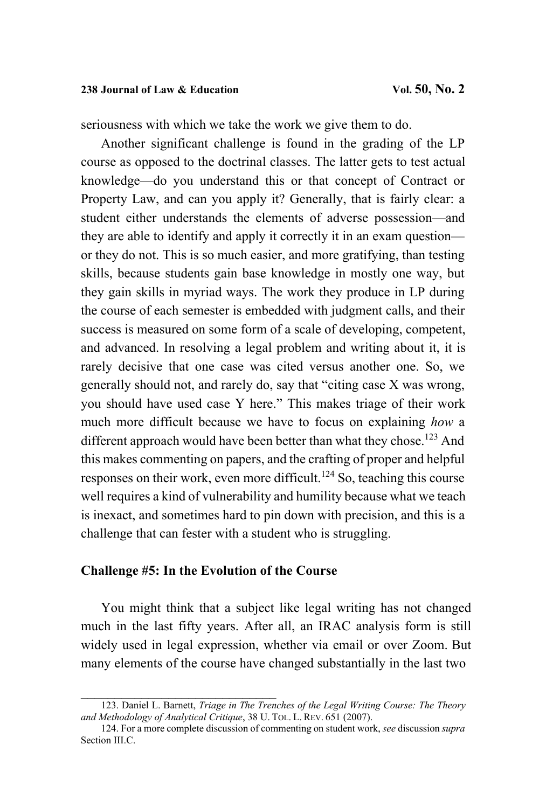seriousness with which we take the work we give them to do.

Another significant challenge is found in the grading of the LP course as opposed to the doctrinal classes. The latter gets to test actual knowledge—do you understand this or that concept of Contract or Property Law, and can you apply it? Generally, that is fairly clear: a student either understands the elements of adverse possession—and they are able to identify and apply it correctly it in an exam question or they do not. This is so much easier, and more gratifying, than testing skills, because students gain base knowledge in mostly one way, but they gain skills in myriad ways. The work they produce in LP during the course of each semester is embedded with judgment calls, and their success is measured on some form of a scale of developing, competent, and advanced. In resolving a legal problem and writing about it, it is rarely decisive that one case was cited versus another one. So, we generally should not, and rarely do, say that "citing case X was wrong, you should have used case Y here." This makes triage of their work much more difficult because we have to focus on explaining *how* a different approach would have been better than what they chose.<sup>[123](#page-70-0)</sup> And this makes commenting on papers, and the crafting of proper and helpful responses on their work, even more difficult.<sup>[124](#page-70-1)</sup> So, teaching this course well requires a kind of vulnerability and humility because what we teach is inexact, and sometimes hard to pin down with precision, and this is a challenge that can fester with a student who is struggling.

### **Challenge #5: In the Evolution of the Course**

<span id="page-70-0"></span>\_\_\_\_\_\_\_\_\_\_\_\_\_\_\_\_\_\_\_\_\_\_\_\_\_\_\_\_\_

You might think that a subject like legal writing has not changed much in the last fifty years. After all, an IRAC analysis form is still widely used in legal expression, whether via email or over Zoom. But many elements of the course have changed substantially in the last two

<span id="page-70-1"></span><sup>123.</sup> Daniel L. Barnett, *Triage in The Trenches of the Legal Writing Course: The Theory and Methodology of Analytical Critique*, 38 U. TOL. L. REV. 651 (2007).

<sup>124.</sup> For a more complete discussion of commenting on student work, *see* discussion *supra* Section III.C.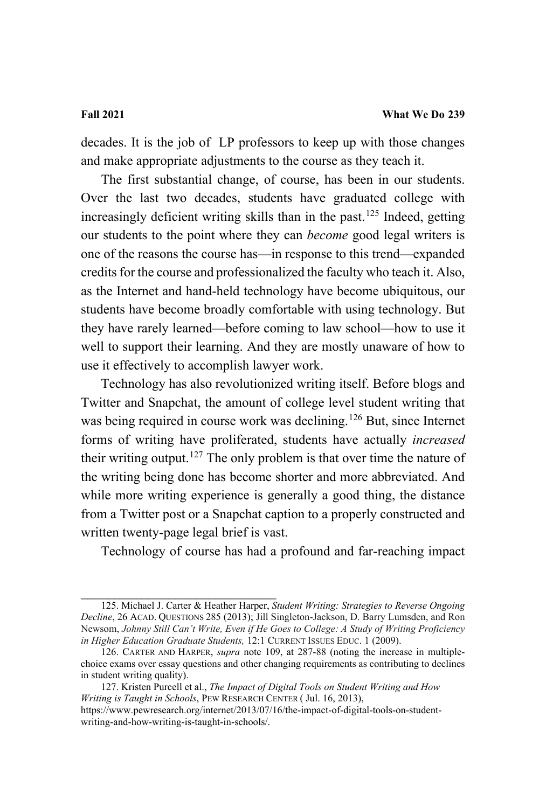decades. It is the job of LP professors to keep up with those changes and make appropriate adjustments to the course as they teach it.

The first substantial change, of course, has been in our students. Over the last two decades, students have graduated college with increasingly deficient writing skills than in the past.<sup>[125](#page-71-0)</sup> Indeed, getting our students to the point where they can *become* good legal writers is one of the reasons the course has—in response to this trend—expanded credits for the course and professionalized the faculty who teach it. Also, as the Internet and hand-held technology have become ubiquitous, our students have become broadly comfortable with using technology. But they have rarely learned—before coming to law school—how to use it well to support their learning. And they are mostly unaware of how to use it effectively to accomplish lawyer work.

Technology has also revolutionized writing itself. Before blogs and Twitter and Snapchat, the amount of college level student writing that was being required in course work was declining.<sup>[126](#page-71-1)</sup> But, since Internet forms of writing have proliferated, students have actually *increased* their writing output.<sup>[127](#page-71-2)</sup> The only problem is that over time the nature of the writing being done has become shorter and more abbreviated. And while more writing experience is generally a good thing, the distance from a Twitter post or a Snapchat caption to a properly constructed and written twenty-page legal brief is vast.

Technology of course has had a profound and far-reaching impact

<span id="page-71-0"></span>\_\_\_\_\_\_\_\_\_\_\_\_\_\_\_\_\_\_\_\_\_\_\_\_\_\_\_\_\_ 125. Michael J. Carter & Heather Harper, *Student Writing: Strategies to Reverse Ongoing Decline*, 26 ACAD. QUESTIONS 285 (2013); Jill Singleton-Jackson, D. Barry Lumsden, and Ron Newsom, *Johnny Still Can't Write, Even if He Goes to College: A Study of Writing Proficiency in Higher Education Graduate Students,* 12:1 CURRENT ISSUES EDUC. 1 (2009).

<span id="page-71-1"></span><sup>126.</sup> CARTER AND HARPER, *supra* note 109, at 287-88 (noting the increase in multiplechoice exams over essay questions and other changing requirements as contributing to declines in student writing quality).

<span id="page-71-2"></span><sup>127.</sup> Kristen Purcell et al., *The Impact of Digital Tools on Student Writing and How Writing is Taught in Schools*, PEW RESEARCH CENTER ( Jul. 16, 2013),

[https://www.pewresearch.org/internet/2013/07/16/the-impact-of-digital-tools-on-student](https://www.pewresearch.org/internet/2013/07/16/the-impact-of-digital-tools-on-student-writing-and-how-writing-is-taught-in-schools/)[writing-and-how-writing-is-taught-in-schools/.](https://www.pewresearch.org/internet/2013/07/16/the-impact-of-digital-tools-on-student-writing-and-how-writing-is-taught-in-schools/)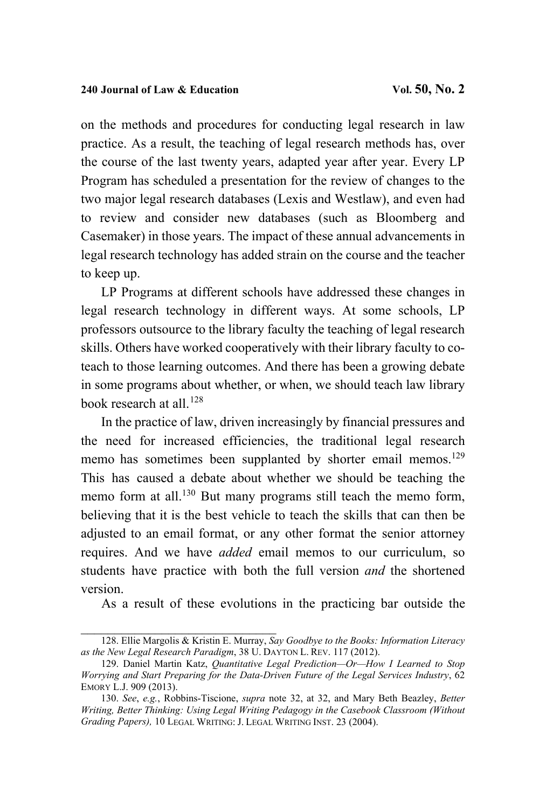on the methods and procedures for conducting legal research in law practice. As a result, the teaching of legal research methods has, over the course of the last twenty years, adapted year after year. Every LP Program has scheduled a presentation for the review of changes to the two major legal research databases (Lexis and Westlaw), and even had to review and consider new databases (such as Bloomberg and Casemaker) in those years. The impact of these annual advancements in legal research technology has added strain on the course and the teacher to keep up.

LP Programs at different schools have addressed these changes in legal research technology in different ways. At some schools, LP professors outsource to the library faculty the teaching of legal research skills. Others have worked cooperatively with their library faculty to coteach to those learning outcomes. And there has been a growing debate in some programs about whether, or when, we should teach law library book research at all.<sup>[128](#page-72-0)</sup>

In the practice of law, driven increasingly by financial pressures and the need for increased efficiencies, the traditional legal research memo has sometimes been supplanted by shorter email memos.<sup>[129](#page-72-1)</sup> This has caused a debate about whether we should be teaching the memo form at all.<sup>[130](#page-72-2)</sup> But many programs still teach the memo form, believing that it is the best vehicle to teach the skills that can then be adjusted to an email format, or any other format the senior attorney requires. And we have *added* email memos to our curriculum, so students have practice with both the full version *and* the shortened version.

As a result of these evolutions in the practicing bar outside the

<span id="page-72-0"></span>\_\_\_\_\_\_\_\_\_\_\_\_\_\_\_\_\_\_\_\_\_\_\_\_\_\_\_\_\_ 128. Ellie Margolis & Kristin E. Murray, *Say Goodbye to the Books: Information Literacy as the New Legal Research Paradigm*, 38 U. DAYTON L. REV. 117 (2012).

<span id="page-72-1"></span><sup>129.</sup> Daniel Martin Katz, *Quantitative Legal Prediction—Or—How I Learned to Stop Worrying and Start Preparing for the Data-Driven Future of the Legal Services Industry*, 62 EMORY L.J. 909 (2013).

<span id="page-72-2"></span><sup>130.</sup> *See*, *e.g.*, Robbins-Tiscione, *supra* note [32,](#page-20-0) at 32, and Mary Beth Beazley, *Better Writing, Better Thinking: Using Legal Writing Pedagogy in the Casebook Classroom (Without Grading Papers),* 10 LEGAL WRITING: J. LEGAL WRITING INST. 23 (2004).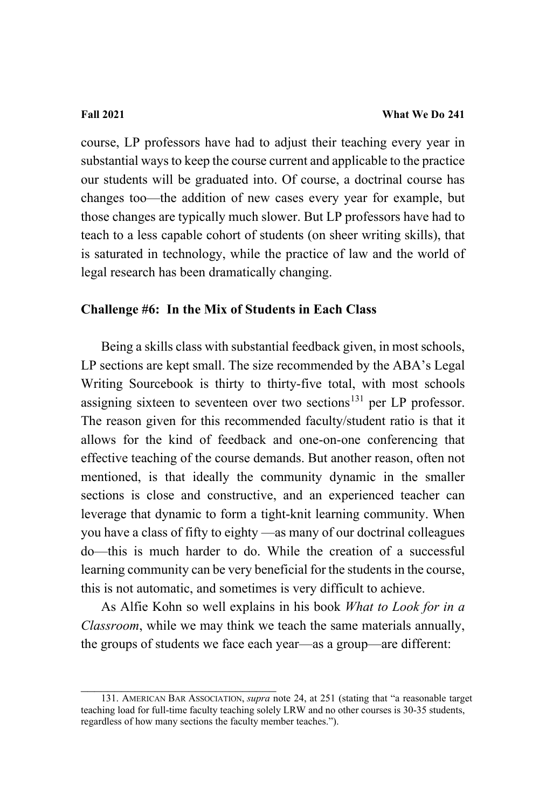course, LP professors have had to adjust their teaching every year in substantial ways to keep the course current and applicable to the practice our students will be graduated into. Of course, a doctrinal course has changes too—the addition of new cases every year for example, but those changes are typically much slower. But LP professors have had to teach to a less capable cohort of students (on sheer writing skills), that is saturated in technology, while the practice of law and the world of legal research has been dramatically changing.

# **Challenge #6: In the Mix of Students in Each Class**

Being a skills class with substantial feedback given, in most schools, LP sections are kept small. The size recommended by the ABA's Legal Writing Sourcebook is thirty to thirty-five total, with most schools assigning sixteen to seventeen over two sections<sup>[131](#page-73-0)</sup> per LP professor. The reason given for this recommended faculty/student ratio is that it allows for the kind of feedback and one-on-one conferencing that effective teaching of the course demands. But another reason, often not mentioned, is that ideally the community dynamic in the smaller sections is close and constructive, and an experienced teacher can leverage that dynamic to form a tight-knit learning community. When you have a class of fifty to eighty —as many of our doctrinal colleagues do—this is much harder to do. While the creation of a successful learning community can be very beneficial for the students in the course, this is not automatic, and sometimes is very difficult to achieve.

As Alfie Kohn so well explains in his book *What to Look for in a Classroom*, while we may think we teach the same materials annually, the groups of students we face each year—as a group—are different:

\_\_\_\_\_\_\_\_\_\_\_\_\_\_\_\_\_\_\_\_\_\_\_\_\_\_\_\_\_

<span id="page-73-0"></span><sup>131.</sup> AMERICAN BAR ASSOCIATION, *supra* note 24, at 251 (stating that "a reasonable target teaching load for full-time faculty teaching solely LRW and no other courses is 30-35 students, regardless of how many sections the faculty member teaches.").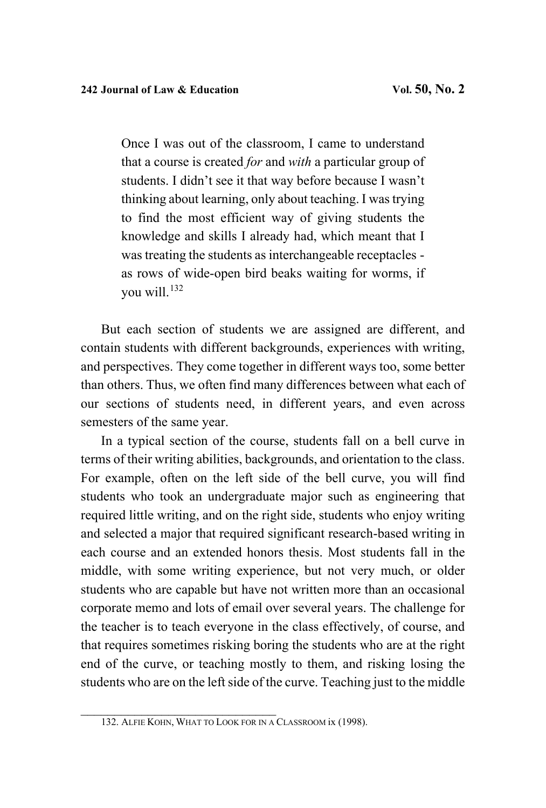Once I was out of the classroom, I came to understand that a course is created *for* and *with* a particular group of students. I didn't see it that way before because I wasn't thinking about learning, only about teaching. I was trying to find the most efficient way of giving students the knowledge and skills I already had, which meant that I was treating the students as interchangeable receptacles as rows of wide-open bird beaks waiting for worms, if you will.[132](#page-74-0)

But each section of students we are assigned are different, and contain students with different backgrounds, experiences with writing, and perspectives. They come together in different ways too, some better than others. Thus, we often find many differences between what each of our sections of students need, in different years, and even across semesters of the same year.

In a typical section of the course, students fall on a bell curve in terms of their writing abilities, backgrounds, and orientation to the class. For example, often on the left side of the bell curve, you will find students who took an undergraduate major such as engineering that required little writing, and on the right side, students who enjoy writing and selected a major that required significant research-based writing in each course and an extended honors thesis. Most students fall in the middle, with some writing experience, but not very much, or older students who are capable but have not written more than an occasional corporate memo and lots of email over several years. The challenge for the teacher is to teach everyone in the class effectively, of course, and that requires sometimes risking boring the students who are at the right end of the curve, or teaching mostly to them, and risking losing the students who are on the left side of the curve. Teaching just to the middle

<span id="page-74-0"></span><sup>132.</sup> ALFIE KOHN, WHAT TO LOOK FOR IN A CLASSROOM ix (1998).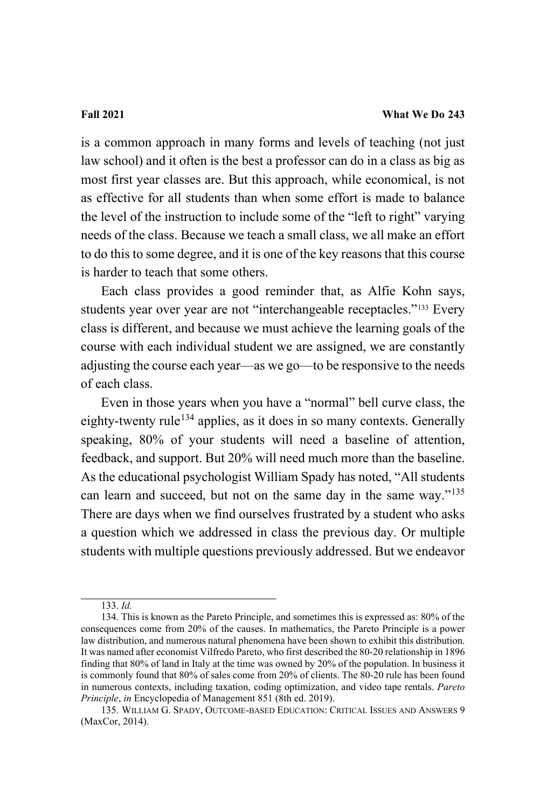is a common approach in many forms and levels of teaching (not just law school) and it often is the best a professor can do in a class as big as most first year classes are. But this approach, while economical, is not as effective for all students than when some effort is made to balance the level of the instruction to include some of the "left to right" varying needs of the class. Because we teach a small class, we all make an effort to do this to some degree, and it is one of the key reasons that this course is harder to teach that some others.

Each class provides a good reminder that, as Alfie Kohn says, students year over year are not "interchangeable receptacles."[133](#page-75-0) Every class is different, and because we must achieve the learning goals of the course with each individual student we are assigned, we are constantly adjusting the course each year—as we go—to be responsive to the needs of each class.

Even in those years when you have a "normal" bell curve class, the eighty-twenty rule<sup>[134](#page-75-1)</sup> applies, as it does in so many contexts. Generally speaking, 80% of your students will need a baseline of attention, feedback, and support. But 20% will need much more than the baseline. As the educational psychologist William Spady has noted, "All students can learn and succeed, but not on the same day in the same way."[135](#page-75-2) There are days when we find ourselves frustrated by a student who asks a question which we addressed in class the previous day. Or multiple students with multiple questions previously addressed. But we endeavor

\_\_\_\_\_\_\_\_\_\_\_\_\_\_\_\_\_\_\_\_\_\_\_\_\_\_\_\_\_ 133. *Id.*

<span id="page-75-1"></span><span id="page-75-0"></span><sup>134.</sup> This is known as the Pareto Principle, and sometimes this is expressed as: 80% of the consequences come from 20% of the causes. In mathematics, the Pareto Principle is a power law distribution, and numerous natural phenomena have been shown to exhibit this distribution. It was named after economist Vilfredo Pareto, who first described the 80-20 relationship in 1896 finding that 80% of land in Italy at the time was owned by 20% of the population. In business it is commonly found that 80% of sales come from 20% of clients. The 80-20 rule has been found in numerous contexts, including taxation, coding optimization, and video tape rentals. *Pareto Principle*, *in* Encyclopedia of Management 851 (8th ed. 2019).

<span id="page-75-2"></span><sup>135.</sup> WILLIAM G. SPADY, OUTCOME-BASED EDUCATION: CRITICAL ISSUES AND ANSWERS 9 (MaxCor, 2014).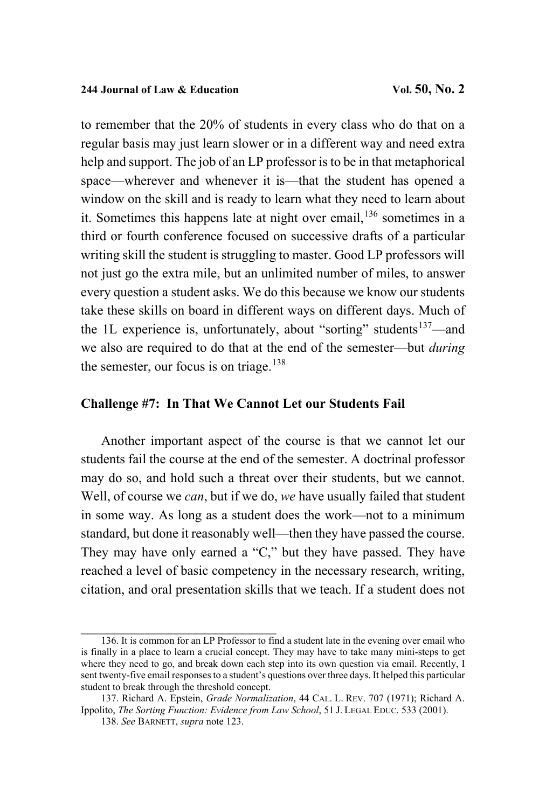to remember that the 20% of students in every class who do that on a regular basis may just learn slower or in a different way and need extra help and support. The job of an LP professor is to be in that metaphorical space—wherever and whenever it is—that the student has opened a window on the skill and is ready to learn what they need to learn about it. Sometimes this happens late at night over email,  $136$  sometimes in a third or fourth conference focused on successive drafts of a particular writing skill the student is struggling to master. Good LP professors will not just go the extra mile, but an unlimited number of miles, to answer every question a student asks. We do this because we know our students take these skills on board in different ways on different days. Much of the 1L experience is, unfortunately, about "sorting" students $137$ —and we also are required to do that at the end of the semester—but *during* the semester, our focus is on triage. $138$ 

### **Challenge #7: In That We Cannot Let our Students Fail**

Another important aspect of the course is that we cannot let our students fail the course at the end of the semester. A doctrinal professor may do so, and hold such a threat over their students, but we cannot. Well, of course we *can*, but if we do, *we* have usually failed that student in some way. As long as a student does the work—not to a minimum standard, but done it reasonably well—then they have passed the course. They may have only earned a "C," but they have passed. They have reached a level of basic competency in the necessary research, writing, citation, and oral presentation skills that we teach. If a student does not

<span id="page-76-0"></span><sup>136.</sup> It is common for an LP Professor to find a student late in the evening over email who is finally in a place to learn a crucial concept. They may have to take many mini-steps to get where they need to go, and break down each step into its own question via email. Recently, I sent twenty-five email responses to a student's questions over three days. It helped this particular student to break through the threshold concept.

<span id="page-76-2"></span><span id="page-76-1"></span><sup>137.</sup> Richard A. Epstein, *Grade Normalization*, 44 CAL. L. REV. 707 (1971); Richard A. Ippolito, *The Sorting Function: Evidence from Law School*, 51 J. LEGAL EDUC. 533 (2001).

<sup>138.</sup> *See* BARNETT, *supra* note 123.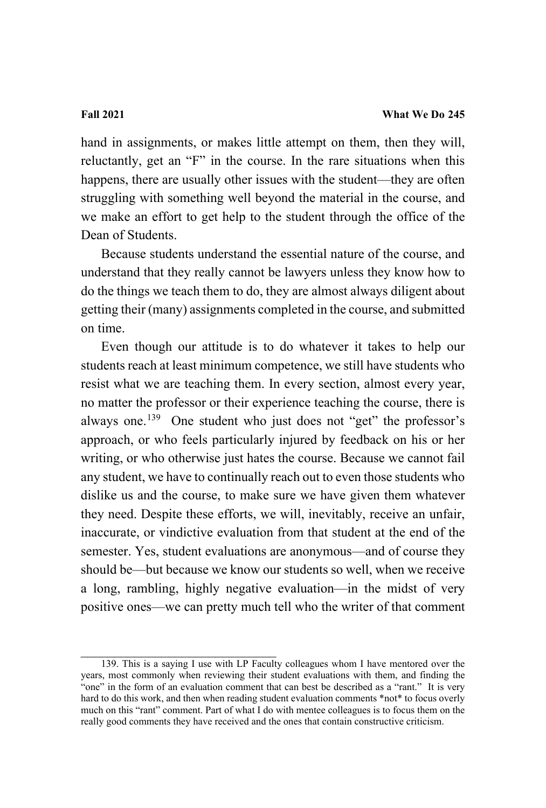hand in assignments, or makes little attempt on them, then they will, reluctantly, get an "F" in the course. In the rare situations when this happens, there are usually other issues with the student—they are often struggling with something well beyond the material in the course, and we make an effort to get help to the student through the office of the Dean of Students.

Because students understand the essential nature of the course, and understand that they really cannot be lawyers unless they know how to do the things we teach them to do, they are almost always diligent about getting their (many) assignments completed in the course, and submitted on time.

Even though our attitude is to do whatever it takes to help our students reach at least minimum competence, we still have students who resist what we are teaching them. In every section, almost every year, no matter the professor or their experience teaching the course, there is always one.<sup>139</sup> One student who just does not "get" the professor's approach, or who feels particularly injured by feedback on his or her writing, or who otherwise just hates the course. Because we cannot fail any student, we have to continually reach out to even those students who dislike us and the course, to make sure we have given them whatever they need. Despite these efforts, we will, inevitably, receive an unfair, inaccurate, or vindictive evaluation from that student at the end of the semester. Yes, student evaluations are anonymous—and of course they should be—but because we know our students so well, when we receive a long, rambling, highly negative evaluation—in the midst of very positive ones—we can pretty much tell who the writer of that comment

<span id="page-77-0"></span><sup>139.</sup> This is a saying I use with LP Faculty colleagues whom I have mentored over the years, most commonly when reviewing their student evaluations with them, and finding the "one" in the form of an evaluation comment that can best be described as a "rant." It is very hard to do this work, and then when reading student evaluation comments \*not\* to focus overly much on this "rant" comment. Part of what I do with mentee colleagues is to focus them on the really good comments they have received and the ones that contain constructive criticism.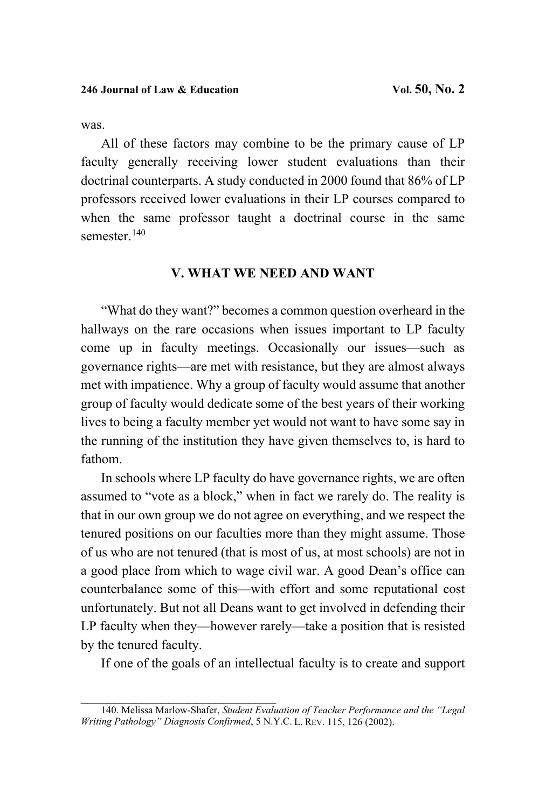was.

All of these factors may combine to be the primary cause of LP faculty generally receiving lower student evaluations than their doctrinal counterparts. A study conducted in 2000 found that 86% of LP professors received lower evaluations in their LP courses compared to when the same professor taught a doctrinal course in the same semester.<sup>140</sup>

### **V. WHAT WE NEED AND WANT**

"What do they want?" becomes a common question overheard in the hallways on the rare occasions when issues important to LP faculty come up in faculty meetings. Occasionally our issues—such as governance rights—are met with resistance, but they are almost always met with impatience. Why a group of faculty would assume that another group of faculty would dedicate some of the best years of their working lives to being a faculty member yet would not want to have some say in the running of the institution they have given themselves to, is hard to fathom.

In schools where LP faculty do have governance rights, we are often assumed to "vote as a block," when in fact we rarely do. The reality is that in our own group we do not agree on everything, and we respect the tenured positions on our faculties more than they might assume. Those of us who are not tenured (that is most of us, at most schools) are not in a good place from which to wage civil war. A good Dean's office can counterbalance some of this—with effort and some reputational cost unfortunately. But not all Deans want to get involved in defending their LP faculty when they—however rarely—take a position that is resisted by the tenured faculty.

If one of the goals of an intellectual faculty is to create and support

<span id="page-78-0"></span>\_\_\_\_\_\_\_\_\_\_\_\_\_\_\_\_\_\_\_\_\_\_\_\_\_\_\_\_\_ 140. Melissa Marlow-Shafer, *Student Evaluation of Teacher Performance and the "Legal Writing Pathology" Diagnosis Confirmed*, 5 N.Y.C. L. REV. 115, 126 (2002).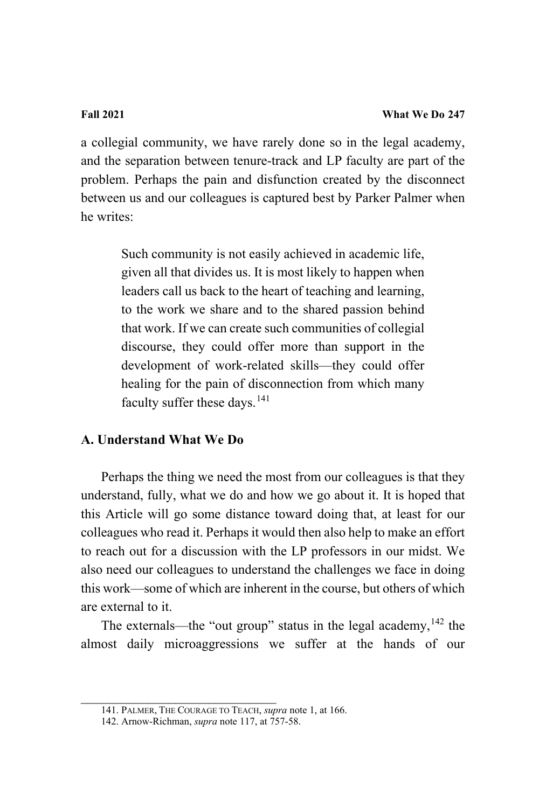a collegial community, we have rarely done so in the legal academy, and the separation between tenure-track and LP faculty are part of the problem. Perhaps the pain and disfunction created by the disconnect between us and our colleagues is captured best by Parker Palmer when he writes:

> Such community is not easily achieved in academic life, given all that divides us. It is most likely to happen when leaders call us back to the heart of teaching and learning, to the work we share and to the shared passion behind that work. If we can create such communities of collegial discourse, they could offer more than support in the development of work-related skills—they could offer healing for the pain of disconnection from which many faculty suffer these days.  $141$

# **A. Understand What We Do**

Perhaps the thing we need the most from our colleagues is that they understand, fully, what we do and how we go about it. It is hoped that this Article will go some distance toward doing that, at least for our colleagues who read it. Perhaps it would then also help to make an effort to reach out for a discussion with the LP professors in our midst. We also need our colleagues to understand the challenges we face in doing this work—some of which are inherent in the course, but others of which are external to it.

The externals—the "out group" status in the legal academy, $142$  the almost daily microaggressions we suffer at the hands of our

<span id="page-79-0"></span>\_\_\_\_\_\_\_\_\_\_\_\_\_\_\_\_\_\_\_\_\_\_\_\_\_\_\_\_\_ 141. PALMER, THE COURAGE TO TEACH, *supra* not[e 1,](#page-3-0) at 166.

<span id="page-79-1"></span><sup>142.</sup> Arnow-Richman, *supra* not[e 117,](#page-67-0) at 757-58.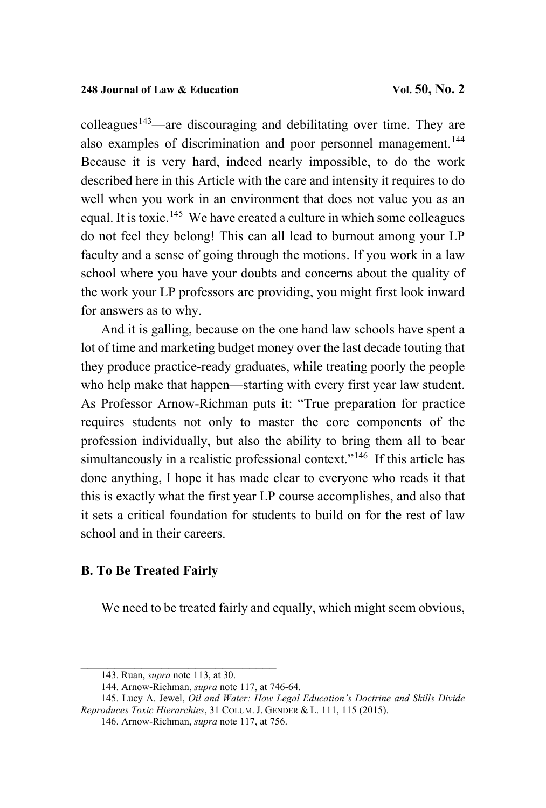colleagues<sup>[143](#page-80-0)</sup>—are discouraging and debilitating over time. They are also examples of discrimination and poor personnel management.<sup>[144](#page-80-1)</sup> Because it is very hard, indeed nearly impossible, to do the work described here in this Article with the care and intensity it requires to do well when you work in an environment that does not value you as an equal. It is toxic.<sup>[145](#page-80-2)</sup> We have created a culture in which some colleagues do not feel they belong! This can all lead to burnout among your LP faculty and a sense of going through the motions. If you work in a law school where you have your doubts and concerns about the quality of the work your LP professors are providing, you might first look inward for answers as to why.

And it is galling, because on the one hand law schools have spent a lot of time and marketing budget money over the last decade touting that they produce practice-ready graduates, while treating poorly the people who help make that happen—starting with every first year law student. As Professor Arnow-Richman puts it: "True preparation for practice requires students not only to master the core components of the profession individually, but also the ability to bring them all to bear simultaneously in a realistic professional context."<sup>[146](#page-80-3)</sup> If this article has done anything, I hope it has made clear to everyone who reads it that this is exactly what the first year LP course accomplishes, and also that it sets a critical foundation for students to build on for the rest of law school and in their careers.

# **B. To Be Treated Fairly**

We need to be treated fairly and equally, which might seem obvious,

\_\_\_\_\_\_\_\_\_\_\_\_\_\_\_\_[\\_\\_\\_\\_](#page-66-0)\_\_\_\_\_\_\_\_\_ 143. Ruan, *supra* note 113, at 30.

<sup>144.</sup> Arnow-Richman, *supra* not[e 117,](#page-67-0) at 746-64.

<span id="page-80-3"></span><span id="page-80-2"></span><span id="page-80-1"></span><span id="page-80-0"></span><sup>145.</sup> Lucy A. Jewel, *Oil and Water: How Legal Education's Doctrine and Skills Divide Reproduces Toxic Hierarchies*, 31 COLUM. J. GENDER & L. 111, 115 (2015).

<sup>146.</sup> Arnow-Richman, *supra* not[e 117,](#page-67-0) at 756.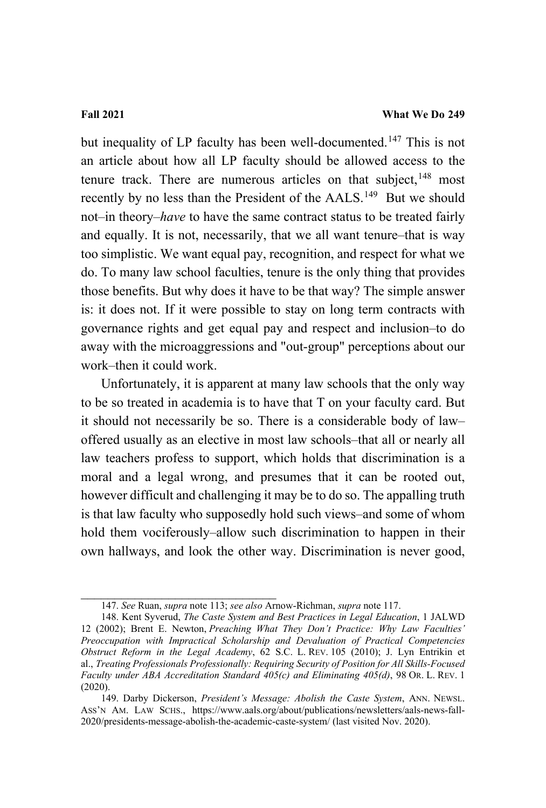but inequality of LP faculty has been well-documented.<sup>[147](#page-81-0)</sup> This is not an article about how all LP faculty should be allowed access to the tenure track. There are numerous articles on that subject,  $148$  most recently by no less than the President of the AALS.<sup>[149](#page-81-2)</sup> But we should not–in theory–*have* to have the same contract status to be treated fairly and equally. It is not, necessarily, that we all want tenure–that is way too simplistic. We want equal pay, recognition, and respect for what we do. To many law school faculties, tenure is the only thing that provides those benefits. But why does it have to be that way? The simple answer is: it does not. If it were possible to stay on long term contracts with governance rights and get equal pay and respect and inclusion–to do away with the microaggressions and "out-group" perceptions about our work–then it could work.

Unfortunately, it is apparent at many law schools that the only way to be so treated in academia is to have that T on your faculty card. But it should not necessarily be so. There is a considerable body of law– offered usually as an elective in most law schools–that all or nearly all law teachers profess to support, which holds that discrimination is a moral and a legal wrong, and presumes that it can be rooted out, however difficult and challenging it may be to do so. The appalling truth is that law faculty who supposedly hold such views–and some of whom hold them vociferously–allow such discrimination to happen in their own hallways, and look the other way. Discrimination is never good,

\_\_\_\_\_\_\_\_\_\_\_\_\_\_\_\_\_\_[\\_\\_\\_\\_](#page-66-0)\_\_\_\_\_\_\_ 147. *See* Ruan, *supra* note 113; *see also* Arnow-Richman, *supra* not[e 117.](#page-67-0)

<span id="page-81-1"></span><span id="page-81-0"></span><sup>148.</sup> Kent Syverud, *The Caste System and Best Practices in Legal Education*, 1 JALWD 12 (2002); Brent E. Newton, *Preaching What They Don't Practice: Why Law Faculties' Preoccupation with Impractical Scholarship and Devaluation of Practical Competencies Obstruct Reform in the Legal Academy*, 62 S.C. L. REV. 105 (2010); J. Lyn Entrikin et al., *Treating Professionals Professionally: Requiring Security of Position for All Skills-Focused Faculty under ABA Accreditation Standard 405(c) and Eliminating 405(d)*, 98 OR. L. REV. 1 (2020).

<span id="page-81-2"></span><sup>149.</sup> Darby Dickerson, *President's Message: Abolish the Caste System*, ANN. NEWSL. ASS'N AM. LAW SCHS., [https://www.aals.org/about/publications/newsletters/aals-news-fall-](https://www.aals.org/about/publications/newsletters/aals-news-fall-2020/presidents-message-abolish-the-academic-caste-system/)[2020/presidents-message-abolish-the-academic-caste-system/](https://www.aals.org/about/publications/newsletters/aals-news-fall-2020/presidents-message-abolish-the-academic-caste-system/) (last visited Nov. 2020).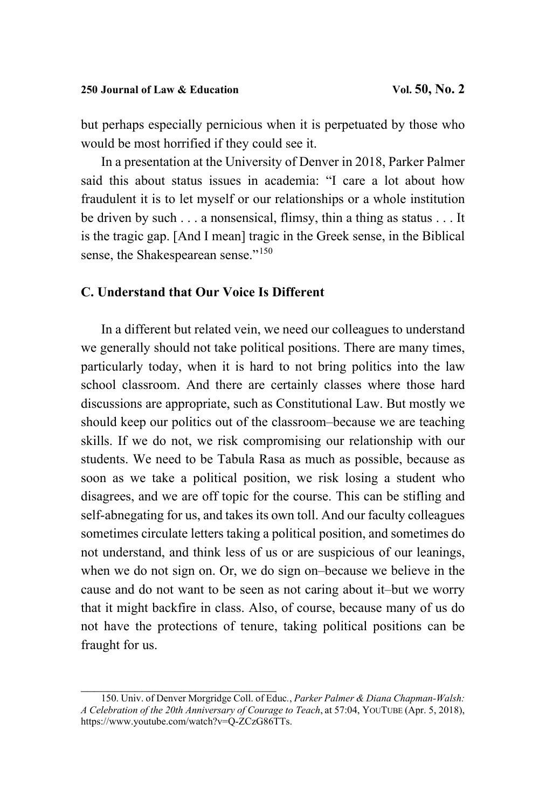but perhaps especially pernicious when it is perpetuated by those who would be most horrified if they could see it.

In a presentation at the University of Denver in 2018, Parker Palmer said this about status issues in academia: "I care a lot about how fraudulent it is to let myself or our relationships or a whole institution be driven by such . . . a nonsensical, flimsy, thin a thing as status . . . It is the tragic gap. [And I mean] tragic in the Greek sense, in the Biblical sense, the Shakespearean sense."<sup>[150](#page-82-0)</sup>

### **C. Understand that Our Voice Is Different**

In a different but related vein, we need our colleagues to understand we generally should not take political positions. There are many times, particularly today, when it is hard to not bring politics into the law school classroom. And there are certainly classes where those hard discussions are appropriate, such as Constitutional Law. But mostly we should keep our politics out of the classroom–because we are teaching skills. If we do not, we risk compromising our relationship with our students. We need to be Tabula Rasa as much as possible, because as soon as we take a political position, we risk losing a student who disagrees, and we are off topic for the course. This can be stifling and self-abnegating for us, and takes its own toll. And our faculty colleagues sometimes circulate letters taking a political position, and sometimes do not understand, and think less of us or are suspicious of our leanings, when we do not sign on. Or, we do sign on–because we believe in the cause and do not want to be seen as not caring about it–but we worry that it might backfire in class. Also, of course, because many of us do not have the protections of tenure, taking political positions can be fraught for us.

<span id="page-82-0"></span>\_\_\_\_\_\_\_\_\_\_\_\_\_\_\_\_\_\_\_\_\_\_\_\_\_\_\_\_\_ 150. Univ. of Denver Morgridge Coll. of Educ*.*, *Parker Palmer & Diana Chapman-Walsh: A Celebration of the 20th Anniversary of Courage to Teach*, at 57:04, YOUTUBE (Apr. 5, 2018), [https://www.youtube.com/watch?v=Q-ZCzG86TTs.](https://www.youtube.com/watch?v=Q-ZCzG86TTs)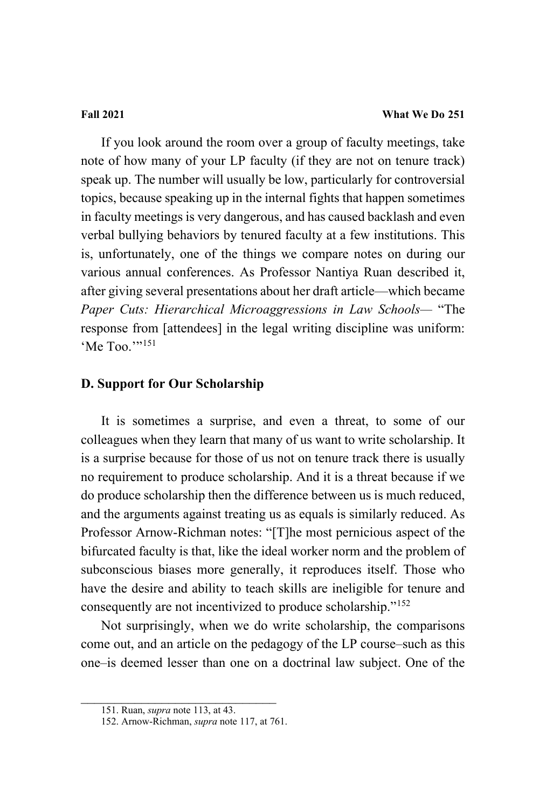If you look around the room over a group of faculty meetings, take note of how many of your LP faculty (if they are not on tenure track) speak up. The number will usually be low, particularly for controversial topics, because speaking up in the internal fights that happen sometimes in faculty meetings is very dangerous, and has caused backlash and even verbal bullying behaviors by tenured faculty at a few institutions. This is, unfortunately, one of the things we compare notes on during our various annual conferences. As Professor Nantiya Ruan described it, after giving several presentations about her draft article—which became *Paper Cuts: Hierarchical Microaggressions in Law Schools—* "The response from [attendees] in the legal writing discipline was uniform: 'Me Too.'"<sup>[151](#page-83-0)</sup>

# **D. Support for Our Scholarship**

It is sometimes a surprise, and even a threat, to some of our colleagues when they learn that many of us want to write scholarship. It is a surprise because for those of us not on tenure track there is usually no requirement to produce scholarship. And it is a threat because if we do produce scholarship then the difference between us is much reduced, and the arguments against treating us as equals is similarly reduced. As Professor Arnow-Richman notes: "[T]he most pernicious aspect of the bifurcated faculty is that, like the ideal worker norm and the problem of subconscious biases more generally, it reproduces itself. Those who have the desire and ability to teach skills are ineligible for tenure and consequently are not incentivized to produce scholarship."[152](#page-83-1)

Not surprisingly, when we do write scholarship, the comparisons come out, and an article on the pedagogy of the LP course–such as this one–is deemed lesser than one on a doctrinal law subject. One of the

<span id="page-83-1"></span><span id="page-83-0"></span> $\overline{\phantom{a}}$  , and the set of the set of the set of the set of the set of the set of the set of the set of the set of the set of the set of the set of the set of the set of the set of the set of the set of the set of the s

<sup>151.</sup> Ruan, *supra* note [113,](#page-66-0) at 43.

<sup>152.</sup> Arnow-Richman, *supra* not[e 117,](#page-67-0) at 761.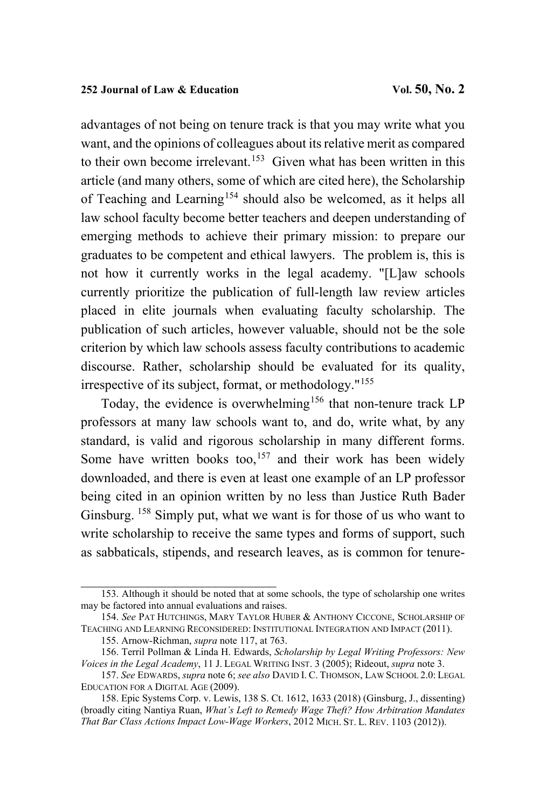advantages of not being on tenure track is that you may write what you want, and the opinions of colleagues about its relative merit as compared to their own become irrelevant.<sup>153</sup> Given what has been written in this article (and many others, some of which are cited here), the Scholarship of Teaching and Learning<sup>[154](#page-84-1)</sup> should also be welcomed, as it helps all law school faculty become better teachers and deepen understanding of emerging methods to achieve their primary mission: to prepare our graduates to be competent and ethical lawyers. The problem is, this is not how it currently works in the legal academy. "[L]aw schools currently prioritize the publication of full-length law review articles placed in elite journals when evaluating faculty scholarship. The publication of such articles, however valuable, should not be the sole criterion by which law schools assess faculty contributions to academic discourse. Rather, scholarship should be evaluated for its quality, irrespective of its subject, format, or methodology."[155](#page-84-2)

Today, the evidence is overwhelming<sup>[156](#page-84-3)</sup> that non-tenure track LP professors at many law schools want to, and do, write what, by any standard, is valid and rigorous scholarship in many different forms. Some have written books too,<sup>[157](#page-84-4)</sup> and their work has been widely downloaded, and there is even at least one example of an LP professor being cited in an opinion written by no less than Justice Ruth Bader Ginsburg. <sup>[158](#page-84-5)</sup> Simply put, what we want is for those of us who want to write scholarship to receive the same types and forms of support, such as sabbaticals, stipends, and research leaves, as is common for tenure-

<span id="page-84-0"></span><sup>153.</sup> Although it should be noted that at some schools, the type of scholarship one writes may be factored into annual evaluations and raises.

<span id="page-84-1"></span><sup>154.</sup> *See* PAT HUTCHINGS, MARY TAYLOR HUBER & ANTHONY CICCONE, SCHOLARSHIP OF TEACHING AND LEARNING RECONSIDERED: INSTITUTIONAL INTEGRATION AND IMPACT (2011).

<sup>155.</sup> Arnow-Richman, *supra* not[e 117,](#page-67-0) at 763.

<span id="page-84-3"></span><span id="page-84-2"></span><sup>156.</sup> Terril Pollman & Linda H. Edwards, *Scholarship by Legal Writing Professors: New Voices in the Legal Academy*, 11 J. LEGAL WRITING INST. 3 (2005); Rideout, *supra* not[e 3.](#page-4-0)

<span id="page-84-4"></span><sup>157.</sup> *See* EDWARDS, *supra* not[e 6;](#page-6-0) *see also* DAVID I. C. THOMSON, LAW SCHOOL 2.0: LEGAL EDUCATION FOR A DIGITAL AGE (2009).

<span id="page-84-5"></span><sup>158.</sup> Epic Systems Corp. v. Lewis, 138 S. Ct. 1612, 1633 (2018) (Ginsburg, J., dissenting) (broadly citing Nantiya Ruan, *What's Left to Remedy Wage Theft? How Arbitration Mandates That Bar Class Actions Impact Low-Wage Workers*, 2012 MICH. ST. L. REV. 1103 (2012)).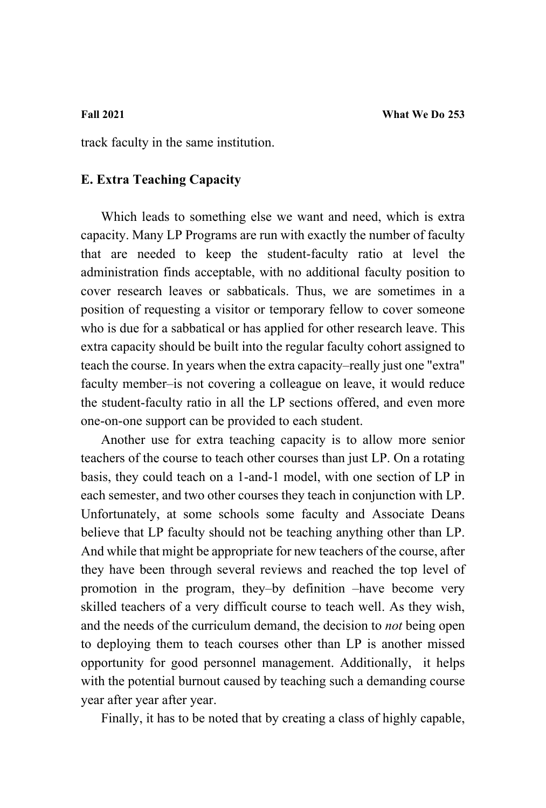track faculty in the same institution.

# **E. Extra Teaching Capacity**

Which leads to something else we want and need, which is extra capacity. Many LP Programs are run with exactly the number of faculty that are needed to keep the student-faculty ratio at level the administration finds acceptable, with no additional faculty position to cover research leaves or sabbaticals. Thus, we are sometimes in a position of requesting a visitor or temporary fellow to cover someone who is due for a sabbatical or has applied for other research leave. This extra capacity should be built into the regular faculty cohort assigned to teach the course. In years when the extra capacity–really just one "extra" faculty member–is not covering a colleague on leave, it would reduce the student-faculty ratio in all the LP sections offered, and even more one-on-one support can be provided to each student.

Another use for extra teaching capacity is to allow more senior teachers of the course to teach other courses than just LP. On a rotating basis, they could teach on a 1-and-1 model, with one section of LP in each semester, and two other courses they teach in conjunction with LP. Unfortunately, at some schools some faculty and Associate Deans believe that LP faculty should not be teaching anything other than LP. And while that might be appropriate for new teachers of the course, after they have been through several reviews and reached the top level of promotion in the program, they–by definition –have become very skilled teachers of a very difficult course to teach well. As they wish, and the needs of the curriculum demand, the decision to *not* being open to deploying them to teach courses other than LP is another missed opportunity for good personnel management. Additionally, it helps with the potential burnout caused by teaching such a demanding course year after year after year.

Finally, it has to be noted that by creating a class of highly capable,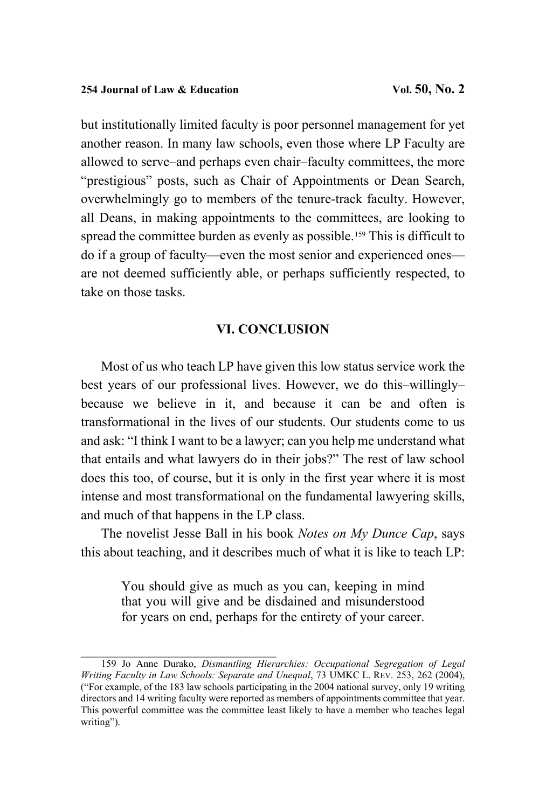but institutionally limited faculty is poor personnel management for yet another reason. In many law schools, even those where LP Faculty are allowed to serve–and perhaps even chair–faculty committees, the more "prestigious" posts, such as Chair of Appointments or Dean Search, overwhelmingly go to members of the tenure-track faculty. However, all Deans, in making appointments to the committees, are looking to spread the committee burden as evenly as possible.<sup>[159](#page-86-0)</sup> This is difficult to do if a group of faculty—even the most senior and experienced ones are not deemed sufficiently able, or perhaps sufficiently respected, to take on those tasks.

### **VI. CONCLUSION**

Most of us who teach LP have given this low status service work the best years of our professional lives. However, we do this–willingly– because we believe in it, and because it can be and often is transformational in the lives of our students. Our students come to us and ask: "I think I want to be a lawyer; can you help me understand what that entails and what lawyers do in their jobs?" The rest of law school does this too, of course, but it is only in the first year where it is most intense and most transformational on the fundamental lawyering skills, and much of that happens in the LP class.

The novelist Jesse Ball in his book *Notes on My Dunce Cap*, says this about teaching, and it describes much of what it is like to teach LP:

> You should give as much as you can, keeping in mind that you will give and be disdained and misunderstood for years on end, perhaps for the entirety of your career.

<span id="page-86-0"></span><sup>159</sup> Jo Anne Durako, *Dismantling Hierarchies: Occupational Segregation of Legal Writing Faculty in Law Schools: Separate and Unequal*, 73 UMKC L. REV. 253, 262 (2004), ("For example, of the 183 law schools participating in the 2004 national survey, only 19 writing directors and 14 writing faculty were reported as members of appointments committee that year. This powerful committee was the committee least likely to have a member who teaches legal writing").